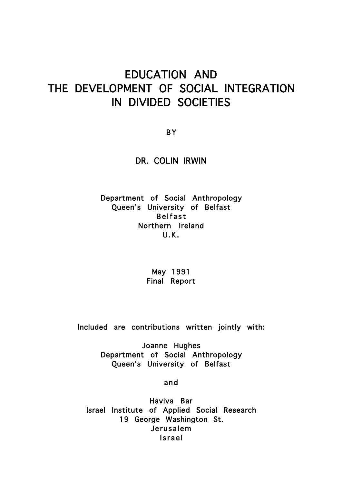# EDUCATION AND THE DEVELOPMENT OF SOCIAL INTEGRATION IN DIVIDED SOCIETIES

B Y

DR. COLIN IRWIN

Department of Social Anthropology Queen's University of Belfast Belfast Northern Ireland U.K.

> May 1991 Final Report

Included are contributions written jointly with:

Joanne Hughes Department of Social Anthropology Queen's University of Belfast

and

Haviva Bar Israel Institute of Applied Social Research 19 George Washington St. Jerusalem Israel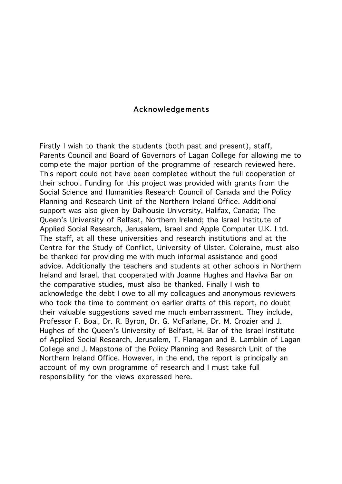### Acknowledgements

Firstly I wish to thank the students (both past and present), staff, Parents Council and Board of Governors of Lagan College for allowing me to complete the major portion of the programme of research reviewed here. This report could not have been completed without the full cooperation of their school. Funding for this project was provided with grants from the Social Science and Humanities Research Council of Canada and the Policy Planning and Research Unit of the Northern Ireland Office. Additional support was also given by Dalhousie University, Halifax, Canada; The Queen's University of Belfast, Northern Ireland; the Israel Institute of Applied Social Research, Jerusalem, Israel and Apple Computer U.K. Ltd. The staff, at all these universities and research institutions and at the Centre for the Study of Conflict, University of Ulster, Coleraine, must also be thanked for providing me with much informal assistance and good advice. Additionally the teachers and students at other schools in Northern Ireland and Israel, that cooperated with Joanne Hughes and Haviva Bar on the comparative studies, must also be thanked. Finally I wish to acknowledge the debt I owe to all my colleagues and anonymous reviewers who took the time to comment on earlier drafts of this report, no doubt their valuable suggestions saved me much embarrassment. They include, Professor F. Boal, Dr. R. Byron, Dr. G. McFarlane, Dr. M. Crozier and J. Hughes of the Queen's University of Belfast, H. Bar of the Israel Institute of Applied Social Research, Jerusalem, T. Flanagan and B. Lambkin of Lagan College and J. Mapstone of the Policy Planning and Research Unit of the Northern Ireland Office. However, in the end, the report is principally an account of my own programme of research and I must take full responsibility for the views expressed here.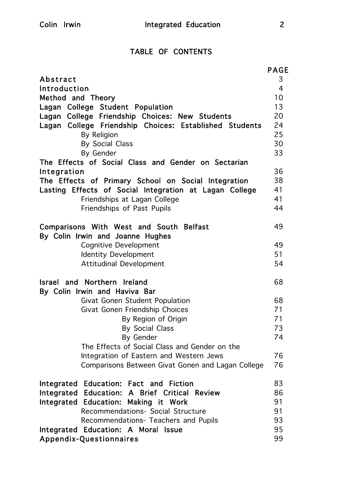# TABLE OF CONTENTS

|                                                                             | <b>PAGE</b>    |
|-----------------------------------------------------------------------------|----------------|
| Abstract                                                                    | 3              |
| Introduction                                                                | $\overline{4}$ |
| Method and Theory                                                           | 10             |
| Lagan College Student Population                                            | 13             |
| Lagan College Friendship Choices: New Students                              | 20             |
| Lagan College Friendship Choices: Established Students                      | 24             |
| By Religion                                                                 | 25<br>30       |
| <b>By Social Class</b><br>By Gender                                         | 33             |
| The Effects of Social Class and Gender on Sectarian                         |                |
| Integration                                                                 | 36             |
| The Effects of Primary School on Social Integration                         | 38             |
| Lasting Effects of Social Integration at Lagan College                      | 41             |
| Friendships at Lagan College                                                | 41             |
| Friendships of Past Pupils                                                  | 44             |
| Comparisons With West and South Belfast<br>By Colin Irwin and Joanne Hughes | 49             |
| <b>Cognitive Development</b>                                                | 49             |
| <b>Identity Development</b>                                                 | 51             |
| <b>Attitudinal Development</b>                                              | 54             |
| Israel and Northern Ireland                                                 | 68             |
| By Colin Irwin and Haviva Bar                                               |                |
| Givat Gonen Student Population                                              | 68             |
| Givat Gonen Friendship Choices                                              | 71             |
| By Region of Origin                                                         | 71             |
| By Social Class                                                             | 73             |
| By Gender                                                                   | 74             |
| The Effects of Social Class and Gender on the                               |                |
| Integration of Eastern and Western Jews                                     | 76             |
| Comparisons Between Givat Gonen and Lagan College                           | 76             |
| Integrated Education: Fact and Fiction                                      | 83             |
| Integrated Education: A Brief Critical Review                               | 86             |
| Integrated Education: Making it Work                                        | 91             |
| Recommendations- Social Structure                                           | 91             |
| Recommendations- Teachers and Pupils                                        | 93             |
| Integrated Education: A Moral Issue<br>Appendix-Questionnaires              | 95<br>99       |
|                                                                             |                |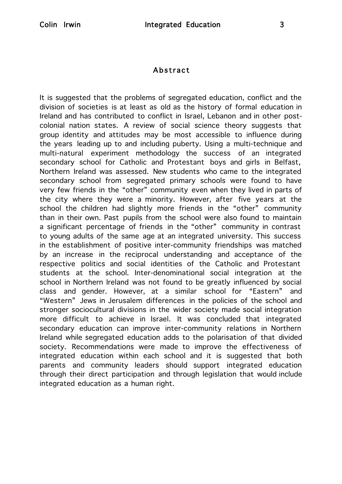# Abstract

It is suggested that the problems of segregated education, conflict and the division of societies is at least as old as the history of formal education in Ireland and has contributed to conflict in Israel, Lebanon and in other postcolonial nation states. A review of social science theory suggests that group identity and attitudes may be most accessible to influence during the years leading up to and including puberty. Using a multi-technique and multi-natural experiment methodology the success of an integrated secondary school for Catholic and Protestant boys and girls in Belfast, Northern Ireland was assessed. New students who came to the integrated secondary school from segregated primary schools were found to have very few friends in the "other" community even when they lived in parts of the city where they were a minority. However, after five years at the school the children had slightly more friends in the "other" community than in their own. Past pupils from the school were also found to maintain a significant percentage of friends in the "other" community in contrast to young adults of the same age at an integrated university. This success in the establishment of positive inter-community friendships was matched by an increase in the reciprocal understanding and acceptance of the respective politics and social identities of the Catholic and Protestant students at the school. Inter-denominational social integration at the school in Northern Ireland was not found to be greatly influenced by social class and gender. However, at a similar school for "Eastern" and "Western" Jews in Jerusalem differences in the policies of the school and stronger sociocultural divisions in the wider society made social integration more difficult to achieve in Israel. It was concluded that integrated secondary education can improve inter-community relations in Northern Ireland while segregated education adds to the polarisation of that divided society. Recommendations were made to improve the effectiveness of integrated education within each school and it is suggested that both parents and community leaders should support integrated education through their direct participation and through legislation that would include integrated education as a human right.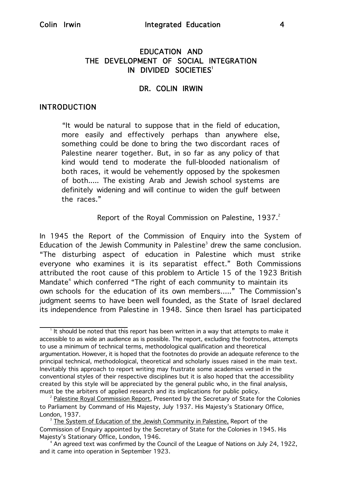# EDUCATION AND THE DEVELOPMENT OF SOCIAL INTEGRATION IN DIVIDED SOCIETIES<sup>1</sup>

### DR. COLIN IRWIN

#### INTRODUCTION

"It would be natural to suppose that in the field of education, more easily and effectively perhaps than anywhere else, something could be done to bring the two discordant races of Palestine nearer together. But, in so far as any policy of that kind would tend to moderate the full-blooded nationalism of both races, it would be vehemently opposed by the spokesmen of both..... The existing Arab and Jewish school systems are definitely widening and will continue to widen the gulf between the races."

Report of the Royal Commission on Palestine, 1937.<sup>2</sup>

In 1945 the Report of the Commission of Enquiry into the System of Education of the Jewish Community in Palestine<sup>3</sup> drew the same conclusion. "The disturbing aspect of education in Palestine which must strike everyone who examines it is its separatist effect." Both Commissions attributed the root cause of this problem to Article 15 of the 1923 British Mandate<sup>4</sup> which conferred "The right of each community to maintain its own schools for the education of its own members....." The Commission's judgment seems to have been well founded, as the State of Israel declared its independence from Palestine in 1948. Since then Israel has participated

<sup>&</sup>lt;sup>1</sup> It should be noted that this report has been written in a way that attempts to make it accessible to as wide an audience as is possible. The report, excluding the footnotes, attempts to use a minimum of technical terms, methodological qualification and theoretical argumentation. However, it is hoped that the footnotes do provide an adequate reference to the principal technical, methodological, theoretical and scholarly issues raised in the main text. Inevitably this approach to report writing may frustrate some academics versed in the conventional styles of their respective disciplines but it is also hoped that the accessibility created by this style will be appreciated by the general public who, in the final analysis, must be the arbiters of applied research and its implications for public policy.<br><sup>2</sup> Palestine Royal Commission Report, Presented by the Secretary of State for the Colonies

to Parliament by Command of His Majesty, July 1937. His Majesty's Stationary Office, London, 1937.

<sup>&</sup>lt;sup>3</sup> The System of Education of the Jewish Community in Palestine, Report of the Commission of Enquiry appointed by the Secretary of State for the Colonies in 1945. His Majesty's Stationary Office, London, 1946. 4

 $4$  An agreed text was confirmed by the Council of the League of Nations on July 24, 1922, and it came into operation in September 1923.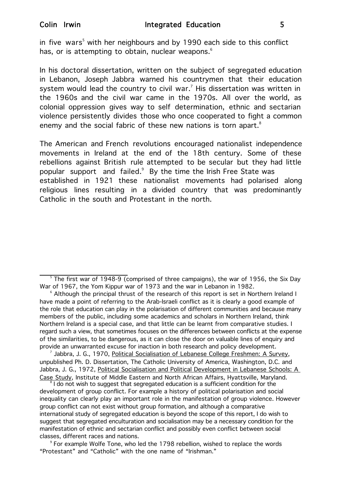in five wars<sup>5</sup> with her neighbours and by 1990 each side to this conflict has, or is attempting to obtain, nuclear weapons.<sup>6</sup>

In his doctoral dissertation, written on the subject of segregated education in Lebanon, Joseph Jabbra warned his countrymen that their education system would lead the country to civil war.<sup>7</sup> His dissertation was written in the 1960s and the civil war came in the 1970s. All over the world, as colonial oppression gives way to self determination, ethnic and sectarian violence persistently divides those who once cooperated to fight a common enemy and the social fabric of these new nations is torn apart.<sup>8</sup>

The American and French revolutions encouraged nationalist independence movements in Ireland at the end of the 18th century. Some of these rebellions against British rule attempted to be secular but they had little popular support and failed.<sup>9</sup> By the time the Irish Free State was established in 1921 these nationalist movements had polarised along religious lines resulting in a divided country that was predominantly Catholic in the south and Protestant in the north.

 $9$  For example Wolfe Tone, who led the 1798 rebellion, wished to replace the words "Protestant" and "Catholic" with the one name of "Irishman."

<sup>&</sup>lt;sup>5</sup> The first war of 1948-9 (comprised of three campaigns), the war of 1956, the Six Day War of 1967, the Yom Kippur war of 1973 and the war in Lebanon in 1982.

 $6$  Although the principal thrust of the research of this report is set in Northern Ireland I have made a point of referring to the Arab-Israeli conflict as it is clearly a good example of the role that education can play in the polarisation of different communities and because many members of the public, including some academics and scholars in Northern Ireland, think Northern Ireland is a special case, and that little can be learnt from comparative studies. I regard such a view, that sometimes focuses on the differences between conflicts at the expense of the similarities, to be dangerous, as it can close the door on valuable lines of enquiry and provide an unwarranted excuse for inaction in both research and policy development.

Jabbra, J. G., 1970, Political Socialisation of Lebanese College Freshmen: A Survey, unpublished Ph. D. Dissertation, The Catholic University of America, Washington, D.C. and Jabbra, J. G., 1972, Political Socialisation and Political Development in Lebanese Schools: A Case Study, Institute of Middle Eastern and North African Affairs, Hyattsville, Maryland. <sup>8</sup>

 $31$  do not wish to suggest that segregated education is a sufficient condition for the development of group conflict. For example a history of political polarisation and social inequality can clearly play an important role in the manifestation of group violence. However group conflict can not exist without group formation, and although a comparative international study of segregated education is beyond the scope of this report, I do wish to suggest that segregated enculturation and socialisation may be a necessary condition for the manifestation of ethnic and sectarian conflict and possibly even conflict between social classes, different races and nations. 9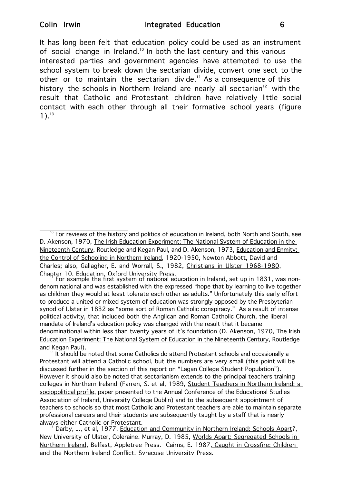It has long been felt that education policy could be used as an instrument of social change in Ireland.<sup>10</sup> In both the last century and this various interested parties and government agencies have attempted to use the school system to break down the sectarian divide, convert one sect to the other or to maintain the sectarian divide.<sup>11</sup> As a consequence of this history the schools in Northern Ireland are nearly all sectarian<sup>12</sup> with the result that Catholic and Protestant children have relatively little social contact with each other through all their formative school years (figure  $1$ ).<sup>13</sup>

denominational and was established with the expressed "hope that by learning to live together as children they would at least tolerate each other as adults." Unfortunately this early effort to produce a united or mixed system of education was strongly opposed by the Presbyterian synod of Ulster in 1832 as "some sort of Roman Catholic conspiracy." As a result of intense political activity, that included both the Anglican and Roman Catholic Church, the liberal mandate of Ireland's education policy was changed with the result that it became denominational within less than twenty years of it's foundation (D. Akenson, 1970, The Irish Education Experiment: The National System of Education in the Nineteenth Century, Routledge and Kegan Paul).<br><sup>12</sup> It should be noted that some Catholics do attend Protestant schools and occasionally a

Protestant will attend a Catholic school, but the numbers are very small (this point will be discussed further in the section of this report on "Lagan College Student Population"). However it should also be noted that sectarianism extends to the principal teachers training colleges in Northern Ireland (Farren, S. et al, 1989, Student Teachers in Northern Ireland: a sociopolitical profile, paper presented to the Annual Conference of the Educational Studies Association of Ireland, University College Dublin) and to the subsequent appointment of teachers to schools so that most Catholic and Protestant teachers are able to maintain separate professional careers and their students are subsequently taught by a staff that is nearly always either Catholic or Protestant.<br><sup>13</sup> Darby, J., et al, 1977, Education and Community in Northern Ireland: Schools Apart?,

New University of Ulster, Coleraine. Murray, D. 1985, Worlds Apart: Segregated Schools in Northern Ireland, Belfast, Appletree Press. Cairns, E. 1987, Caught in Crossfire: Children and the Northern Ireland Conflict, Syracuse University Press.

 $10$  For reviews of the history and politics of education in Ireland, both North and South, see D. Akenson, 1970, The Irish Education Experiment: The National System of Education in the Nineteenth Century, Routledge and Kegan Paul, and D. Akenson, 1973, Education and Enmity: the Control of Schooling in Northern Ireland, 1920-1950, Newton Abbott, David and Charles; also, Gallagher, E. and Worrall, S., 1982, Christians in Ulster 1968-1980, Chapter 10, Education, Oxford University Press.<br><sup>11</sup> For example the first system of national education in Ireland, set up in 1831, was non-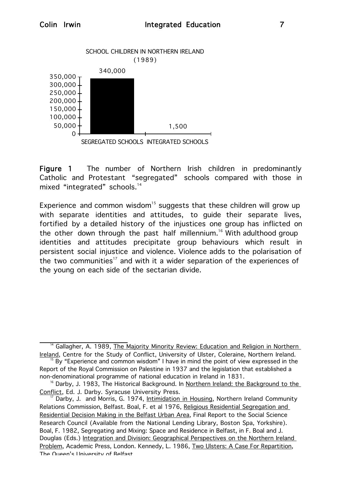

Figure 1 The number of Northern Irish children in predominantly Catholic and Protestant "segregated" schools compared with those in mixed "integrated" schools.<sup>14</sup>

Experience and common wisdom<sup>15</sup> suggests that these children will grow up with separate identities and attitudes, to guide their separate lives, fortified by a detailed history of the injustices one group has inflicted on the other down through the past half millennium.<sup>16</sup> With adulthood group identities and attitudes precipitate group behaviours which result in persistent social injustice and violence. Violence adds to the polarisation of the two communities<sup>17</sup> and with it a wider separation of the experiences of the young on each side of the sectarian divide.

<sup>&</sup>lt;sup>14</sup> Gallagher, A. 1989, The Majority Minority Review: Education and Religion in Northern Ireland, Centre for the Study of Conflict, University of Ulster, Coleraine, Northern Ireland.

<sup>&</sup>lt;sup>15</sup> By "Experience and common wisdom" I have in mind the point of view expressed in the Report of the Royal Commission on Palestine in 1937 and the legislation that established a non-denominational programme of national education in Ireland in 1831.

<sup>&</sup>lt;sup>16</sup> Darby, J. 1983, The Historical Background. In Northern Ireland: the Background to the Conflict, Ed. J. Darby. Syracuse University Press.

Darby, J. and Morris, G. 1974, Intimidation in Housing, Northern Ireland Community Relations Commission, Belfast. Boal, F. et al 1976, Religious Residential Segregation and Residential Decision Making in the Belfast Urban Area, Final Report to the Social Science Research Council (Available from the National Lending Library, Boston Spa, Yorkshire). Boal, F. 1982, Segregating and Mixing: Space and Residence in Belfast, in F. Boal and J. Douglas (Eds.) Integration and Division: Geographical Perspectives on the Northern Ireland Problem, Academic Press, London. Kennedy, L. 1986, Two Ulsters: A Case For Repartition, The Queen's University of Belfast.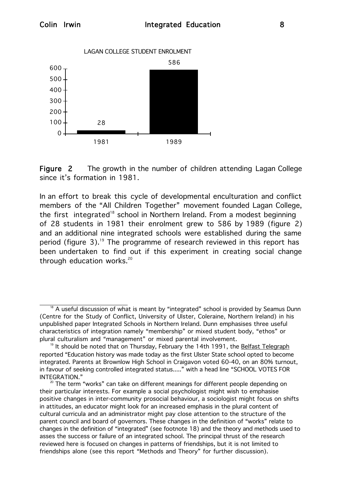

Figure 2 The growth in the number of children attending Lagan College since it's formation in 1981.

In an effort to break this cycle of developmental enculturation and conflict members of the "All Children Together" movement founded Lagan College, the first integrated<sup>18</sup> school in Northern Ireland. From a modest beginning of 28 students in 1981 their enrolment grew to 586 by 1989 (figure 2) and an additional nine integrated schools were established during the same period (figure 3).<sup>19</sup> The programme of research reviewed in this report has been undertaken to find out if this experiment in creating social change through education works. $20$ 

 $18$  A useful discussion of what is meant by "integrated" school is provided by Seamus Dunn (Centre for the Study of Conflict, University of Ulster, Coleraine, Northern Ireland) in his unpublished paper Integrated Schools in Northern Ireland. Dunn emphasises three useful characteristics of integration namely "membership" or mixed student body, "ethos" or plural culturalism and "management" or mixed parental involvement.

<sup>&</sup>lt;sup>19</sup> It should be noted that on Thursday, February the 14th 1991, the Belfast Telegraph reported "Education history was made today as the first Ulster State school opted to become integrated. Parents at Brownlow High School in Craigavon voted 60-40, on an 80% turnout, in favour of seeking controlled integrated status....." with a head line "SCHOOL VOTES FOR INTEGRATION."

 $20$  The term "works" can take on different meanings for different people depending on their particular interests. For example a social psychologist might wish to emphasise positive changes in inter-community prosocial behaviour, a sociologist might focus on shifts in attitudes, an educator might look for an increased emphasis in the plural content of cultural curricula and an administrator might pay close attention to the structure of the parent council and board of governors. These changes in the definition of "works" relate to changes in the definition of "integrated" (see footnote 18) and the theory and methods used to asses the success or failure of an integrated school. The principal thrust of the research reviewed here is focused on changes in patterns of friendships, but it is not limited to friendships alone (see this report "Methods and Theory" for further discussion).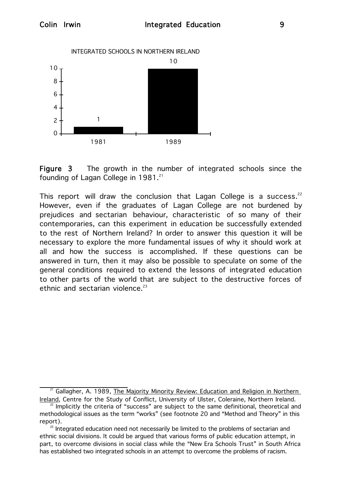

Figure 3 The growth in the number of integrated schools since the founding of Lagan College in  $1981.^{21}$ 

This report will draw the conclusion that Lagan College is a success.<sup>22</sup> However, even if the graduates of Lagan College are not burdened by prejudices and sectarian behaviour, characteristic of so many of their contemporaries, can this experiment in education be successfully extended to the rest of Northern Ireland? In order to answer this question it will be necessary to explore the more fundamental issues of why it should work at all and how the success is accomplished. If these questions can be answered in turn, then it may also be possible to speculate on some of the general conditions required to extend the lessons of integrated education to other parts of the world that are subject to the destructive forces of ethnic and sectarian violence. $23$ 

Gallagher, A. 1989, The Majority Minority Review: Education and Religion in Northern Ireland, Centre for the Study of Conflict, University of Ulster, Coleraine, Northern Ireland.

 $22$  Implicitly the criteria of "success" are subject to the same definitional, theoretical and methodological issues as the term "works" (see footnote 20 and "Method and Theory" in this report).<br><sup>23</sup> Integrated education need not necessarily be limited to the problems of sectarian and

ethnic social divisions. It could be argued that various forms of public education attempt, in part, to overcome divisions in social class while the "New Era Schools Trust" in South Africa has established two integrated schools in an attempt to overcome the problems of racism.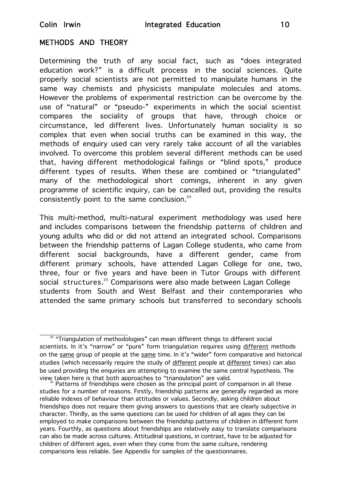# METHODS AND THEORY

Determining the truth of any social fact, such as "does integrated education work?" is a difficult process in the social sciences. Quite properly social scientists are not permitted to manipulate humans in the same way chemists and physicists manipulate molecules and atoms. However the problems of experimental restriction can be overcome by the use of "natural" or "pseudo-" experiments in which the social scientist compares the sociality of groups that have, through choice or circumstance, led different lives. Unfortunately human sociality is so complex that even when social truths can be examined in this way, the methods of enquiry used can very rarely take account of all the variables involved. To overcome this problem several different methods can be used that, having different methodological failings or "blind spots," produce different types of results. When these are combined or "triangulated" many of the methodological short comings, inherent in any given programme of scientific inquiry, can be cancelled out, providing the results consistently point to the same conclusion.<sup>24</sup>

This multi-method, multi-natural experiment methodology was used here and includes comparisons between the friendship patterns of children and young adults who did or did not attend an integrated school. Comparisons between the friendship patterns of Lagan College students, who came from different social backgrounds, have a different gender, came from different primary schools, have attended Lagan College for one, two, three, four or five years and have been in Tutor Groups with different social structures.<sup>25</sup> Comparisons were also made between Lagan College students from South and West Belfast and their contemporaries who attended the same primary schools but transferred to secondary schools

 $24$  "Triangulation of methodologies" can mean different things to different social scientists. In it's "narrow" or "pure" form triangulation requires using different methods on the same group of people at the same time. In it's "wider" form comparative and historical studies (which necessarily require the study of different people at different times) can also be used providing the enquiries are attempting to examine the same central hypothesis. The view taken here is that both approaches to "triangulation" are valid.<br><sup>25</sup> Patterns of friendships were chosen as the principal point of comparison in all these

studies for a number of reasons. Firstly, friendship patterns are generally regarded as more reliable indexes of behaviour than attitudes or values. Secondly, asking children about friendships does not require them giving answers to questions that are clearly subjective in character. Thirdly, as the same questions can be used for children of all ages they can be employed to make comparisons between the friendship patterns of children in different form years. Fourthly, as questions about friendships are relatively easy to translate comparisons can also be made across cultures. Attitudinal questions, in contrast, have to be adjusted for children of different ages, even when they come from the same culture, rendering comparisons less reliable. See Appendix for samples of the questionnaires.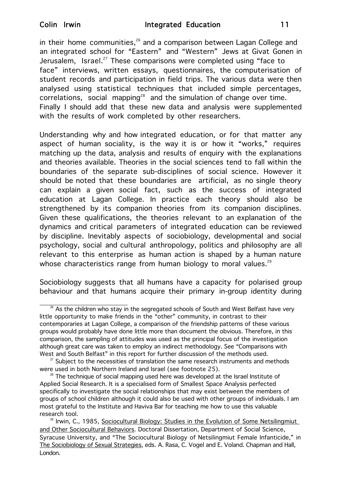in their home communities, $26$  and a comparison between Lagan College and an integrated school for "Eastern" and "Western" Jews at Givat Gonen in Jerusalem, Israel.<sup>27</sup> These comparisons were completed using "face to face" interviews, written essays, questionnaires, the computerisation of student records and participation in field trips. The various data were then analysed using statistical techniques that included simple percentages, correlations, social mapping<sup>28</sup> and the simulation of change over time. Finally I should add that these new data and analysis were supplemented with the results of work completed by other researchers.

Understanding why and how integrated education, or for that matter any aspect of human sociality, is the way it is or how it "works," requires matching up the data, analysis and results of enquiry with the explanations and theories available. Theories in the social sciences tend to fall within the boundaries of the separate sub-disciplines of social science. However it should be noted that these boundaries are artificial, as no single theory can explain a given social fact, such as the success of integrated education at Lagan College. In practice each theory should also be strengthened by its companion theories from its companion disciplines. Given these qualifications, the theories relevant to an explanation of the dynamics and critical parameters of integrated education can be reviewed by discipline. Inevitably aspects of sociobiology, developmental and social psychology, social and cultural anthropology, politics and philosophy are all relevant to this enterprise as human action is shaped by a human nature whose characteristics range from human biology to moral values.<sup>29</sup>

Sociobiology suggests that all humans have a capacity for polarised group behaviour and that humans acquire their primary in-group identity during

 $\frac{26}{10}$  As the children who stay in the segregated schools of South and West Belfast have very little opportunity to make friends in the "other" community, in contrast to their contemporaries at Lagan College, a comparison of the friendship patterns of these various groups would probably have done little more than document the obvious. Therefore, in this comparison, the sampling of attitudes was used as the principal focus of the investigation although great care was taken to employ an indirect methodology. See "Comparisons with West and South Belfast" in this report for further discussion of the methods used.

 $27$  Subject to the necessities of translation the same research instruments and methods were used in both Northern Ireland and Israel (see footnote 25).

 $28$  The technique of social mapping used here was developed at the Israel Institute of Applied Social Research. It is a specialised form of Smallest Space Analysis perfected specifically to investigate the social relationships that may exist between the members of groups of school children although it could also be used with other groups of individuals. I am most grateful to the Institute and Haviva Bar for teaching me how to use this valuable research tool.

<sup>&</sup>lt;sup>29</sup> Irwin, C., 1985, Sociocultural Biology: Studies in the Evolution of Some Netsilingmiut and Other Sociocultural Behaviors. Doctoral Dissertation, Department of Social Science, Syracuse University, and "The Sociocultural Biology of Netsilingmiut Female Infanticide," in The Sociobiology of Sexual Strategies, eds. A. Rasa, C. Vogel and E. Voland. Chapman and Hall, London.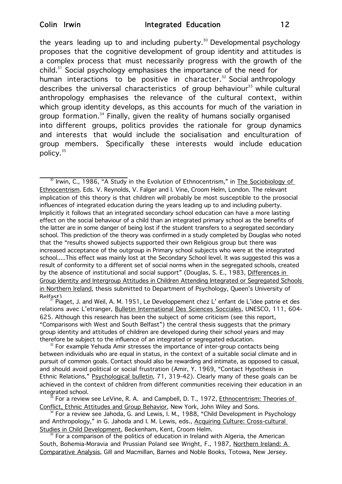the years leading up to and including puberty.<sup>30</sup> Developmental psychology proposes that the cognitive development of group identity and attitudes is a complex process that must necessarily progress with the growth of the child. $31$  Social psychology emphasises the importance of the need for human interactions to be positive in character. $32$  Social anthropology describes the universal characteristics of group behaviour $33$  while cultural anthropology emphasises the relevance of the cultural context, within which group identity develops, as this accounts for much of the variation in group formation.<sup>34</sup> Finally, given the reality of humans socially organised into different groups, politics provides the rationale for group dynamics and interests that would include the socialisation and enculturation of group members. Specifically these interests would include education policy.<sup>35</sup>

<sup>30</sup> Irwin, C., 1986, "A Study in the Evolution of Ethnocentrism," in The Sociobiology of Ethnocentrism. Eds. V. Reynolds, V. Falger and I. Vine, Croom Helm, London. The relevant implication of this theory is that children will probably be most susceptible to the prosocial influences of integrated education during the years leading up to and including puberty. Implicitly it follows that an integrated secondary school education can have a more lasting effect on the social behaviour of a child than an integrated primary school as the benefits of the latter are in some danger of being lost if the student transfers to a segregated secondary school. This prediction of the theory was confirmed in a study completed by Douglas who noted that the "results showed subjects supported their own Religious group but there was increased acceptance of the outgroup in Primary school subjects who were at the integrated school.....This effect was mainly lost at the Secondary School level. It was suggested this was a result of conformity to a different set of social norms when in the segregated schools, created by the absence of institutional and social support" (Douglas, S. E., 1983, Differences in Group Identity and Intergroup Attitudes in Children Attending Integrated or Segregated Schools in Northern Ireland, thesis submitted to Department of Psychology, Queen's University of

Belfast). 31 Piaget, J. and Weil, A. M. 1951, Le Developpement chez L' enfant de L'idee patrie et des relations avec L'etranger, Bulletin International Des Sciences Socciales, UNESCO, 111, 604-625. Although this research has been the subject of some criticism (see this report, "Comparisons with West and South Belfast") the central thesis suggests that the primary group identity and attitudes of children are developed during their school years and may therefore be subject to the influence of an integrated or segregated education.

 $32$  For example Yehuda Amir stresses the importance of inter-group contacts being between individuals who are equal in status, in the context of a suitable social climate and in pursuit of common goals. Contact should also be rewarding and intimate, as opposed to casual, and should avoid political or social frustration (Amir, Y. 1969, "Contact Hypothesis in Ethnic Relations," Psychological bulletin, 71, 319-42). Clearly many of these goals can be achieved in the context of children from different communities receiving their education in an integrated school.

<sup>33</sup> For a review see LeVine, R. A. and Campbell, D. T., 1972, Ethnocentrism: Theories of Conflict, Ethnic Attitudes and Group Behavior, New York, John Wiley and Sons.

<sup>4</sup> For a review see Jahoda, G. and Lewis, I. M., 1988, "Child Development in Psychology and Anthropology," in G. Jahoda and I. M. Lewis, eds., Acquiring Culture: Cross-cultural Studies in Child Development, Beckenham, Kent, Croom Helm.

For a comparison of the politics of education in Ireland with Algeria, the American South, Bohemia-Moravia and Prussian Poland see Wright, F., 1987, Northern Ireland: A Comparative Analysis, Gill and Macmillan, Barnes and Noble Books, Totowa, New Jersey.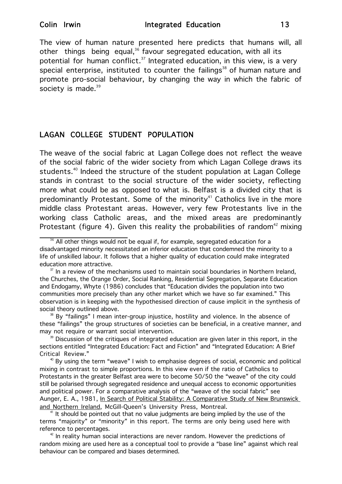The view of human nature presented here predicts that humans will, all other things being equal,<sup>36</sup> favour segregated education, with all its potential for human conflict. $37$  Integrated education, in this view, is a very special enterprise, instituted to counter the failings<sup>38</sup> of human nature and promote pro-social behaviour, by changing the way in which the fabric of society is made. $39$ 

# LAGAN COLLEGE STUDENT POPULATION

The weave of the social fabric at Lagan College does not reflect the weave of the social fabric of the wider society from which Lagan College draws its students.<sup>40</sup> Indeed the structure of the student population at Lagan College stands in contrast to the social structure of the wider society, reflecting more what could be as opposed to what is. Belfast is a divided city that is predominantly Protestant. Some of the minority<sup>41</sup> Catholics live in the more middle class Protestant areas. However, very few Protestants live in the working class Catholic areas, and the mixed areas are predominantly Protestant (figure 4). Given this reality the probabilities of random<sup>42</sup> mixing

 $36$  All other things would not be equal if, for example, segregated education for a disadvantaged minority necessitated an inferior education that condemned the minority to a life of unskilled labour. It follows that a higher quality of education could make integrated education more attractive.<br><sup>37</sup> In a review of the mechanisms used to maintain social boundaries in Northern Ireland,

the Churches, the Orange Order, Social Ranking, Residential Segregation, Separate Education and Endogamy, Whyte (1986) concludes that "Education divides the population into two communities more precisely than any other market which we have so far examined." This observation is in keeping with the hypothesised direction of cause implicit in the synthesis of social theory outlined above.

<sup>&</sup>lt;sup>38</sup> By "failings" I mean inter-group injustice, hostility and violence. In the absence of these "failings" the group structures of societies can be beneficial, in a creative manner, and may not require or warrant social intervention.

<sup>&</sup>lt;sup>39</sup> Discussion of the critiques of integrated education are given later in this report, in the sections entitled "Integrated Education: Fact and Fiction" and "Integrated Education: A Brief Critical Review."

 $40$  By using the term "weave" I wish to emphasise degrees of social, economic and political mixing in contrast to simple proportions. In this view even if the ratio of Catholics to Protestants in the greater Belfast area were to become 50/50 the "weave" of the city could still be polarised through segregated residence and unequal access to economic opportunities and political power. For a comparative analysis of the "weave of the social fabric" see Aunger, E. A., 1981, In Search of Political Stability: A Comparative Study of New Brunswick and Northern Ireland, McGill-Queen's University Press, Montreal.

 $<sup>1</sup>$  It should be pointed out that no value judgments are being implied by the use of the</sup> terms "majority" or "minority" in this report. The terms are only being used here with reference to percentages.

 $42$  In reality human social interactions are never random. However the predictions of random mixing are used here as a conceptual tool to provide a "base line" against which real behaviour can be compared and biases determined.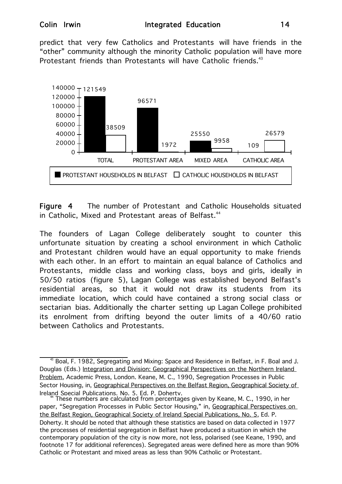predict that very few Catholics and Protestants will have friends in the "other" community although the minority Catholic population will have more Protestant friends than Protestants will have Catholic friends. $43$ 



Figure 4 The number of Protestant and Catholic Households situated in Catholic, Mixed and Protestant areas of Belfast.<sup>44</sup>

The founders of Lagan College deliberately sought to counter this unfortunate situation by creating a school environment in which Catholic and Protestant children would have an equal opportunity to make friends with each other. In an effort to maintain an equal balance of Catholics and Protestants, middle class and working class, boys and girls, ideally in 50/50 ratios (figure 5), Lagan College was established beyond Belfast's residential areas, so that it would not draw its students from its immediate location, which could have contained a strong social class or sectarian bias. Additionally the charter setting up Lagan College prohibited its enrolment from drifting beyond the outer limits of a 40/60 ratio between Catholics and Protestants.

 $^{43}$  Boal, F. 1982, Segregating and Mixing: Space and Residence in Belfast, in F. Boal and J. Douglas (Eds.) Integration and Division: Geographical Perspectives on the Northern Ireland Problem, Academic Press, London. Keane, M. C., 1990, Segregation Processes in Public Sector Housing, in, Geographical Perspectives on the Belfast Region, Geographical Society of Ireland Special Publications, No. 5, Ed. P. Doherty.<br><sup>44</sup> These numbers are calculated from percentages given by Keane, M. C., 1990, in her

paper, "Segregation Processes in Public Sector Housing," in, Geographical Perspectives on the Belfast Region, Geographical Society of Ireland Special Publications, No. 5, Ed. P. Doherty. It should be noted that although these statistics are based on data collected in 1977 the processes of residential segregation in Belfast have produced a situation in which the contemporary population of the city is now more, not less, polarised (see Keane, 1990, and footnote 17 for additional references). Segregated areas were defined here as more than 90% Catholic or Protestant and mixed areas as less than 90% Catholic or Protestant.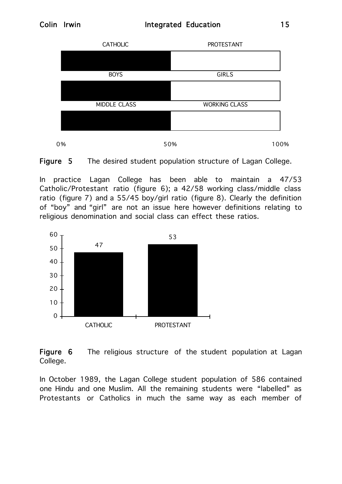



In practice Lagan College has been able to maintain a 47/53 Catholic/Protestant ratio (figure 6); a 42/58 working class/middle class ratio (figure 7) and a 55/45 boy/girl ratio (figure 8). Clearly the definition of "boy" and "girl" are not an issue here however definitions relating to religious denomination and social class can effect these ratios.



Figure 6 The religious structure of the student population at Lagan College.

In October 1989, the Lagan College student population of 586 contained one Hindu and one Muslim. All the remaining students were "labelled" as Protestants or Catholics in much the same way as each member of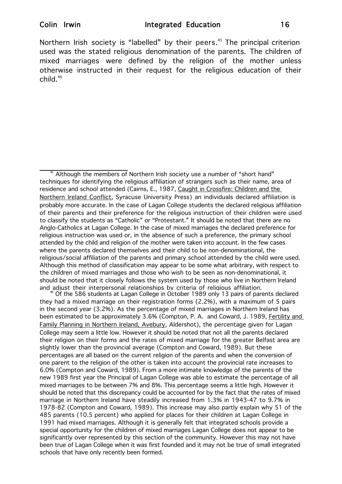Northern Irish society is "labelled" by their peers.<sup>45</sup> The principal criterion used was the stated religious denomination of the parents. The children of mixed marriages were defined by the religion of the mother unless otherwise instructed in their request for the religious education of their  $child<sup>46</sup>$ 

they had a mixed marriage on their registration forms (2.2%), with a maximum of 5 pairs in the second year (3.2%). As the percentage of mixed marriages in Northern Ireland has been estimated to be approximately 3.6% (Compton, P. A. and Coward, J. 1989, Fertility and Family Planning in Northern Ireland, Avebury, Aldershot), the percentage given for Lagan College may seem a little low. However it should be noted that not all the parents declared their religion on their forms and the rates of mixed marriage for the greater Belfast area are slightly lower than the provincial average (Compton and Coward, 1989). But these percentages are all based on the current religion of the parents and when the conversion of one parent to the religion of the other is taken into account the provincial rate increases to 6.0% (Compton and Coward, 1989). From a more intimate knowledge of the parents of the new 1989 first year the Principal of Lagan College was able to estimate the percentage of all mixed marriages to be between 7% and 8%. This percentage seems a little high. However it should be noted that this discrepancy could be accounted for by the fact that the rates of mixed marriage in Northern Ireland have steadily increased from 1.3% in 1943-47 to 9.7% in 1978-82 (Compton and Coward, 1989). This increase may also partly explain why 51 of the 485 parents (10.5 percent) who applied for places for their children at Lagan College in 1991 had mixed marriages. Although it is generally felt that integrated schools provide a special opportunity for the children of mixed marriages Lagan College does not appear to be significantly over represented by this section of the community. However this may not have been true of Lagan College when it was first founded and it may not be true of small integrated schools that have only recently been formed.

 $45$  Although the members of Northern Irish society use a number of "short hand" techniques for identifying the religious affiliation of strangers such as their name, area of residence and school attended (Cairns, E., 1987, Caught in Crossfire: Children and the Northern Ireland Conflict, Syracuse University Press) an individuals declared affiliation is probably more accurate. In the case of Lagan College students the declared religious affiliation of their parents and their preference for the religious instruction of their children were used to classify the students as "Catholic" or "Protestant." It should be noted that there are no Anglo-Catholics at Lagan College. In the case of mixed marriages the declared preference for religious instruction was used or, in the absence of such a preference, the primary school attended by the child and religion of the mother were taken into account. In the few cases where the parents declared themselves and their child to be non-denominational, the religious/social affiliation of the parents and primary school attended by the child were used. Although this method of classification may appear to be some what arbitrary, with respect to the children of mixed marriages and those who wish to be seen as non-denominational, it should be noted that it closely follows the system used by those who live in Northern Ireland and adjust their interpersonal relationships by criteria of religious affiliation.<br><sup>46</sup> Of the 586 students at Lagan College in October 1989 only 13 pairs of parents declared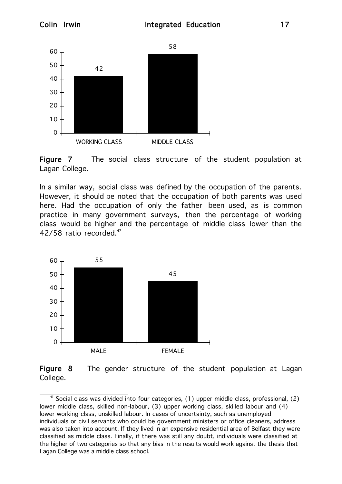

Figure 7 The social class structure of the student population at Lagan College.

In a similar way, social class was defined by the occupation of the parents. However, it should be noted that the occupation of both parents was used here. Had the occupation of only the father been used, as is common practice in many government surveys, then the percentage of working class would be higher and the percentage of middle class lower than the 42/58 ratio recorded.<sup>47</sup>





 $47$  Social class was divided into four categories, (1) upper middle class, professional, (2) lower middle class, skilled non-labour, (3) upper working class, skilled labour and (4) lower working class, unskilled labour. In cases of uncertainty, such as unemployed individuals or civil servants who could be government ministers or office cleaners, address was also taken into account. If they lived in an expensive residential area of Belfast they were classified as middle class. Finally, if there was still any doubt, individuals were classified at the higher of two categories so that any bias in the results would work against the thesis that Lagan College was a middle class school.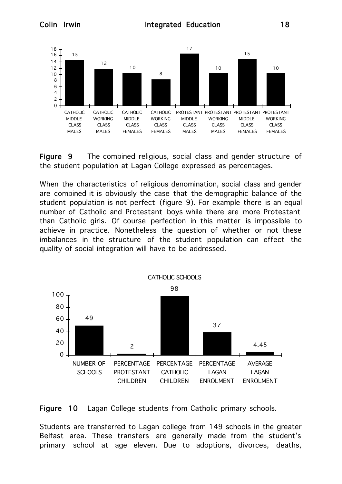

Figure 9 The combined religious, social class and gender structure of the student population at Lagan College expressed as percentages.

When the characteristics of religious denomination, social class and gender are combined it is obviously the case that the demographic balance of the student population is not perfect (figure 9). For example there is an equal number of Catholic and Protestant boys while there are more Protestant than Catholic girls. Of course perfection in this matter is impossible to achieve in practice. Nonetheless the question of whether or not these imbalances in the structure of the student population can effect the quality of social integration will have to be addressed.





Students are transferred to Lagan college from 149 schools in the greater Belfast area. These transfers are generally made from the student's primary school at age eleven. Due to adoptions, divorces, deaths,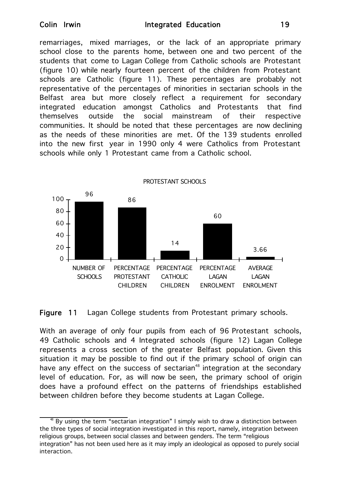remarriages, mixed marriages, or the lack of an appropriate primary school close to the parents home, between one and two percent of the students that come to Lagan College from Catholic schools are Protestant (figure 10) while nearly fourteen percent of the children from Protestant schools are Catholic (figure 11). These percentages are probably not representative of the percentages of minorities in sectarian schools in the Belfast area but more closely reflect a requirement for secondary integrated education amongst Catholics and Protestants that find themselves outside the social mainstream of their respective communities. It should be noted that these percentages are now declining as the needs of these minorities are met. Of the 139 students enrolled into the new first year in 1990 only 4 were Catholics from Protestant schools while only 1 Protestant came from a Catholic school.



Figure 11 Lagan College students from Protestant primary schools.

With an average of only four pupils from each of 96 Protestant schools, 49 Catholic schools and 4 Integrated schools (figure 12) Lagan College represents a cross section of the greater Belfast population. Given this situation it may be possible to find out if the primary school of origin can have any effect on the success of sectarian<sup>48</sup> integration at the secondary level of education. For, as will now be seen, the primary school of origin does have a profound effect on the patterns of friendships established between children before they become students at Lagan College.

By using the term "sectarian integration" I simply wish to draw a distinction between the three types of social integration investigated in this report, namely, integration between religious groups, between social classes and between genders. The term "religious integration" has not been used here as it may imply an ideological as opposed to purely social interaction.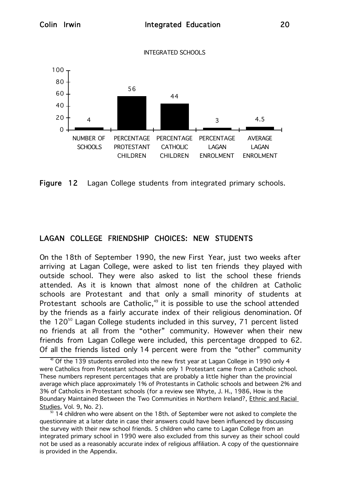INTEGRATED SCHOOLS



Figure 12 Lagan College students from integrated primary schools.

# LAGAN COLLEGE FRIENDSHIP CHOICES: NEW STUDENTS

On the 18th of September 1990, the new First Year, just two weeks after arriving at Lagan College, were asked to list ten friends they played with outside school. They were also asked to list the school these friends attended. As it is known that almost none of the children at Catholic schools are Protestant and that only a small minority of students at Protestant schools are Catholic, $49$  it is possible to use the school attended by the friends as a fairly accurate index of their religious denomination. Of the 120<sup>50</sup> Lagan College students included in this survey, 71 percent listed no friends at all from the "other" community. However when their new friends from Lagan College were included, this percentage dropped to 62. Of all the friends listed only 14 percent were from the "other" community

<sup>&</sup>lt;sup>49</sup> Of the 139 students enrolled into the new first year at Lagan College in 1990 only 4 were Catholics from Protestant schools while only 1 Protestant came from a Catholic school. These numbers represent percentages that are probably a little higher than the provincial average which place approximately 1% of Protestants in Catholic schools and between 2% and 3% of Catholics in Protestant schools (for a review see Whyte, J. H., 1986, How is the Boundary Maintained Between the Two Communities in Northern Ireland?, Ethnic and Racial Studies, Vol. 9, No. 2).<br><sup>50</sup> 14 children who were absent on the 18th. of September were not asked to complete the

questionnaire at a later date in case their answers could have been influenced by discussing the survey with their new school friends. 5 children who came to Lagan College from an integrated primary school in 1990 were also excluded from this survey as their school could not be used as a reasonably accurate index of religious affiliation. A copy of the questionnaire is provided in the Appendix.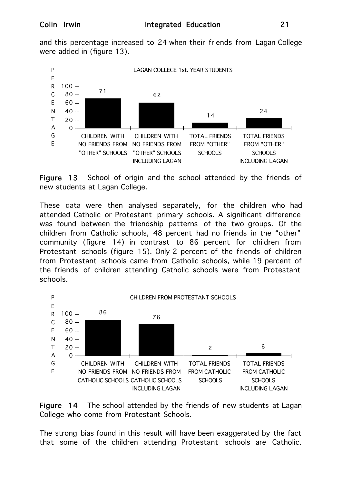and this percentage increased to 24 when their friends from Lagan College were added in (figure 13).



Figure 13 School of origin and the school attended by the friends of new students at Lagan College.

These data were then analysed separately, for the children who had attended Catholic or Protestant primary schools. A significant difference was found between the friendship patterns of the two groups. Of the children from Catholic schools, 48 percent had no friends in the "other" community (figure 14) in contrast to 86 percent for children from Protestant schools (figure 15). Only 2 percent of the friends of children from Protestant schools came from Catholic schools, while 19 percent of the friends of children attending Catholic schools were from Protestant schools.





The strong bias found in this result will have been exaggerated by the fact that some of the children attending Protestant schools are Catholic.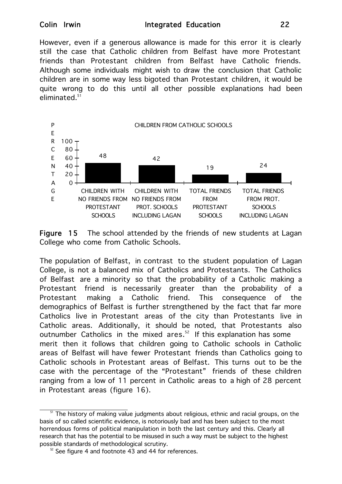### Colin Irwin **Integrated Education** 22

However, even if a generous allowance is made for this error it is clearly still the case that Catholic children from Belfast have more Protestant friends than Protestant children from Belfast have Catholic friends. Although some individuals might wish to draw the conclusion that Catholic children are in some way less bigoted than Protestant children, it would be quite wrong to do this until all other possible explanations had been eliminated.<sup>51</sup>



Figure 15 The school attended by the friends of new students at Lagan College who come from Catholic Schools.

The population of Belfast, in contrast to the student population of Lagan College, is not a balanced mix of Catholics and Protestants. The Catholics of Belfast are a minority so that the probability of a Catholic making a Protestant friend is necessarily greater than the probability of a Protestant making a Catholic friend. This consequence of the demographics of Belfast is further strengthened by the fact that far more Catholics live in Protestant areas of the city than Protestants live in Catholic areas. Additionally, it should be noted, that Protestants also outnumber Catholics in the mixed ares. $52$  If this explanation has some merit then it follows that children going to Catholic schools in Catholic areas of Belfast will have fewer Protestant friends than Catholics going to Catholic schools in Protestant areas of Belfast. This turns out to be the case with the percentage of the "Protestant" friends of these children ranging from a low of 11 percent in Catholic areas to a high of 28 percent in Protestant areas (figure 16).

<sup>&</sup>lt;sup>51</sup> The history of making value judgments about religious, ethnic and racial groups, on the basis of so called scientific evidence, is notoriously bad and has been subject to the most horrendous forms of political manipulation in both the last century and this. Clearly all research that has the potential to be misused in such a way must be subject to the highest possible standards of methodological scrutiny.

 $52$  See figure 4 and footnote 43 and 44 for references.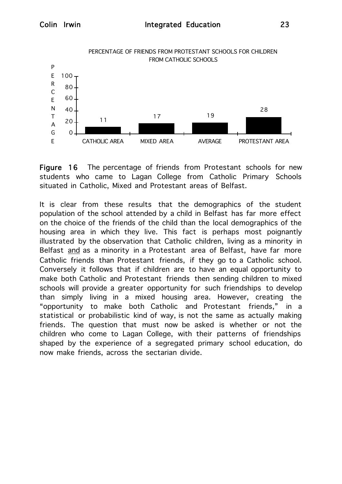

Figure 16 The percentage of friends from Protestant schools for new students who came to Lagan College from Catholic Primary Schools situated in Catholic, Mixed and Protestant areas of Belfast.

It is clear from these results that the demographics of the student population of the school attended by a child in Belfast has far more effect on the choice of the friends of the child than the local demographics of the housing area in which they live. This fact is perhaps most poignantly illustrated by the observation that Catholic children, living as a minority in Belfast and as a minority in a Protestant area of Belfast, have far more Catholic friends than Protestant friends, if they go to a Catholic school. Conversely it follows that if children are to have an equal opportunity to make both Catholic and Protestant friends then sending children to mixed schools will provide a greater opportunity for such friendships to develop than simply living in a mixed housing area. However, creating the "opportunity to make both Catholic and Protestant friends," in a statistical or probabilistic kind of way, is not the same as actually making friends. The question that must now be asked is whether or not the children who come to Lagan College, with their patterns of friendships shaped by the experience of a segregated primary school education, do now make friends, across the sectarian divide.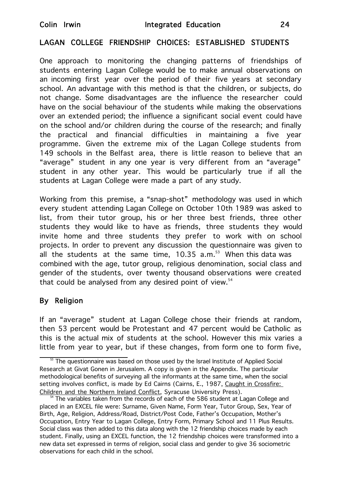# LAGAN COLLEGE FRIENDSHIP CHOICES: ESTABLISHED STUDENTS

One approach to monitoring the changing patterns of friendships of students entering Lagan College would be to make annual observations on an incoming first year over the period of their five years at secondary school. An advantage with this method is that the children, or subjects, do not change. Some disadvantages are the influence the researcher could have on the social behaviour of the students while making the observations over an extended period; the influence a significant social event could have on the school and/or children during the course of the research; and finally the practical and financial difficulties in maintaining a five year programme. Given the extreme mix of the Lagan College students from 149 schools in the Belfast area, there is little reason to believe that an "average" student in any one year is very different from an "average" student in any other year. This would be particularly true if all the students at Lagan College were made a part of any study.

Working from this premise, a "snap-shot" methodology was used in which every student attending Lagan College on October 10th 1989 was asked to list, from their tutor group, his or her three best friends, three other students they would like to have as friends, three students they would invite home and three students they prefer to work with on school projects. In order to prevent any discussion the questionnaire was given to all the students at the same time,  $10.35$  a.m.<sup>53</sup> When this data was combined with the age, tutor group, religious denomination, social class and gender of the students, over twenty thousand observations were created that could be analysed from any desired point of view. $54$ 

# By Religion

If an "average" student at Lagan College chose their friends at random, then 53 percent would be Protestant and 47 percent would be Catholic as this is the actual mix of students at the school. However this mix varies a little from year to year, but if these changes, from form one to form five,

 $53$  The questionnaire was based on those used by the Israel Institute of Applied Social Research at Givat Gonen in Jerusalem. A copy is given in the Appendix. The particular methodological benefits of surveying all the informants at the same time, when the social setting involves conflict, is made by Ed Cairns (Cairns, E., 1987, Caught in Crossfire: Children and the Northern Ireland Conflict, Syracuse University Press).<br><sup>54</sup> The variables taken from the records of each of the 586 student at Lagan College and

placed in an EXCEL file were: Surname, Given Name, Form Year, Tutor Group, Sex, Year of Birth, Age, Religion, Address/Road, District/Post Code, Father's Occupation, Mother's Occupation, Entry Year to Lagan College, Entry Form, Primary School and 11 Plus Results. Social class was then added to this data along with the 12 friendship choices made by each student. Finally, using an EXCEL function, the 12 friendship choices were transformed into a new data set expressed in terms of religion, social class and gender to give 36 sociometric observations for each child in the school.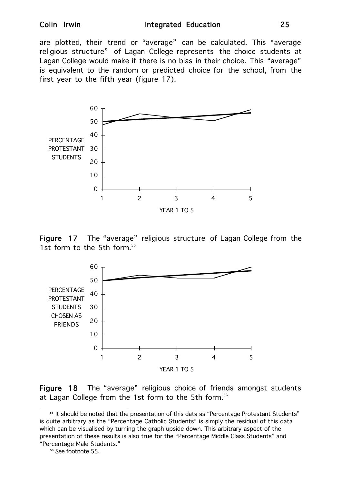#### Colin Irwin **Integrated Education** 25

are plotted, their trend or "average" can be calculated. This "average religious structure" of Lagan College represents the choice students at Lagan College would make if there is no bias in their choice. This "average" is equivalent to the random or predicted choice for the school, from the first year to the fifth year (figure 17).



Figure 17 The "average" religious structure of Lagan College from the 1st form to the 5th form.<sup>55</sup>



Figure 18 The "average" religious choice of friends amongst students at Lagan College from the 1st form to the 5th form.<sup>56</sup>

<sup>&</sup>lt;sup>55</sup> It should be noted that the presentation of this data as "Percentage Protestant Students" is quite arbitrary as the "Percentage Catholic Students" is simply the residual of this data which can be visualised by turning the graph upside down. This arbitrary aspect of the presentation of these results is also true for the "Percentage Middle Class Students" and "Percentage Male Students."

<sup>&</sup>lt;sup>56</sup> See footnote 55.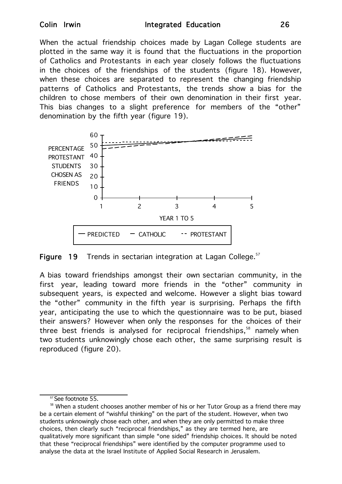### Colin Irwin **Integrated Education** 26

When the actual friendship choices made by Lagan College students are plotted in the same way it is found that the fluctuations in the proportion of Catholics and Protestants in each year closely follows the fluctuations in the choices of the friendships of the students (figure 18). However, when these choices are separated to represent the changing friendship patterns of Catholics and Protestants, the trends show a bias for the children to chose members of their own denomination in their first year. This bias changes to a slight preference for members of the "other" denomination by the fifth year (figure 19).



Figure 19 Trends in sectarian integration at Lagan College. $57$ 

A bias toward friendships amongst their own sectarian community, in the first year, leading toward more friends in the "other" community in subsequent years, is expected and welcome. However a slight bias toward the "other" community in the fifth year is surprising. Perhaps the fifth year, anticipating the use to which the questionnaire was to be put, biased their answers? However when only the responses for the choices of their three best friends is analysed for reciprocal friendships,<sup>58</sup> namely when two students unknowingly chose each other, the same surprising result is reproduced (figure 20).

<sup>&</sup>lt;sup>57</sup> See footnote 55.

<sup>&</sup>lt;sup>58</sup> When a student chooses another member of his or her Tutor Group as a friend there may be a certain element of "wishful thinking" on the part of the student. However, when two students unknowingly chose each other, and when they are only permitted to make three choices, then clearly such "reciprocal friendships," as they are termed here, are qualitatively more significant than simple "one sided" friendship choices. It should be noted that these "reciprocal friendships" were identified by the computer programme used to analyse the data at the Israel Institute of Applied Social Research in Jerusalem.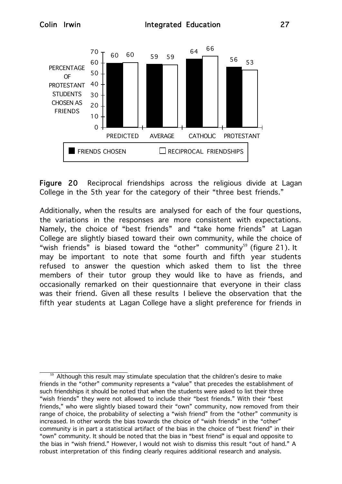

Figure 20 Reciprocal friendships across the religious divide at Lagan College in the 5th year for the category of their "three best friends."

Additionally, when the results are analysed for each of the four questions, the variations in the responses are more consistent with expectations. Namely, the choice of "best friends" and "take home friends" at Lagan College are slightly biased toward their own community, while the choice of "wish friends" is biased toward the "other" community<sup>59</sup> (figure 21). It may be important to note that some fourth and fifth year students refused to answer the question which asked them to list the three members of their tutor group they would like to have as friends, and occasionally remarked on their questionnaire that everyone in their class was their friend. Given all these results I believe the observation that the fifth year students at Lagan College have a slight preference for friends in

Although this result may stimulate speculation that the children's desire to make friends in the "other" community represents a "value" that precedes the establishment of such friendships it should be noted that when the students were asked to list their three "wish friends" they were not allowed to include their "best friends." With their "best friends," who were slightly biased toward their "own" community, now removed from their range of choice, the probability of selecting a "wish friend" from the "other" community is increased. In other words the bias towards the choice of "wish friends" in the "other" community is in part a statistical artifact of the bias in the choice of "best friend" in their "own" community. It should be noted that the bias in "best friend" is equal and opposite to the bias in "wish friend." However, I would not wish to dismiss this result "out of hand." A robust interpretation of this finding clearly requires additional research and analysis.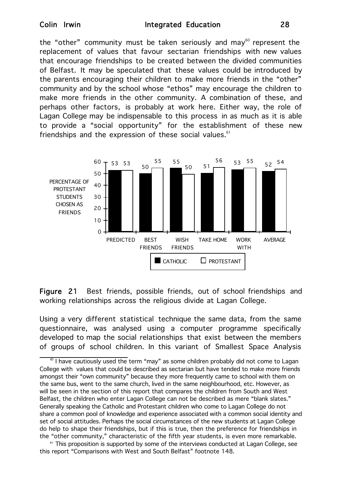the "other" community must be taken seriously and may $^{60}$  represent the replacement of values that favour sectarian friendships with new values that encourage friendships to be created between the divided communities of Belfast. It may be speculated that these values could be introduced by the parents encouraging their children to make more friends in the "other" community and by the school whose "ethos" may encourage the children to make more friends in the other community. A combination of these, and perhaps other factors, is probably at work here. Either way, the role of Lagan College may be indispensable to this process in as much as it is able to provide a "social opportunity" for the establishment of these new friendships and the expression of these social values. $61$ 



Figure 21 Best friends, possible friends, out of school friendships and working relationships across the religious divide at Lagan College.

Using a very different statistical technique the same data, from the same questionnaire, was analysed using a computer programme specifically developed to map the social relationships that exist between the members of groups of school children. In this variant of Smallest Space Analysis

<sup>61</sup> This proposition is supported by some of the interviews conducted at Lagan College, see this report "Comparisons with West and South Belfast" footnote 148.

 $^{\circ}$  I have cautiously used the term "may" as some children probably did not come to Lagan College with values that could be described as sectarian but have tended to make more friends amongst their "own community" because they more frequently came to school with them on the same bus, went to the same church, lived in the same neighbourhood, etc. However, as will be seen in the section of this report that compares the children from South and West Belfast, the children who enter Lagan College can not be described as mere "blank slates." Generally speaking the Catholic and Protestant children who come to Lagan College do not share a common pool of knowledge and experience associated with a common social identity and set of social attitudes. Perhaps the social circumstances of the new students at Lagan College do help to shape their friendships, but if this is true, then the preference for friendships in the "other community," characteristic of the fifth year students, is even more remarkable.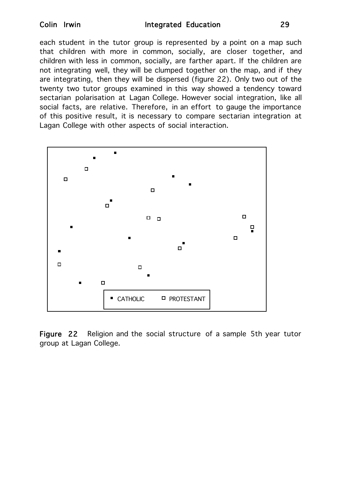#### Colin Irwin **Integrated Education** 29

each student in the tutor group is represented by a point on a map such that children with more in common, socially, are closer together, and children with less in common, socially, are farther apart. If the children are not integrating well, they will be clumped together on the map, and if they are integrating, then they will be dispersed (figure 22). Only two out of the twenty two tutor groups examined in this way showed a tendency toward sectarian polarisation at Lagan College. However social integration, like all social facts, are relative. Therefore, in an effort to gauge the importance of this positive result, it is necessary to compare sectarian integration at Lagan College with other aspects of social interaction.



Figure 22 Religion and the social structure of a sample 5th year tutor group at Lagan College.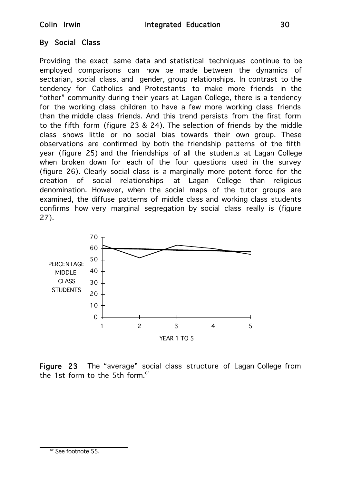# By Social Class

Providing the exact same data and statistical techniques continue to be employed comparisons can now be made between the dynamics of sectarian, social class, and gender, group relationships. In contrast to the tendency for Catholics and Protestants to make more friends in the "other" community during their years at Lagan College, there is a tendency for the working class children to have a few more working class friends than the middle class friends. And this trend persists from the first form to the fifth form (figure 23 & 24). The selection of friends by the middle class shows little or no social bias towards their own group. These observations are confirmed by both the friendship patterns of the fifth year (figure 25) and the friendships of all the students at Lagan College when broken down for each of the four questions used in the survey (figure 26). Clearly social class is a marginally more potent force for the creation of social relationships at Lagan College than religious denomination. However, when the social maps of the tutor groups are examined, the diffuse patterns of middle class and working class students confirms how very marginal segregation by social class really is (figure 27).



Figure 23 The "average" social class structure of Lagan College from the 1st form to the 5th form. $62$ 

<sup>62</sup> See footnote 55.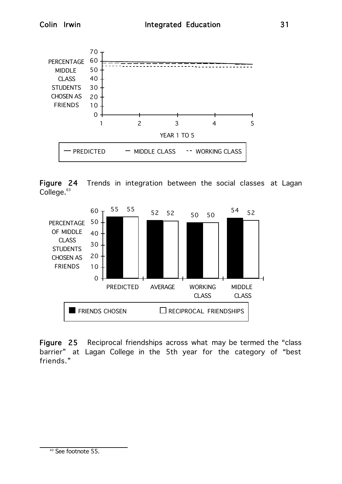

Figure 24 Trends in integration between the social classes at Lagan College.<sup>63</sup>



Figure 25 Reciprocal friendships across what may be termed the "class barrier" at Lagan College in the 5th year for the category of "best friends."

<sup>63</sup> See footnote 55.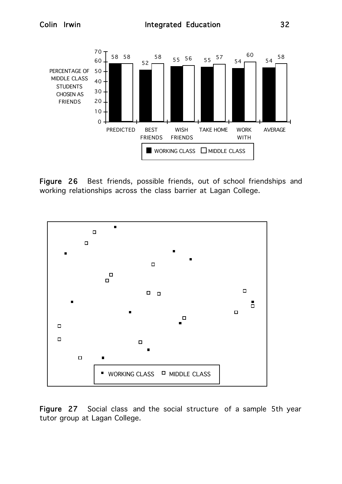

Figure 26 Best friends, possible friends, out of school friendships and working relationships across the class barrier at Lagan College.



Figure 27 Social class and the social structure of a sample 5th year tutor group at Lagan College.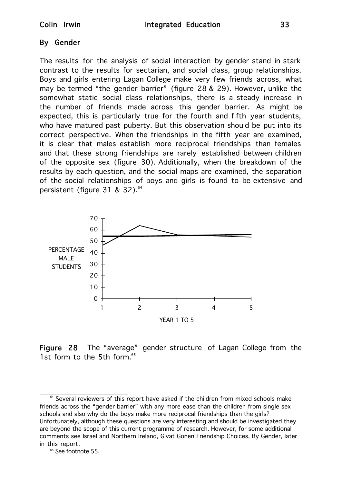# By Gender

The results for the analysis of social interaction by gender stand in stark contrast to the results for sectarian, and social class, group relationships. Boys and girls entering Lagan College make very few friends across, what may be termed "the gender barrier" (figure 28 & 29). However, unlike the somewhat static social class relationships, there is a steady increase in the number of friends made across this gender barrier. As might be expected, this is particularly true for the fourth and fifth year students, who have matured past puberty. But this observation should be put into its correct perspective. When the friendships in the fifth year are examined, it is clear that males establish more reciprocal friendships than females and that these strong friendships are rarely established between children of the opposite sex (figure 30). Additionally, when the breakdown of the results by each question, and the social maps are examined, the separation of the social relationships of boys and girls is found to be extensive and persistent (figure 31 & 32). $64$ 



Figure 28 The "average" gender structure of Lagan College from the 1st form to the 5th form.<sup>65</sup>

 $64$  Several reviewers of this report have asked if the children from mixed schools make friends across the "gender barrier" with any more ease than the children from single sex schools and also why do the boys make more reciprocal friendships than the girls? Unfortunately, although these questions are very interesting and should be investigated they are beyond the scope of this current programme of research. However, for some additional comments see Israel and Northern Ireland, Givat Gonen Friendship Choices, By Gender, later in this report.

<sup>&</sup>lt;sup>65</sup> See footnote 55.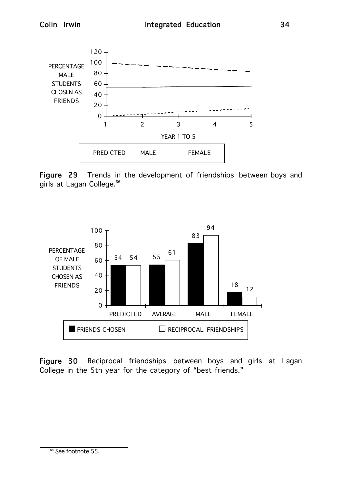

Figure 29 Trends in the development of friendships between boys and girls at Lagan College.<sup>66</sup>



Figure 30 Reciprocal friendships between boys and girls at Lagan College in the 5th year for the category of "best friends."

<sup>&</sup>lt;sup>66</sup> See footnote 55.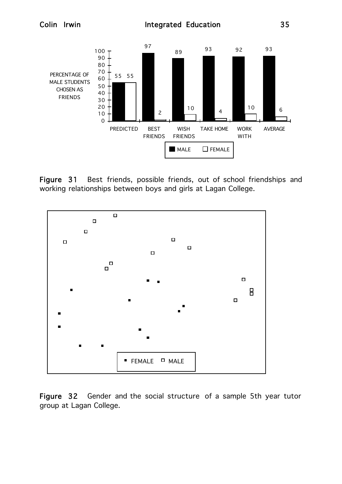

Figure 31 Best friends, possible friends, out of school friendships and working relationships between boys and girls at Lagan College.



Figure 32 Gender and the social structure of a sample 5th year tutor group at Lagan College.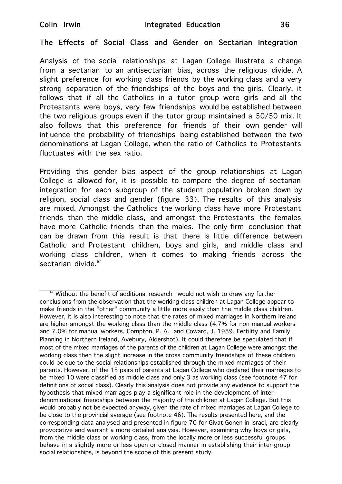## The Effects of Social Class and Gender on Sectarian Integration

Analysis of the social relationships at Lagan College illustrate a change from a sectarian to an antisectarian bias, across the religious divide. A slight preference for working class friends by the working class and a very strong separation of the friendships of the boys and the girls. Clearly, it follows that if all the Catholics in a tutor group were girls and all the Protestants were boys, very few friendships would be established between the two religious groups even if the tutor group maintained a 50/50 mix. It also follows that this preference for friends of their own gender will influence the probability of friendships being established between the two denominations at Lagan College, when the ratio of Catholics to Protestants fluctuates with the sex ratio.

Providing this gender bias aspect of the group relationships at Lagan College is allowed for, it is possible to compare the degree of sectarian integration for each subgroup of the student population broken down by religion, social class and gender (figure 33). The results of this analysis are mixed. Amongst the Catholics the working class have more Protestant friends than the middle class, and amongst the Protestants the females have more Catholic friends than the males. The only firm conclusion that can be drawn from this result is that there is little difference between Catholic and Protestant children, boys and girls, and middle class and working class children, when it comes to making friends across the sectarian divide.<sup>67</sup>

 $\degree$  Without the benefit of additional research I would not wish to draw any further conclusions from the observation that the working class children at Lagan College appear to make friends in the "other" community a little more easily than the middle class children. However, it is also interesting to note that the rates of mixed marriages in Northern Ireland are higher amongst the working class than the middle class (4.7% for non-manual workers and 7.0% for manual workers, Compton, P. A. and Coward, J. 1989, Fertility and Family Planning in Northern Ireland, Avebury, Aldershot). It could therefore be speculated that if most of the mixed marriages of the parents of the children at Lagan College were amongst the working class then the slight increase in the cross community friendships of these children could be due to the social relationships established through the mixed marriages of their parents. However, of the 13 pairs of parents at Lagan College who declared their marriages to be mixed 10 were classified as middle class and only 3 as working class (see footnote 47 for definitions of social class). Clearly this analysis does not provide any evidence to support the hypothesis that mixed marriages play a significant role in the development of interdenominational friendships between the majority of the children at Lagan College. But this would probably not be expected anyway, given the rate of mixed marriages at Lagan College to be close to the provincial average (see footnote 46). The results presented here, and the corresponding data analysed and presented in figure 70 for Givat Gonen in Israel, are clearly provocative and warrant a more detailed analysis. However, examining why boys or girls, from the middle class or working class, from the locally more or less successful groups, behave in a slightly more or less open or closed manner in establishing their inter-group social relationships, is beyond the scope of this present study.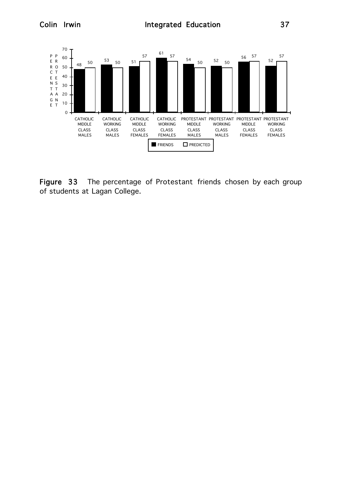

Figure 33 The percentage of Protestant friends chosen by each group of students at Lagan College.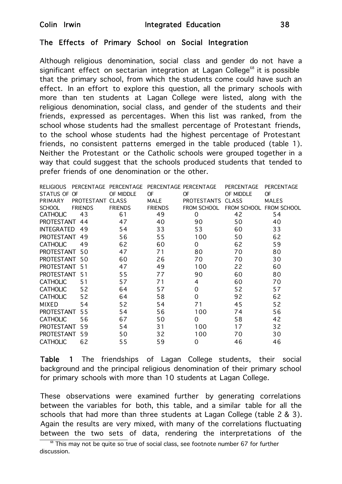## The Effects of Primary School on Social Integration

Although religious denomination, social class and gender do not have a significant effect on sectarian integration at Lagan College<sup>68</sup> it is possible that the primary school, from which the students come could have such an effect. In an effort to explore this question, all the primary schools with more than ten students at Lagan College were listed, along with the religious denomination, social class, and gender of the students and their friends, expressed as percentages. When this list was ranked, from the school whose students had the smallest percentage of Protestant friends, to the school whose students had the highest percentage of Protestant friends, no consistent patterns emerged in the table produced (table 1). Neither the Protestant or the Catholic schools were grouped together in a way that could suggest that the schools produced students that tended to prefer friends of one denomination or the other.

|                   |                  | RELIGIOUS PERCENTAGE PERCENTAGE |                | PERCENTAGE PERCENTAGE | PERCENTAGE   | PERCENTAGE              |
|-------------------|------------------|---------------------------------|----------------|-----------------------|--------------|-------------------------|
| STATUS OF OF      |                  | OF MIDDLE                       | <b>OF</b>      | <b>OF</b>             | OF MIDDLE    | <b>OF</b>               |
| PRIMARY           | PROTESTANT CLASS |                                 | <b>MALE</b>    | <b>PROTESTANTS</b>    | <b>CLASS</b> | <b>MALES</b>            |
| <b>SCHOOL</b>     | <b>FRIENDS</b>   | <b>FRIENDS</b>                  | <b>FRIENDS</b> | FROM SCHOOL           |              | FROM SCHOOL FROM SCHOOL |
| <b>CATHOLIC</b>   | 43               | 61                              | 49             | 0                     | 42           | 54                      |
| <b>PROTESTANT</b> | 44               | 47                              | 40             | 90                    | 50           | 40                      |
| <b>INTEGRATED</b> | 49               | 54                              | 33             | 53                    | 60           | 33                      |
| <b>PROTESTANT</b> | 49               | 56                              | 55             | 100                   | 50           | 62                      |
| <b>CATHOLIC</b>   | 49               | 62                              | 60             | 0                     | 62           | 59                      |
| <b>PROTESTANT</b> | 50               | 47                              | 71             | 80                    | 70           | 80                      |
| <b>PROTESTANT</b> | 50               | 60                              | 26             | 70                    | 70           | 30                      |
| <b>PROTESTANT</b> | 51               | 47                              | 49             | 100                   | 22           | 60                      |
| <b>PROTESTANT</b> | 51               | 55                              | 77             | 90                    | 60           | 80                      |
| <b>CATHOLIC</b>   | 51               | 57                              | 71             | 4                     | 60           | 70                      |
| <b>CATHOLIC</b>   | 52               | 64                              | 57             | 0                     | 52           | 57                      |
| <b>CATHOLIC</b>   | 52               | 64                              | 58             | $\Omega$              | 92           | 62                      |
| <b>MIXED</b>      | 54               | 52                              | 54             | 71                    | 45           | 52                      |
| <b>PROTESTANT</b> | 55               | 54                              | 56             | 100                   | 74           | 56                      |
| <b>CATHOLIC</b>   | 56               | 67                              | 50             | $\Omega$              | 58           | 42                      |
| <b>PROTESTANT</b> | 59               | 54                              | 31             | 100                   | 17           | 32                      |
| <b>PROTESTANT</b> | 59               | 50                              | 32             | 100                   | 70           | 30                      |
| <b>CATHOLIC</b>   | 62               | 55                              | 59             | $\Omega$              | 46           | 46                      |

Table 1 The friendships of Lagan College students, their social background and the principal religious denomination of their primary school for primary schools with more than 10 students at Lagan College.

These observations were examined further by generating correlations between the variables for both, this table, and a similar table for all the schools that had more than three students at Lagan College (table 2 & 3). Again the results are very mixed, with many of the correlations fluctuating between the two sets of data, rendering the interpretations of the

 $\frac{68}{100}$  This may not be quite so true of social class, see footnote number 67 for further discussion.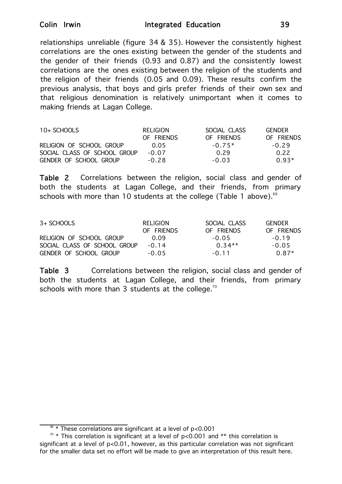relationships unreliable (figure 34 & 35). However the consistently highest correlations are the ones existing between the gender of the students and the gender of their friends (0.93 and 0.87) and the consistently lowest correlations are the ones existing between the religion of the students and the religion of their friends (0.05 and 0.09). These results confirm the previous analysis, that boys and girls prefer friends of their own sex and that religious denomination is relatively unimportant when it comes to making friends at Lagan College.

| 10+ SCHOOLS                  | RELIGION   | SOCIAL CLASS | GENDER     |
|------------------------------|------------|--------------|------------|
|                              | OF FRIENDS | OF FRIENDS   | OF FRIENDS |
| RELIGION OF SCHOOL GROUP     | 0.05       | $-0.75*$     | $-0.29$    |
| SOCIAL CLASS OF SCHOOL GROUP | $-0.07$    | 0.29         | 0.22       |
| GENDER OF SCHOOL GROUP       | $-0.28$    | $-0.03$      | $0.93*$    |

Table 2 Correlations between the religion, social class and gender of both the students at Lagan College, and their friends, from primary schools with more than 10 students at the college (Table 1 above). $69$ 

| 3+ SCHOOLS                   | RELIGION<br>OF FRIENDS | SOCIAL CLASS<br>OF FRIENDS | <b>GENDER</b><br>OF FRIENDS |
|------------------------------|------------------------|----------------------------|-----------------------------|
|                              |                        |                            |                             |
| RELIGION OF SCHOOL GROUP     | 0.09                   | $-0.05$                    | $-0.19$                     |
| SOCIAL CLASS OF SCHOOL GROUP | $-0.14$                | $0.34**$                   | $-0.05$                     |
| GENDER OF SCHOOL GROUP       | $-0.05$                | $-0.11$                    | $0.87*$                     |

Table 3 Correlations between the religion, social class and gender of both the students at Lagan College, and their friends, from primary schools with more than 3 students at the college.<sup>70</sup>

 $\frac{69 \times 7}{200}$  These correlations are significant at a level of p<0.001

 $\pi$  \* This correlation is significant at a level of p<0.001 and \*\* this correlation is significant at a level of p<0.01, however, as this particular correlation was not significant for the smaller data set no effort will be made to give an interpretation of this result here.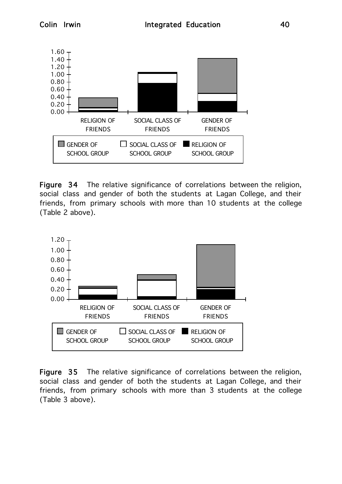

Figure 34 The relative significance of correlations between the religion, social class and gender of both the students at Lagan College, and their friends, from primary schools with more than 10 students at the college (Table 2 above).



Figure 35 The relative significance of correlations between the religion, social class and gender of both the students at Lagan College, and their friends, from primary schools with more than 3 students at the college (Table 3 above).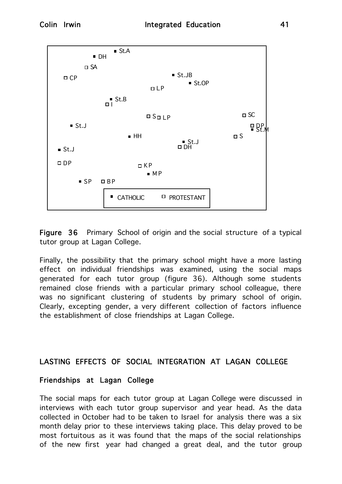

Figure 36 Primary School of origin and the social structure of a typical tutor group at Lagan College.

Finally, the possibility that the primary school might have a more lasting effect on individual friendships was examined, using the social maps generated for each tutor group (figure 36). Although some students remained close friends with a particular primary school colleague, there was no significant clustering of students by primary school of origin. Clearly, excepting gender, a very different collection of factors influence the establishment of close friendships at Lagan College.

## LASTING EFFECTS OF SOCIAL INTEGRATION AT LAGAN COLLEGE

## Friendships at Lagan College

The social maps for each tutor group at Lagan College were discussed in interviews with each tutor group supervisor and year head. As the data collected in October had to be taken to Israel for analysis there was a six month delay prior to these interviews taking place. This delay proved to be most fortuitous as it was found that the maps of the social relationships of the new first year had changed a great deal, and the tutor group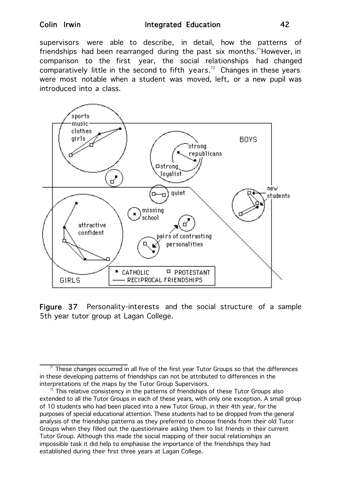supervisors were able to describe, in detail, how the patterns of friendships had been rearranged during the past six months.<sup>71</sup>However, in comparison to the first year, the social relationships had changed comparatively little in the second to fifth years.<sup>72</sup> Changes in these years were most notable when a student was moved, left, or a new pupil was introduced into a class.



Figure 37 Personality-interests and the social structure of a sample 5th year tutor group at Lagan College.

 $71$  These changes occurred in all five of the first year Tutor Groups so that the differences in these developing patterns of friendships can not be attributed to differences in the interpretations of the maps by the Tutor Group Supervisors.

 $\frac{7}{2}$  This relative consistency in the patterns of friendships of these Tutor Groups also extended to all the Tutor Groups in each of these years, with only one exception. A small group of 10 students who had been placed into a new Tutor Group, in their 4th year, for the purposes of special educational attention. These students had to be dropped from the general analysis of the friendship patterns as they preferred to choose friends from their old Tutor Groups when they filled out the questionnaire asking them to list friends in their current Tutor Group. Although this made the social mapping of their social relationships an impossible task it did help to emphasise the importance of the friendships they had established during their first three years at Lagan College.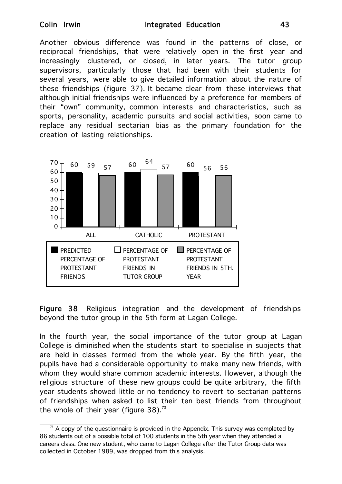Another obvious difference was found in the patterns of close, or reciprocal friendships, that were relatively open in the first year and increasingly clustered, or closed, in later years. The tutor group supervisors, particularly those that had been with their students for several years, were able to give detailed information about the nature of these friendships (figure 37). It became clear from these interviews that although initial friendships were influenced by a preference for members of their "own" community, common interests and characteristics, such as sports, personality, academic pursuits and social activities, soon came to replace any residual sectarian bias as the primary foundation for the creation of lasting relationships.



Figure 38 Religious integration and the development of friendships beyond the tutor group in the 5th form at Lagan College.

In the fourth year, the social importance of the tutor group at Lagan College is diminished when the students start to specialise in subjects that are held in classes formed from the whole year. By the fifth year, the pupils have had a considerable opportunity to make many new friends, with whom they would share common academic interests. However, although the religious structure of these new groups could be quite arbitrary, the fifth year students showed little or no tendency to revert to sectarian patterns of friendships when asked to list their ten best friends from throughout the whole of their year (figure  $38$ ).<sup>73</sup>

 $\frac{73}{2}$  A copy of the questionnaire is provided in the Appendix. This survey was completed by 86 students out of a possible total of 100 students in the 5th year when they attended a careers class. One new student, who came to Lagan College after the Tutor Group data was collected in October 1989, was dropped from this analysis.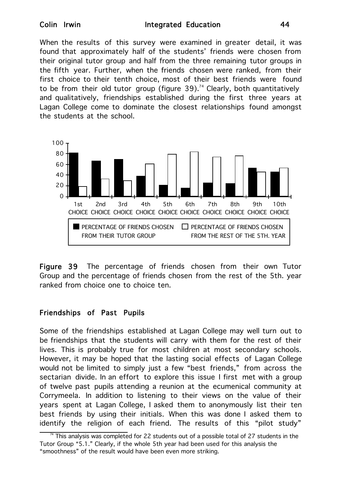When the results of this survey were examined in greater detail, it was found that approximately half of the students' friends were chosen from their original tutor group and half from the three remaining tutor groups in the fifth year. Further, when the friends chosen were ranked, from their first choice to their tenth choice, most of their best friends were found to be from their old tutor group (figure 39).<sup>74</sup> Clearly, both quantitatively and qualitatively, friendships established during the first three years at Lagan College come to dominate the closest relationships found amongst the students at the school.



Figure 39 The percentage of friends chosen from their own Tutor Group and the percentage of friends chosen from the rest of the 5th. year ranked from choice one to choice ten.

# Friendships of Past Pupils

Some of the friendships established at Lagan College may well turn out to be friendships that the students will carry with them for the rest of their lives. This is probably true for most children at most secondary schools. However, it may be hoped that the lasting social effects of Lagan College would not be limited to simply just a few "best friends," from across the sectarian divide. In an effort to explore this issue I first met with a group of twelve past pupils attending a reunion at the ecumenical community at Corrymeela. In addition to listening to their views on the value of their years spent at Lagan College, I asked them to anonymously list their ten best friends by using their initials. When this was done I asked them to identify the religion of each friend. The results of this "pilot study"

 $74$  This analysis was completed for 22 students out of a possible total of 27 students in the Tutor Group "5.1." Clearly, if the whole 5th year had been used for this analysis the "smoothness" of the result would have been even more striking.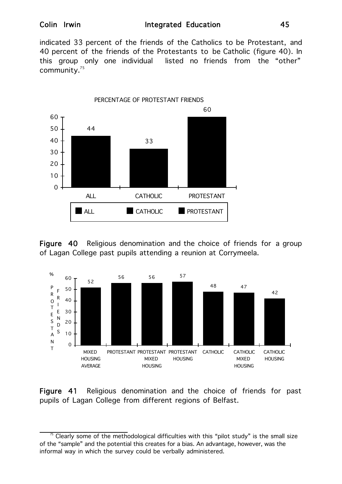indicated 33 percent of the friends of the Catholics to be Protestant, and 40 percent of the friends of the Protestants to be Catholic (figure 40). In this group only one individual listed no friends from the "other" community.<sup>75</sup>



Figure 40 Religious denomination and the choice of friends for a group of Lagan College past pupils attending a reunion at Corrymeela.



Figure 41 Religious denomination and the choice of friends for past pupils of Lagan College from different regions of Belfast.

 $\frac{75}{10}$  Clearly some of the methodological difficulties with this "pilot study" is the small size of the "sample" and the potential this creates for a bias. An advantage, however, was the informal way in which the survey could be verbally administered.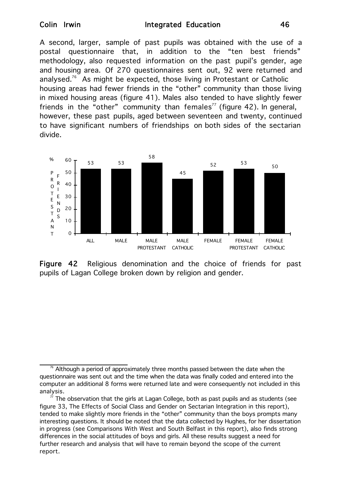A second, larger, sample of past pupils was obtained with the use of a postal questionnaire that, in addition to the "ten best friends" methodology, also requested information on the past pupil's gender, age and housing area. Of 270 questionnaires sent out, 92 were returned and analysed.<sup>76</sup> As might be expected, those living in Protestant or Catholic housing areas had fewer friends in the "other" community than those living in mixed housing areas (figure 41). Males also tended to have slightly fewer friends in the "other" community than females<sup>77</sup> (figure 42). In general, however, these past pupils, aged between seventeen and twenty, continued to have significant numbers of friendships on both sides of the sectarian divide.



Figure 42 Religious denomination and the choice of friends for past pupils of Lagan College broken down by religion and gender.

 $\mathrm{^{76}}$  Although a period of approximately three months passed between the date when the questionnaire was sent out and the time when the data was finally coded and entered into the computer an additional 8 forms were returned late and were consequently not included in this analysis.

The observation that the girls at Lagan College, both as past pupils and as students (see figure 33, The Effects of Social Class and Gender on Sectarian Integration in this report), tended to make slightly more friends in the "other" community than the boys prompts many interesting questions. It should be noted that the data collected by Hughes, for her dissertation in progress (see Comparisons With West and South Belfast in this report), also finds strong differences in the social attitudes of boys and girls. All these results suggest a need for further research and analysis that will have to remain beyond the scope of the current report.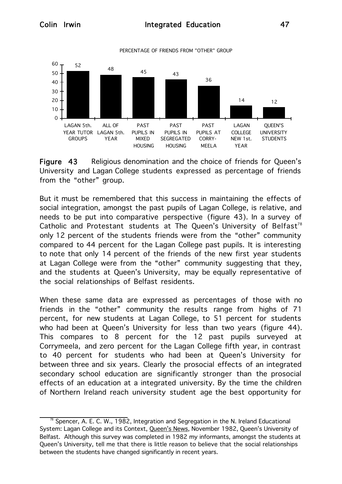

Figure 43 Religious denomination and the choice of friends for Queen's University and Lagan College students expressed as percentage of friends from the "other" group.

But it must be remembered that this success in maintaining the effects of social integration, amongst the past pupils of Lagan College, is relative, and needs to be put into comparative perspective (figure 43). In a survey of Catholic and Protestant students at The Queen's University of Belfast<sup>78</sup> only 12 percent of the students friends were from the "other" community compared to 44 percent for the Lagan College past pupils. It is interesting to note that only 14 percent of the friends of the new first year students at Lagan College were from the "other" community suggesting that they, and the students at Queen's University, may be equally representative of the social relationships of Belfast residents.

When these same data are expressed as percentages of those with no friends in the "other" community the results range from highs of 71 percent, for new students at Lagan College, to 51 percent for students who had been at Queen's University for less than two years (figure 44). This compares to 8 percent for the 12 past pupils surveyed at Corrymeela, and zero percent for the Lagan College fifth year, in contrast to 40 percent for students who had been at Queen's University for between three and six years. Clearly the prosocial effects of an integrated secondary school education are significantly stronger than the prosocial effects of an education at a integrated university. By the time the children of Northern Ireland reach university student age the best opportunity for

Spencer, A. E. C. W., 1982, Integration and Segregation in the N. Ireland Educational System: Lagan College and its Context, Queen's News, November 1982, Queen's University of Belfast. Although this survey was completed in 1982 my informants, amongst the students at Queen's University, tell me that there is little reason to believe that the social relationships between the students have changed significantly in recent years.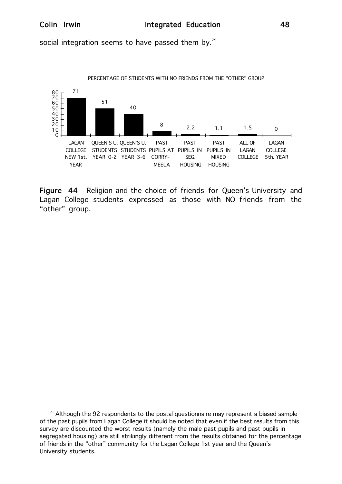social integration seems to have passed them by. $^{79}$ 



Figure 44 Religion and the choice of friends for Queen's University and Lagan College students expressed as those with NO friends from the "other" group.

 $^\text{\tiny{79}}$  Although the 92 respondents to the postal questionnaire may represent a biased sample of the past pupils from Lagan College it should be noted that even if the best results from this survey are discounted the worst results (namely the male past pupils and past pupils in segregated housing) are still strikingly different from the results obtained for the percentage of friends in the "other" community for the Lagan College 1st year and the Queen's University students.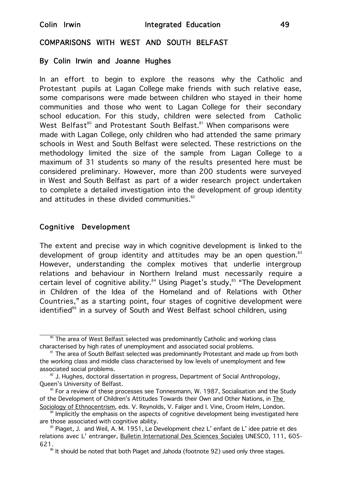## COMPARISONS WITH WEST AND SOUTH BELFAST

## By Colin Irwin and Joanne Hughes

In an effort to begin to explore the reasons why the Catholic and Protestant pupils at Lagan College make friends with such relative ease, some comparisons were made between children who stayed in their home communities and those who went to Lagan College for their secondary school education. For this study, children were selected from Catholic West Belfast<sup>80</sup> and Protestant South Belfast.<sup>81</sup> When comparisons were made with Lagan College, only children who had attended the same primary schools in West and South Belfast were selected. These restrictions on the methodology limited the size of the sample from Lagan College to a maximum of 31 students so many of the results presented here must be considered preliminary. However, more than 200 students were surveyed in West and South Belfast as part of a wider research project undertaken to complete a detailed investigation into the development of group identity and attitudes in these divided communities.<sup>82</sup>

## Cognitive Development

The extent and precise way in which cognitive development is linked to the development of group identity and attitudes may be an open question.<sup>83</sup> However, understanding the complex motives that underlie intergroup relations and behaviour in Northern Ireland must necessarily require a certain level of cognitive ability.<sup>84</sup> Using Piaget's study,<sup>85</sup> "The Development in Children of the Idea of the Homeland and of Relations with Other Countries," as a starting point, four stages of cognitive development were identified<sup>86</sup> in a survey of South and West Belfast school children, using

<sup>&</sup>lt;sup>80</sup> The area of West Belfast selected was predominantly Catholic and working class characterised by high rates of unemployment and associated social problems.

<sup>&</sup>lt;sup>81</sup> The area of South Belfast selected was predominantly Protestant and made up from both the working class and middle class characterised by low levels of unemployment and few associated social problems.

 $82$  J. Hughes, doctoral dissertation in progress, Department of Social Anthropology, Queen's University of Belfast.

 $83$  For a review of these processes see Tonnesmann, W. 1987, Socialisation and the Study of the Development of Children's Attitudes Towards their Own and Other Nations, in The Sociology of Ethnocentrism, eds. V. Reynolds, V. Falger and I. Vine, Croom Helm, London.

Implicitly the emphasis on the aspects of cognitive development being investigated here are those associated with cognitive ability.

 $85$  Piaget, J. and Weil, A. M. 1951, Le Development chez L' enfant de L' idee patrie et des relations avec L' entranger, Bulletin International Des Sciences Sociales UNESCO, 111, 605-621.<br><sup>86</sup> It should be noted that both Piaget and Jahoda (footnote 92) used only three stages.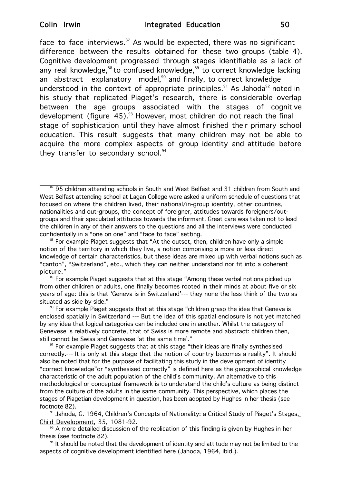face to face interviews.<sup>87</sup> As would be expected, there was no significant difference between the results obtained for these two groups (table 4). Cognitive development progressed through stages identifiable as a lack of any real knowledge, ${}^{88}$  to confused knowledge, ${}^{89}$  to correct knowledge lacking an abstract explanatory model, $90$  and finally, to correct knowledge understood in the context of appropriate principles.<sup>91</sup> As Jahoda<sup>92</sup> noted in his study that replicated Piaget's research, there is considerable overlap between the age groups associated with the stages of cognitive development (figure  $45)$ .<sup>93</sup> However, most children do not reach the final stage of sophistication until they have almost finished their primary school education. This result suggests that many children may not be able to acquire the more complex aspects of group identity and attitude before they transfer to secondary school. $94$ 

87 95 children attending schools in South and West Belfast and 31 children from South and West Belfast attending school at Lagan College were asked a uniform schedule of questions that focused on where the children lived, their national/in-group identity, other countries, nationalities and out-groups, the concept of foreigner, attitudes towards foreigners/outgroups and their speculated attitudes towards the informant. Great care was taken not to lead the children in any of their answers to the questions and all the interviews were conducted confidentially in a "one on one" and "face to face" setting.

<sup>89</sup> For example Piaget suggests that at this stage "Among these verbal notions picked up from other children or adults, one finally becomes rooted in their minds at about five or six years of age: this is that 'Geneva is in Switzerland'--- they none the less think of the two as situated as side by side."

<sup>90</sup> For example Piaget suggests that at this stage "children grasp the idea that Geneva is enclosed spatially in Switzerland --- But the idea of this spatial enclosure is not yet matched by any idea that logical categories can be included one in another. Whilst the category of Genevese is relatively concrete, that of Swiss is more remote and abstract: children then, still cannot be Swiss and Genevese 'at the same time'."

Child Development, 35, 1081-92.

<sup>93</sup> A more detailed discussion of the replication of this finding is given by Hughes in her thesis (see footnote 82).

 $94$  It should be noted that the development of identity and attitude may not be limited to the aspects of cognitive development identified here (Jahoda, 1964, ibid.).

<sup>&</sup>lt;sup>88</sup> For example Piaget suggests that "At the outset, then, children have only a simple notion of the territory in which they live, a notion comprising a more or less direct knowledge of certain characteristics, but these ideas are mixed up with verbal notions such as "canton", "Switzerland", etc., which they can neither understand nor fit into a coherent picture."

<sup>&</sup>lt;sup>91</sup> For example Piaget suggests that at this stage "their ideas are finally synthesised correctly.--- It is only at this stage that the notion of country becomes a reality". It should also be noted that for the purpose of facilitating this study in the development of identity "correct knowledge"or "synthesised correctly" is defined here as the geographical knowledge characteristic of the adult population of the child's community. An alternative to this methodological or conceptual framework is to understand the child's culture as being distinct from the culture of the adults in the same community. This perspective, which places the stages of Piagetian development in question, has been adopted by Hughes in her thesis (see footnote 82).<br><sup>92</sup> Jahoda, G. 1964, Children's Concepts of Nationality: a Critical Study of Piaget's Stages,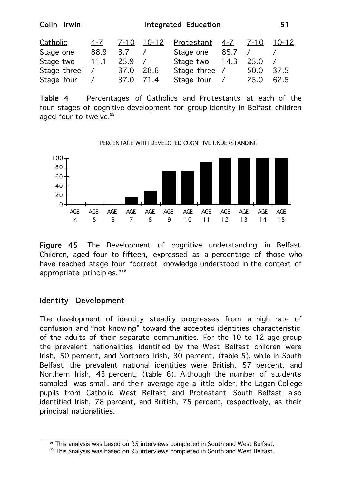| Integrated Education |             |      |               |                   | 51                                              |              |
|----------------------|-------------|------|---------------|-------------------|-------------------------------------------------|--------------|
| 4-7                  | $7 - 10$    |      |               |                   | $7 - 10$                                        | 10-12        |
| 88.9                 | 3.7         |      | Stage one     |                   |                                                 |              |
| 11.1                 | 25.9        |      |               |                   | 25.0                                            |              |
| Stage three          | 37.0        | 28.6 |               |                   | 50.0                                            | 37.5         |
| Stage four           | 37.0        |      |               |                   | 25.0                                            | 62.5         |
|                      | Colin Irwin |      | 10-12<br>71.4 | <u>Protestant</u> | -4-7<br>85.7<br>Stage two 14.3<br>Stage three / | Stage four / |

Table 4 Percentages of Catholics and Protestants at each of the four stages of cognitive development for group identity in Belfast children aged four to twelve.<sup>95</sup>



Figure 45 The Development of cognitive understanding in Belfast Children, aged four to fifteen, expressed as a percentage of those who have reached stage four "correct knowledge understood in the context of appropriate principles."96

## Identity Development

The development of identity steadily progresses from a high rate of confusion and "not knowing" toward the accepted identities characteristic of the adults of their separate communities. For the 10 to 12 age group the prevalent nationalities identified by the West Belfast children were Irish, 50 percent, and Northern Irish, 30 percent, (table 5), while in South Belfast the prevalent national identities were British, 57 percent, and Northern Irish, 43 percent, (table 6). Although the number of students sampled was small, and their average age a little older, the Lagan College pupils from Catholic West Belfast and Protestant South Belfast also identified Irish, 78 percent, and British, 75 percent, respectively, as their principal nationalities.

<sup>&</sup>lt;sup>95</sup> This analysis was based on 95 interviews completed in South and West Belfast.

<sup>96</sup> This analysis was based on 95 interviews completed in South and West Belfast.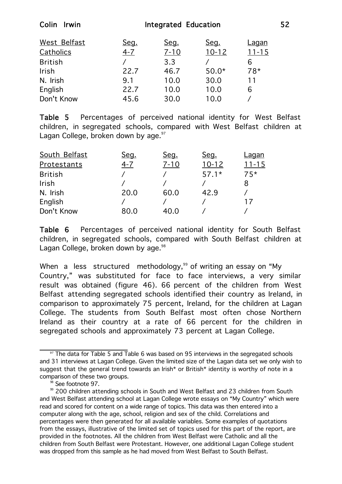| Colin<br><b>Irwin</b> | <b>Integrated Education</b> |          |           |              |  |
|-----------------------|-----------------------------|----------|-----------|--------------|--|
| West Belfast          | Seg.                        | Seg.     | Seg.      | <u>Laqan</u> |  |
| Catholics             | $4 - 7$                     | $7 - 10$ | $10 - 12$ | $11 - 15$    |  |
| <b>British</b>        |                             | 3.3      |           | 6            |  |
| <b>Irish</b>          | 22.7                        | 46.7     | $50.0*$   | $78*$        |  |
| N. Irish              | 9.1                         | 10.0     | 30.0      | 11           |  |
| English               | 22.7                        | 10.0     | 10.0      | 6            |  |
| Don't Know            | 45.6                        | 30.0     | 10.0      |              |  |

Table 5 Percentages of perceived national identity for West Belfast children, in segregated schools, compared with West Belfast children at Lagan College, broken down by age. $97$ 

| <u>Laqan</u>  |
|---------------|
| $11 - 15$     |
| $75*$         |
| 8             |
|               |
| $\frac{1}{2}$ |
|               |
|               |

Table 6 Percentages of perceived national identity for South Belfast children, in segregated schools, compared with South Belfast children at Lagan College, broken down by age. $98$ 

When a less structured methodology,<sup>99</sup> of writing an essay on "My Country," was substituted for face to face interviews, a very similar result was obtained (figure 46). 66 percent of the children from West Belfast attending segregated schools identified their country as Ireland, in comparison to approximately 75 percent, Ireland, for the children at Lagan College. The students from South Belfast most often chose Northern Ireland as their country at a rate of 66 percent for the children in segregated schools and approximately 73 percent at Lagan College.

<sup>&</sup>lt;sup>97</sup> The data for Table 5 and Table 6 was based on 95 interviews in the segregated schools and 31 interviews at Lagan College. Given the limited size of the Lagan data set we only wish to suggest that the general trend towards an Irish\* or British\* identity is worthy of note in a comparison of these two groups.<br><sup>98</sup> See footnote 97.

<sup>&</sup>lt;sup>99</sup> 200 children attending schools in South and West Belfast and 23 children from South and West Belfast attending school at Lagan College wrote essays on "My Country" which were read and scored for content on a wide range of topics. This data was then entered into a computer along with the age, school, religion and sex of the child. Correlations and percentages were then generated for all available variables. Some examples of quotations from the essays, illustrative of the limited set of topics used for this part of the report, are provided in the footnotes. All the children from West Belfast were Catholic and all the children from South Belfast were Protestant. However, one additional Lagan College student was dropped from this sample as he had moved from West Belfast to South Belfast.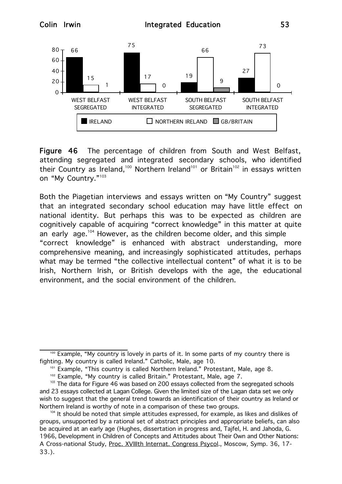

Figure 46 The percentage of children from South and West Belfast, attending segregated and integrated secondary schools, who identified their Country as Ireland,<sup>100</sup> Northern Ireland<sup>101</sup> or Britain<sup>102</sup> in essays written on "My Country."<sup>103</sup>

Both the Piagetian interviews and essays written on "My Country" suggest that an integrated secondary school education may have little effect on national identity. But perhaps this was to be expected as children are cognitively capable of acquiring "correct knowledge" in this matter at quite an early age.<sup>104</sup> However, as the children become older, and this simple "correct knowledge" is enhanced with abstract understanding, more comprehensive meaning, and increasingly sophisticated attitudes, perhaps what may be termed "the collective intellectual content" of what it is to be Irish, Northern Irish, or British develops with the age, the educational environment, and the social environment of the children.

<sup>&</sup>lt;sup>100</sup> Example, "My country is lovely in parts of it. In some parts of my country there is fighting. My country is called Ireland." Catholic, Male, age 10.

<sup>101</sup> Example, "This country is called Northern Ireland." Protestant, Male, age 8.

<sup>&</sup>lt;sup>102</sup> Example, "My country is called Britain." Protestant, Male, age 7.

<sup>&</sup>lt;sup>103</sup> The data for Figure 46 was based on 200 essays collected from the segregated schools and 23 essays collected at Lagan College. Given the limited size of the Lagan data set we only wish to suggest that the general trend towards an identification of their country as Ireland or Northern Ireland is worthy of note in a comparison of these two groups.

<sup>&</sup>lt;sup>104</sup> It should be noted that simple attitudes expressed, for example, as likes and dislikes of groups, unsupported by a rational set of abstract principles and appropriate beliefs, can also be acquired at an early age (Hughes, dissertation in progress and, Tajfel, H. and Jahoda, G. 1966, Development in Children of Concepts and Attitudes about Their Own and Other Nations: A Cross-national Study, Proc. XVIIIth Internat. Congress Psycol., Moscow, Symp. 36, 17-33.).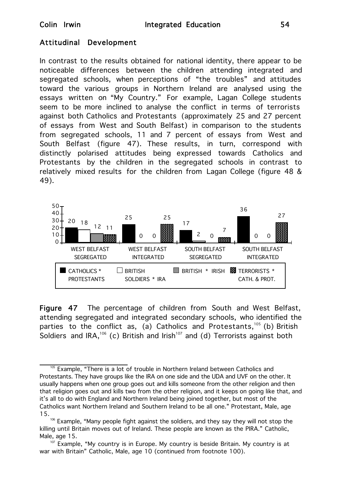## Attitudinal Development

In contrast to the results obtained for national identity, there appear to be noticeable differences between the children attending integrated and segregated schools, when perceptions of "the troubles" and attitudes toward the various groups in Northern Ireland are analysed using the essays written on "My Country." For example, Lagan College students seem to be more inclined to analyse the conflict in terms of terrorists against both Catholics and Protestants (approximately 25 and 27 percent of essays from West and South Belfast) in comparison to the students from segregated schools, 11 and 7 percent of essays from West and South Belfast (figure 47). These results, in turn, correspond with distinctly polarised attitudes being expressed towards Catholics and Protestants by the children in the segregated schools in contrast to relatively mixed results for the children from Lagan College (figure 48 & 49).



Figure 47 The percentage of children from South and West Belfast, attending segregated and integrated secondary schools, who identified the parties to the conflict as, (a) Catholics and Protestants,<sup>105</sup> (b) British Soldiers and IRA,<sup>106</sup> (c) British and Irish<sup>107</sup> and (d) Terrorists against both

<sup>&</sup>lt;sup>105</sup> Example, "There is a lot of trouble in Northern Ireland between Catholics and Protestants. They have groups like the IRA on one side and the UDA and UVF on the other. It usually happens when one group goes out and kills someone from the other religion and then that religion goes out and kills two from the other religion, and it keeps on going like that, and it's all to do with England and Northern Ireland being joined together, but most of the Catholics want Northern Ireland and Southern Ireland to be all one." Protestant, Male, age 15.

<sup>&</sup>lt;sup>106</sup> Example, "Many people fight against the soldiers, and they say they will not stop the killing until Britain moves out of Ireland. These people are known as the PIRA." Catholic, Male, age 15.

<sup>&</sup>lt;sup>107</sup> Example, "My country is in Europe. My country is beside Britain. My country is at war with Britain" Catholic, Male, age 10 (continued from footnote 100).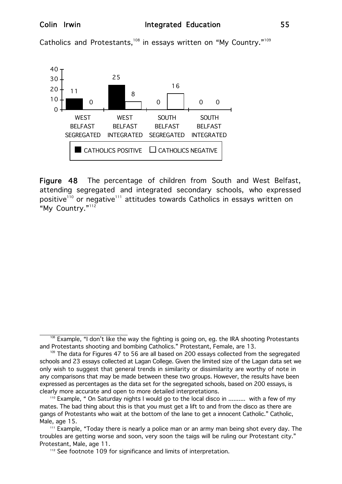Catholics and Protestants,<sup>108</sup> in essays written on "My Country."<sup>109</sup>



Figure 48 The percentage of children from South and West Belfast, attending segregated and integrated secondary schools, who expressed positive<sup>110</sup> or negative<sup>111</sup> attitudes towards Catholics in essays written on "My Country."<sup>112</sup>

 $108$  Example, "I don't like the way the fighting is going on, eg. the IRA shooting Protestants and Protestants shooting and bombing Catholics." Protestant, Female, are 13.

 $109$  The data for Figures 47 to 56 are all based on 200 essays collected from the segregated schools and 23 essays collected at Lagan College. Given the limited size of the Lagan data set we only wish to suggest that general trends in similarity or dissimilarity are worthy of note in any comparisons that may be made between these two groups. However, the results have been expressed as percentages as the data set for the segregated schools, based on 200 essays, is clearly more accurate and open to more detailed interpretations.

<sup>&</sup>lt;sup>110</sup> Example, " On Saturday nights I would go to the local disco in .......... with a few of my mates. The bad thing about this is that you must get a lift to and from the disco as there are gangs of Protestants who wait at the bottom of the lane to get a innocent Catholic." Catholic, Male, age 15.

<sup>&</sup>lt;sup>111</sup> Example, "Today there is nearly a police man or an army man being shot every day. The troubles are getting worse and soon, very soon the taigs will be ruling our Protestant city." Protestant, Male, age 11.

<sup>&</sup>lt;sup>112</sup> See footnote 109 for significance and limits of interpretation.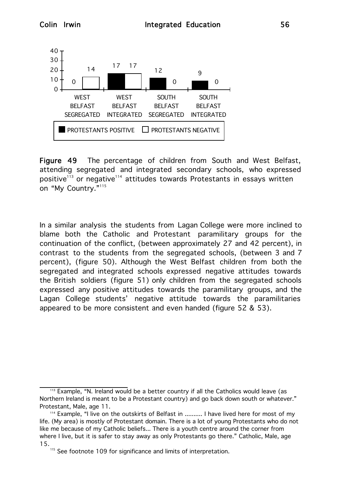

Figure 49 The percentage of children from South and West Belfast, attending segregated and integrated secondary schools, who expressed positive<sup>113</sup> or negative<sup>114</sup> attitudes towards Protestants in essays written on "My Country."<sup>115</sup>

In a similar analysis the students from Lagan College were more inclined to blame both the Catholic and Protestant paramilitary groups for the continuation of the conflict, (between approximately 27 and 42 percent), in contrast to the students from the segregated schools, (between 3 and 7 percent), (figure 50). Although the West Belfast children from both the segregated and integrated schools expressed negative attitudes towards the British soldiers (figure 51) only children from the segregated schools expressed any positive attitudes towards the paramilitary groups, and the Lagan College students' negative attitude towards the paramilitaries appeared to be more consistent and even handed (figure 52 & 53).

<sup>&</sup>lt;sup>113</sup> Example, "N. Ireland would be a better country if all the Catholics would leave (as Northern Ireland is meant to be a Protestant country) and go back down south or whatever." Protestant, Male, age 11.

<sup>&</sup>lt;sup>114</sup> Example, "I live on the outskirts of Belfast in .......... I have lived here for most of my life. (My area) is mostly of Protestant domain. There is a lot of young Protestants who do not like me because of my Catholic beliefs... There is a youth centre around the corner from where I live, but it is safer to stay away as only Protestants go there." Catholic, Male, age 15.

 $115$  See footnote 109 for significance and limits of interpretation.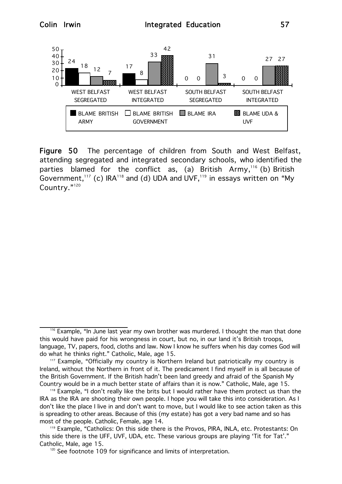

Figure 50 The percentage of children from South and West Belfast, attending segregated and integrated secondary schools, who identified the parties blamed for the conflict as, (a) British Army,<sup>116</sup> (b) British Government,<sup>117</sup> (c) IRA<sup>118</sup> and (d) UDA and UVF,<sup>119</sup> in essays written on "My Country."<sup>120</sup>

 $116$  Example, "In June last year my own brother was murdered. I thought the man that done this would have paid for his wrongness in court, but no, in our land it's British troops, language, TV, papers, food, cloths and law. Now I know he suffers when his day comes God will do what he thinks right." Catholic, Male, age 15.

<sup>&</sup>lt;sup>117</sup> Example, "Officially my country is Northern Ireland but patriotically my country is Ireland, without the Northern in front of it. The predicament I find myself in is all because of the British Government. If the British hadn't been land greedy and afraid of the Spanish My Country would be in a much better state of affairs than it is now." Catholic, Male, age 15.

<sup>&</sup>lt;sup>118</sup> Example, "I don't really like the brits but I would rather have them protect us than the IRA as the IRA are shooting their own people. I hope you will take this into consideration. As I don't like the place I live in and don't want to move, but I would like to see action taken as this is spreading to other areas. Because of this (my estate) has got a very bad name and so has most of the people. Catholic, Female, age 14.

<sup>119</sup> Example, "Catholics: On this side there is the Provos, PIRA, INLA, etc. Protestants: On this side there is the UFF, UVF, UDA, etc. These various groups are playing 'Tit for Tat'." Catholic, Male, age 15.

 $120$  See footnote 109 for significance and limits of interpretation.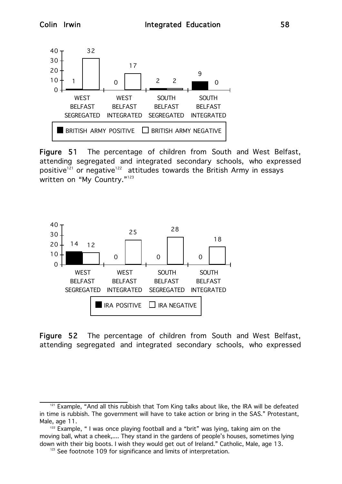

Figure 51 The percentage of children from South and West Belfast, attending segregated and integrated secondary schools, who expressed positive $^{121}$  or negative $^{122}$  attitudes towards the British Army in essays written on "My Country."<sup>123</sup>



Figure 52 The percentage of children from South and West Belfast, attending segregated and integrated secondary schools, who expressed

<sup>&</sup>lt;sup>121</sup> Example, "And all this rubbish that Tom King talks about like, the IRA will be defeated in time is rubbish. The government will have to take action or bring in the SAS." Protestant, Male, age 11.

<sup>&</sup>lt;sup>122</sup> Example, " I was once playing football and a "brit" was lying, taking aim on the moving ball, what a cheek,.... They stand in the gardens of people's houses, sometimes lying down with their big boots. I wish they would get out of Ireland." Catholic, Male, age 13.

 $123$  See footnote 109 for significance and limits of interpretation.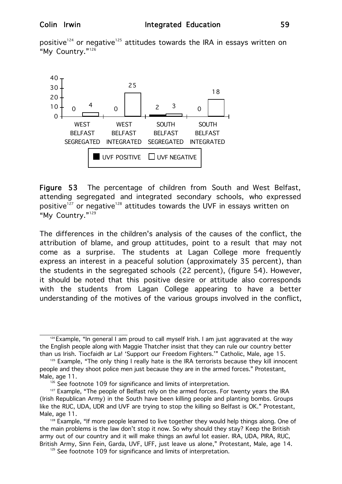positive<sup>124</sup> or negative<sup>125</sup> attitudes towards the IRA in essays written on "My Country."<sup>126</sup>



Figure 53 The percentage of children from South and West Belfast, attending segregated and integrated secondary schools, who expressed positive<sup>127</sup> or negative<sup>128</sup> attitudes towards the UVF in essays written on "My Country."129

The differences in the children's analysis of the causes of the conflict, the attribution of blame, and group attitudes, point to a result that may not come as a surprise. The students at Lagan College more frequently express an interest in a peaceful solution (approximately 35 percent), than the students in the segregated schools (22 percent), (figure 54). However, it should be noted that this positive desire or attitude also corresponds with the students from Lagan College appearing to have a better understanding of the motives of the various groups involved in the conflict,

 $124$  Example, "In general I am proud to call myself Irish. I am just aggravated at the way the English people along with Maggie Thatcher insist that they can rule our country better than us Irish. Tiocfaidh ar La! 'Support our Freedom Fighters.'" Catholic, Male, age 15.

<sup>&</sup>lt;sup>125</sup> Example, "The only thing I really hate is the IRA terrorists because they kill innocent people and they shoot police men just because they are in the armed forces." Protestant, Male, age 11.

 $126$  See footnote 109 for significance and limits of interpretation.

<sup>&</sup>lt;sup>127</sup> Example, "The people of Belfast rely on the armed forces. For twenty years the IRA (Irish Republican Army) in the South have been killing people and planting bombs. Groups like the RUC, UDA, UDR and UVF are trying to stop the killing so Belfast is OK." Protestant, Male, age 11.

<sup>&</sup>lt;sup>128</sup> Example, "If more people learned to live together they would help things along. One of the main problems is the law don't stop it now. So why should they stay? Keep the British army out of our country and it will make things an awful lot easier. IRA, UDA, PIRA, RUC, British Army, Sinn Fein, Garda, UVF, UFF, just leave us alone," Protestant, Male, age 14.

 $129$  See footnote 109 for significance and limits of interpretation.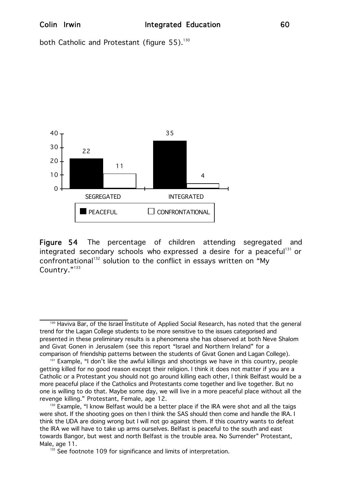both Catholic and Protestant (figure 55).<sup>130</sup>



Figure 54 The percentage of children attending segregated and integrated secondary schools who expressed a desire for a peaceful<sup>131</sup> or confrontational<sup>132</sup> solution to the conflict in essays written on "My Country."<sup>133</sup>

<sup>130</sup> Haviva Bar, of the Israel Institute of Applied Social Research, has noted that the general trend for the Lagan College students to be more sensitive to the issues categorised and presented in these preliminary results is a phenomena she has observed at both Neve Shalom and Givat Gonen in Jerusalem (see this report "Israel and Northern Ireland" for a comparison of friendship patterns between the students of Givat Gonen and Lagan College).

<sup>&</sup>lt;sup>131</sup> Example, "I don't like the awful killings and shootings we have in this country, people getting killed for no good reason except their religion. I think it does not matter if you are a Catholic or a Protestant you should not go around killing each other, I think Belfast would be a more peaceful place if the Catholics and Protestants come together and live together. But no one is willing to do that. Maybe some day, we will live in a more peaceful place without all the revenge killing." Protestant, Female, age 12.

<sup>&</sup>lt;sup>132</sup> Example, "I know Belfast would be a better place if the IRA were shot and all the taigs were shot. If the shooting goes on then I think the SAS should then come and handle the IRA. I think the UDA are doing wrong but I will not go against them. If this country wants to defeat the IRA we will have to take up arms ourselves. Belfast is peaceful to the south and east towards Bangor, but west and north Belfast is the trouble area. No Surrender" Protestant, Male, age 11.

 $133$  See footnote 109 for significance and limits of interpretation.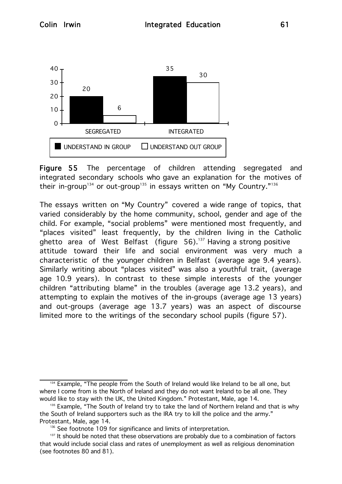

Figure 55 The percentage of children attending segregated and integrated secondary schools who gave an explanation for the motives of their in-group<sup>134</sup> or out-group<sup>135</sup> in essays written on "My Country."<sup>136</sup>

The essays written on "My Country" covered a wide range of topics, that varied considerably by the home community, school, gender and age of the child. For example, "social problems" were mentioned most frequently, and "places visited" least frequently, by the children living in the Catholic ghetto area of West Belfast (figure  $56$ ).<sup>137</sup> Having a strong positive attitude toward their life and social environment was very much a characteristic of the younger children in Belfast (average age 9.4 years). Similarly writing about "places visited" was also a youthful trait, (average age 10.9 years). In contrast to these simple interests of the younger children "attributing blame" in the troubles (average age 13.2 years), and attempting to explain the motives of the in-groups (average age 13 years) and out-groups (average age 13.7 years) was an aspect of discourse limited more to the writings of the secondary school pupils (figure 57).

<sup>&</sup>lt;sup>134</sup> Example, "The people from the South of Ireland would like Ireland to be all one, but where I come from is the North of Ireland and they do not want Ireland to be all one. They would like to stay with the UK, the United Kingdom." Protestant, Male, age 14.

<sup>&</sup>lt;sup>135</sup> Example, "The South of Ireland try to take the land of Northern Ireland and that is why the South of Ireland supporters such as the IRA try to kill the police and the army." Protestant, Male, age 14.

 $136$  See footnote 109 for significance and limits of interpretation.

<sup>&</sup>lt;sup>137</sup> It should be noted that these observations are probably due to a combination of factors that would include social class and rates of unemployment as well as religious denomination (see footnotes 80 and 81).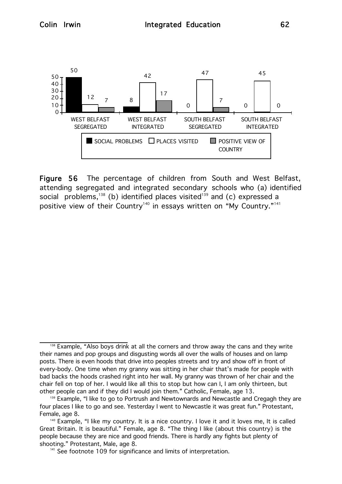

Figure 56 The percentage of children from South and West Belfast, attending segregated and integrated secondary schools who (a) identified social problems,<sup>138</sup> (b) identified places visited<sup>139</sup> and (c) expressed a positive view of their Country<sup>140</sup> in essays written on "My Country."<sup>141</sup>

<sup>&</sup>lt;sup>138</sup> Example, "Also boys drink at all the corners and throw away the cans and they write their names and pop groups and disgusting words all over the walls of houses and on lamp posts. There is even hoods that drive into peoples streets and try and show off in front of every-body. One time when my granny was sitting in her chair that's made for people with bad backs the hoods crashed right into her wall. My granny was thrown of her chair and the chair fell on top of her. I would like all this to stop but how can I, I am only thirteen, but other people can and if they did I would join them." Catholic, Female, age 13.

<sup>&</sup>lt;sup>139</sup> Example, "I like to go to Portrush and Newtownards and Newcastle and Cregagh they are four places I like to go and see. Yesterday I went to Newcastle it was great fun." Protestant, Female, age 8.

<sup>&</sup>lt;sup>140</sup> Example, "I like my country. It is a nice country. I love it and it loves me, It is called Great Britain. It is beautiful." Female, age 8. "The thing I like (about this country) is the people because they are nice and good friends. There is hardly any fights but plenty of shooting." Protestant, Male, age 8.

 $141$  See footnote 109 for significance and limits of interpretation.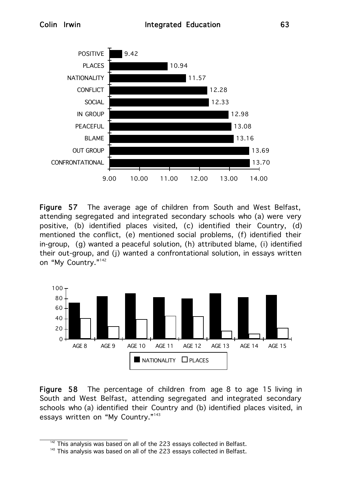

Figure 57 The average age of children from South and West Belfast, attending segregated and integrated secondary schools who (a) were very positive, (b) identified places visited, (c) identified their Country, (d) mentioned the conflict, (e) mentioned social problems, (f) identified their in-group, (g) wanted a peaceful solution, (h) attributed blame, (i) identified their out-group, and (j) wanted a confrontational solution, in essays written on "My Country."<sup>142</sup>



Figure 58 The percentage of children from age 8 to age 15 living in South and West Belfast, attending segregated and integrated secondary schools who (a) identified their Country and (b) identified places visited, in essays written on "My Country."<sup>143</sup>

 $142$  This analysis was based on all of the 223 essays collected in Belfast.

 $143$  This analysis was based on all of the 223 essays collected in Belfast.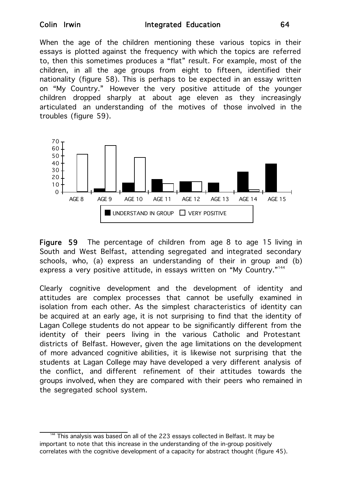When the age of the children mentioning these various topics in their essays is plotted against the frequency with which the topics are referred to, then this sometimes produces a "flat" result. For example, most of the children, in all the age groups from eight to fifteen, identified their nationality (figure 58). This is perhaps to be expected in an essay written on "My Country." However the very positive attitude of the younger children dropped sharply at about age eleven as they increasingly articulated an understanding of the motives of those involved in the troubles (figure 59).



Figure 59 The percentage of children from age 8 to age 15 living in South and West Belfast, attending segregated and integrated secondary schools, who, (a) express an understanding of their in group and (b) express a very positive attitude, in essays written on "My Country."<sup>144</sup>

Clearly cognitive development and the development of identity and attitudes are complex processes that cannot be usefully examined in isolation from each other. As the simplest characteristics of identity can be acquired at an early age, it is not surprising to find that the identity of Lagan College students do not appear to be significantly different from the identity of their peers living in the various Catholic and Protestant districts of Belfast. However, given the age limitations on the development of more advanced cognitive abilities, it is likewise not surprising that the students at Lagan College may have developed a very different analysis of the conflict, and different refinement of their attitudes towards the groups involved, when they are compared with their peers who remained in the segregated school system.

This analysis was based on all of the 223 essays collected in Belfast. It may be important to note that this increase in the understanding of the in-group positively correlates with the cognitive development of a capacity for abstract thought (figure 45).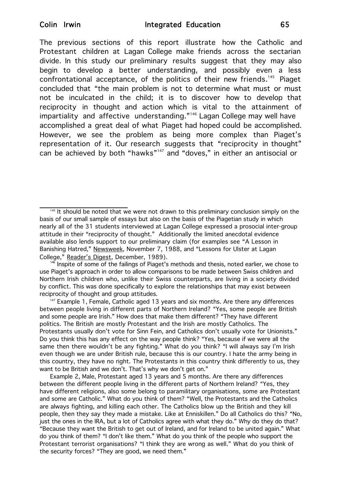The previous sections of this report illustrate how the Catholic and Protestant children at Lagan College make friends across the sectarian divide. In this study our preliminary results suggest that they may also begin to develop a better understanding, and possibly even a less confrontational acceptance, of the politics of their new friends.<sup>145</sup> Piaget concluded that "the main problem is not to determine what must or must not be inculcated in the child; it is to discover how to develop that reciprocity in thought and action which is vital to the attainment of impartiality and affective understanding."<sup>146</sup> Lagan College may well have accomplished a great deal of what Piaget had hoped could be accomplished. However, we see the problem as being more complex than Piaget's representation of it. Our research suggests that "reciprocity in thought" can be achieved by both "hawks"<sup>147</sup> and "doves," in either an antisocial or

<sup>147</sup> Example 1, Female, Catholic aged 13 years and six months. Are there any differences between people living in different parts of Northern Ireland? "Yes, some people are British and some people are Irish." How does that make them different? "They have different politics. The British are mostly Protestant and the Irish are mostly Catholics. The Protestants usually don't vote for Sinn Fein, and Catholics don't usually vote for Unionists." Do you think this has any effect on the way people think? "Yes, because if we were all the same then there wouldn't be any fighting." What do you think? "I will always say I'm Irish even though we are under British rule, because this is our country. I hate the army being in this country, they have no right. The Protestants in this country think differently to us, they want to be British and we don't. That's why we don't get on."

Example 2, Male, Protestant aged 13 years and 5 months. Are there any differences between the different people living in the different parts of Northern Ireland? "Yes, they have different religions, also some belong to paramilitary organisations, some are Protestant and some are Catholic." What do you think of them? "Well, the Protestants and the Catholics are always fighting, and killing each other. The Catholics blow up the British and they kill people, then they say they made a mistake. Like at Enniskillen." Do all Catholics do this? "No, just the ones in the IRA, but a lot of Catholics agree with what they do." Why do they do that? "Because they want the British to get out of Ireland, and for Ireland to be united again." What do you think of them? "I don't like them." What do you think of the people who support the Protestant terrorist organisations? "I think they are wrong as well." What do you think of the security forces? "They are good, we need them."

<sup>&</sup>lt;sup>145</sup> It should be noted that we were not drawn to this preliminary conclusion simply on the basis of our small sample of essays but also on the basis of the Piagetian study in which nearly all of the 31 students interviewed at Lagan College expressed a prosocial inter-group attitude in their "reciprocity of thought." Additionally the limited anecdotal evidence available also lends support to our preliminary claim (for examples see "A Lesson in Banishing Hatred," Newsweek, November 7, 1988, and "Lessons for Ulster at Lagan College," Reader's Digest, December, 1989).

Inspite of some of the failings of Piaget's methods and thesis, noted earlier, we chose to use Piaget's approach in order to allow comparisons to be made between Swiss children and Northern Irish children who, unlike their Swiss counterparts, are living in a society divided by conflict. This was done specifically to explore the relationships that may exist between reciprocity of thought and group attitudes.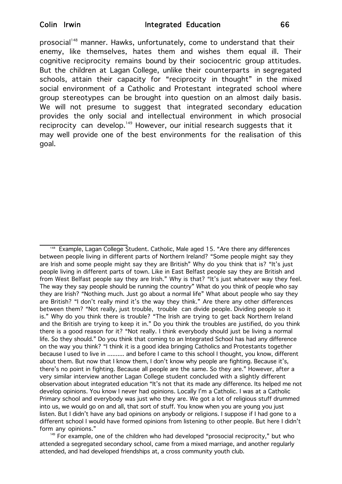prosocial<sup>148</sup> manner. Hawks, unfortunately, come to understand that their enemy, like themselves, hates them and wishes them equal ill. Their cognitive reciprocity remains bound by their sociocentric group attitudes. But the children at Lagan College, unlike their counterparts in segregated schools, attain their capacity for "reciprocity in thought" in the mixed social environment of a Catholic and Protestant integrated school where group stereotypes can be brought into question on an almost daily basis. We will not presume to suggest that integrated secondary education provides the only social and intellectual environment in which prosocial reciprocity can develop.<sup>149</sup> However, our initial research suggests that it may well provide one of the best environments for the realisation of this goal.

<sup>&</sup>lt;sup>148</sup> Example, Lagan College Student. Catholic, Male aged 15. "Are there any differences between people living in different parts of Northern Ireland? "Some people might say they are Irish and some people might say they are British" Why do you think that is? "It's just people living in different parts of town. Like in East Belfast people say they are British and from West Belfast people say they are Irish." Why is that? "It's just whatever way they feel. The way they say people should be running the country" What do you think of people who say they are Irish? "Nothing much. Just go about a normal life" What about people who say they are British? "I don't really mind it's the way they think." Are there any other differences between them? "Not really, just trouble, trouble can divide people. Dividing people so it is." Why do you think there is trouble? "The Irish are trying to get back Northern Ireland and the British are trying to keep it in." Do you think the troubles are justified, do you think there is a good reason for it? "Not really. I think everybody should just be living a normal life. So they should." Do you think that coming to an Integrated School has had any difference on the way you think? "I think it is a good idea bringing Catholics and Protestants together because I used to live in .......... and before I came to this school I thought, you know, different about them. But now that I know them, I don't know why people are fighting. Because it's, there's no point in fighting. Because all people are the same. So they are." However, after a very similar interview another Lagan College student concluded with a slightly different observation about integrated education "It's not that its made any difference. Its helped me not develop opinions. You know I never had opinions. Locally I'm a Catholic. I was at a Catholic Primary school and everybody was just who they are. We got a lot of religious stuff drummed into us, we would go on and all, that sort of stuff. You know when you are young you just listen. But I didn't have any bad opinions on anybody or religions. I suppose if I had gone to a different school I would have formed opinions from listening to other people. But here I didn't form any opinions."

 $149$  For example, one of the children who had developed "prosocial reciprocity," but who attended a segregated secondary school, came from a mixed marriage, and another regularly attended, and had developed friendships at, a cross community youth club.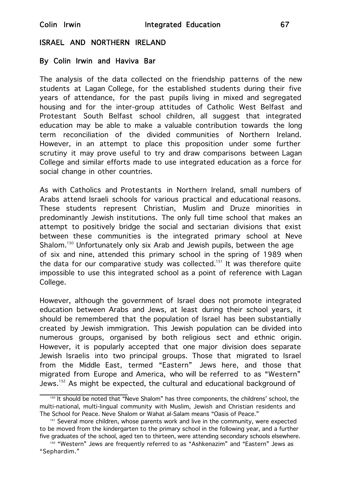### ISRAEL AND NORTHERN IRELAND

### By Colin Irwin and Haviva Bar

The analysis of the data collected on the friendship patterns of the new students at Lagan College, for the established students during their five years of attendance, for the past pupils living in mixed and segregated housing and for the inter-group attitudes of Catholic West Belfast and Protestant South Belfast school children, all suggest that integrated education may be able to make a valuable contribution towards the long term reconciliation of the divided communities of Northern Ireland. However, in an attempt to place this proposition under some further scrutiny it may prove useful to try and draw comparisons between Lagan College and similar efforts made to use integrated education as a force for social change in other countries.

As with Catholics and Protestants in Northern Ireland, small numbers of Arabs attend Israeli schools for various practical and educational reasons. These students represent Christian, Muslim and Druze minorities in predominantly Jewish institutions. The only full time school that makes an attempt to positively bridge the social and sectarian divisions that exist between these communities is the integrated primary school at Neve Shalom.<sup>150</sup> Unfortunately only six Arab and Jewish pupils, between the age of six and nine, attended this primary school in the spring of 1989 when the data for our comparative study was collected.<sup>151</sup> It was therefore quite impossible to use this integrated school as a point of reference with Lagan College.

However, although the government of Israel does not promote integrated education between Arabs and Jews, at least during their school years, it should be remembered that the population of Israel has been substantially created by Jewish immigration. This Jewish population can be divided into numerous groups, organised by both religious sect and ethnic origin. However, it is popularly accepted that one major division does separate Jewish Israelis into two principal groups. Those that migrated to Israel from the Middle East, termed "Eastern" Jews here, and those that migrated from Europe and America, who will be referred to as "Western" Jews.<sup>152</sup> As might be expected, the cultural and educational background of

 $150$  It should be noted that "Neve Shalom" has three components, the childrens' school, the multi-national, multi-lingual community with Muslim, Jewish and Christian residents and The School for Peace. Neve Shalom or Wahat al-Salam means "Oasis of Peace."

<sup>&</sup>lt;sup>151</sup> Several more children, whose parents work and live in the community, were expected to be moved from the kindergarten to the primary school in the following year, and a further five graduates of the school, aged ten to thirteen, were attending secondary schools elsewhere.

<sup>152</sup> "Western" Jews are frequently referred to as "Ashkenazim" and "Eastern" Jews as "Sephardim."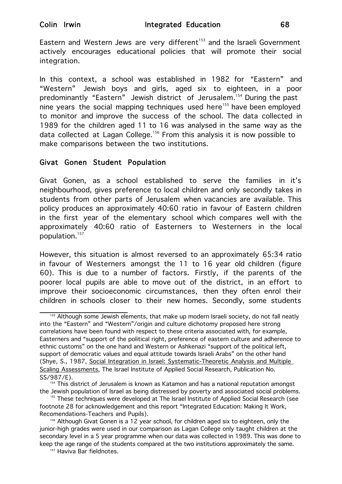Eastern and Western Jews are very different<sup>153</sup> and the Israeli Government actively encourages educational policies that will promote their social integration.

In this context, a school was established in 1982 for "Eastern" and "Western" Jewish boys and girls, aged six to eighteen, in a poor predominantly "Eastern" Jewish district of Jerusalem.<sup>154</sup> During the past nine years the social mapping techniques used here<sup>155</sup> have been employed to monitor and improve the success of the school. The data collected in 1989 for the children aged 11 to 16 was analysed in the same way as the data collected at Lagan College.156 From this analysis it is now possible to make comparisons between the two institutions.

## Givat Gonen Student Population

Givat Gonen, as a school established to serve the families in it's neighbourhood, gives preference to local children and only secondly takes in students from other parts of Jerusalem when vacancies are available. This policy produces an approximately 40:60 ratio in favour of Eastern children in the first year of the elementary school which compares well with the approximately 40:60 ratio of Easterners to Westerners in the local population.157

However, this situation is almost reversed to an approximately 65:34 ratio in favour of Westerners amongst the 11 to 16 year old children (figure 60). This is due to a number of factors. Firstly, if the parents of the poorer local pupils are able to move out of the district, in an effort to improve their socioeconomic circumstances, then they often enrol their children in schools closer to their new homes. Secondly, some students

<sup>&</sup>lt;sup>153</sup> Although some Jewish elements, that make up modern Israeli society, do not fall neatly into the "Eastern" and "Western"/origin and culture dichotomy proposed here strong correlations have been found with respect to these criteria associated with, for example, Easterners and "support of the political right, preference of eastern culture and adherence to ethnic customs" on the one hand and Western or Ashkenazi "support of the political left, support of democratic values and equal attitude towards Israeli Arabs" on the other hand (Shye, S., 1987, Social Integration in Israel: Systematic-Theoretic Analysis and Multiple Scaling Assessments, The Israel Institute of Applied Social Research, Publication No. SS/987/E).

<sup>&</sup>lt;sup>154</sup> This district of Jerusalem is known as Katamon and has a national reputation amongst the Jewish population of Israel as being distressed by poverty and associated social problems.

<sup>&</sup>lt;sup>155</sup> These techniques were developed at The Israel Institute of Applied Social Research (see footnote 28 for acknowledgement and this report "Integrated Education: Making It Work, Recomendations-Teachers and Pupils).

<sup>&</sup>lt;sup>156</sup> Although Givat Gonen is a 12 year school, for children aged six to eighteen, only the junior-high grades were used in our comparison as Lagan College only taught children at the secondary level in a 5 year programme when our data was collected in 1989. This was done to keep the age range of the students compared at the two institutions approximately the same.

<sup>&</sup>lt;sup>157</sup> Haviva Bar fieldnotes.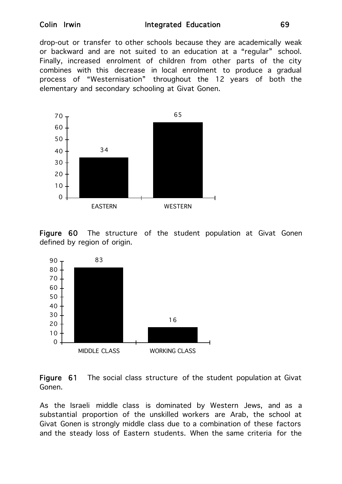drop-out or transfer to other schools because they are academically weak or backward and are not suited to an education at a "regular" school. Finally, increased enrolment of children from other parts of the city combines with this decrease in local enrolment to produce a gradual process of "Westernisation" throughout the 12 years of both the elementary and secondary schooling at Givat Gonen.



Figure 60 The structure of the student population at Givat Gonen defined by region of origin.



Figure 61 The social class structure of the student population at Givat Gonen.

As the Israeli middle class is dominated by Western Jews, and as a substantial proportion of the unskilled workers are Arab, the school at Givat Gonen is strongly middle class due to a combination of these factors and the steady loss of Eastern students. When the same criteria for the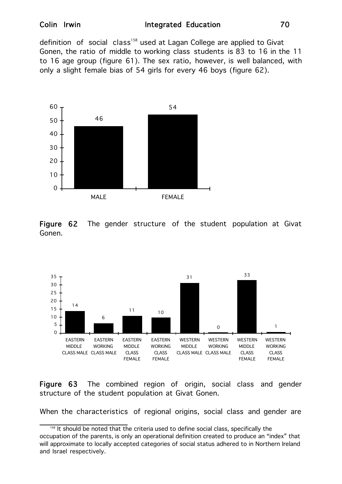definition of social class<sup>158</sup> used at Lagan College are applied to Givat Gonen, the ratio of middle to working class students is 83 to 16 in the 11 to 16 age group (figure 61). The sex ratio, however, is well balanced, with only a slight female bias of 54 girls for every 46 boys (figure 62).



Figure 62 The gender structure of the student population at Givat Gonen.



Figure 63 The combined region of origin, social class and gender structure of the student population at Givat Gonen.

When the characteristics of regional origins, social class and gender are

<sup>&</sup>lt;sup>158</sup> It should be noted that the criteria used to define social class, specifically the occupation of the parents, is only an operational definition created to produce an "index" that will approximate to locally accepted categories of social status adhered to in Northern Ireland and Israel respectively.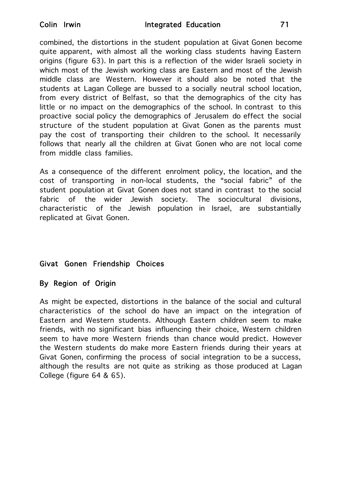combined, the distortions in the student population at Givat Gonen become quite apparent, with almost all the working class students having Eastern origins (figure 63). In part this is a reflection of the wider Israeli society in which most of the Jewish working class are Eastern and most of the Jewish middle class are Western. However it should also be noted that the students at Lagan College are bussed to a socially neutral school location, from every district of Belfast, so that the demographics of the city has little or no impact on the demographics of the school. In contrast to this proactive social policy the demographics of Jerusalem do effect the social structure of the student population at Givat Gonen as the parents must pay the cost of transporting their children to the school. It necessarily follows that nearly all the children at Givat Gonen who are not local come from middle class families.

As a consequence of the different enrolment policy, the location, and the cost of transporting in non-local students, the "social fabric" of the student population at Givat Gonen does not stand in contrast to the social fabric of the wider Jewish society. The sociocultural divisions, characteristic of the Jewish population in Israel, are substantially replicated at Givat Gonen.

## Givat Gonen Friendship Choices

## By Region of Origin

As might be expected, distortions in the balance of the social and cultural characteristics of the school do have an impact on the integration of Eastern and Western students. Although Eastern children seem to make friends, with no significant bias influencing their choice, Western children seem to have more Western friends than chance would predict. However the Western students do make more Eastern friends during their years at Givat Gonen, confirming the process of social integration to be a success, although the results are not quite as striking as those produced at Lagan College (figure 64 & 65).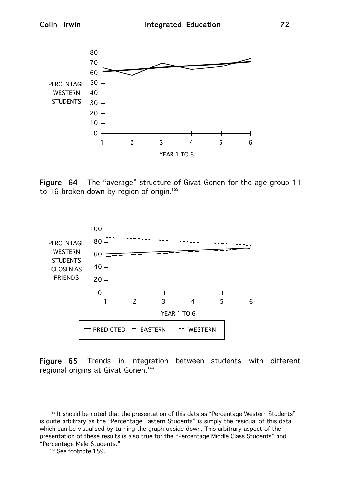

Figure 64 The "average" structure of Givat Gonen for the age group 11 to 16 broken down by region of origin.<sup>159</sup>

YEAR 1 TO 6



Figure 65 Trends in integration between students with different regional origins at Givat Gonen.<sup>160</sup>

<sup>159</sup> It should be noted that the presentation of this data as "Percentage Western Students" is quite arbitrary as the "Percentage Eastern Students" is simply the residual of this data which can be visualised by turning the graph upside down. This arbitrary aspect of the presentation of these results is also true for the "Percentage Middle Class Students" and "Percentage Male Students."

<sup>&</sup>lt;sup>160</sup> See footnote 159.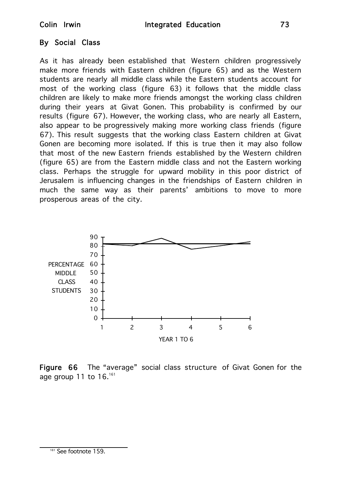### By Social Class

As it has already been established that Western children progressively make more friends with Eastern children (figure 65) and as the Western students are nearly all middle class while the Eastern students account for most of the working class (figure 63) it follows that the middle class children are likely to make more friends amongst the working class children during their years at Givat Gonen. This probability is confirmed by our results (figure 67). However, the working class, who are nearly all Eastern, also appear to be progressively making more working class friends (figure 67). This result suggests that the working class Eastern children at Givat Gonen are becoming more isolated. If this is true then it may also follow that most of the new Eastern friends established by the Western children (figure 65) are from the Eastern middle class and not the Eastern working class. Perhaps the struggle for upward mobility in this poor district of Jerusalem is influencing changes in the friendships of Eastern children in much the same way as their parents' ambitions to move to more prosperous areas of the city.



Figure 66 The "average" social class structure of Givat Gonen for the age group 11 to  $16.^{161}$ 

<sup>161</sup> See footnote 159.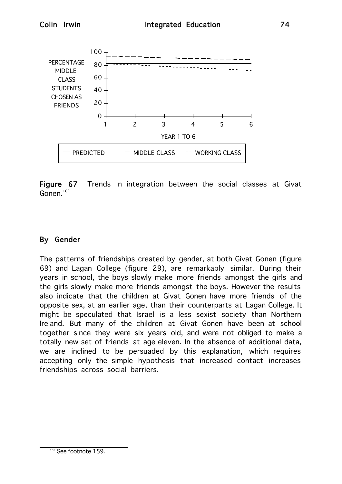

Figure 67 Trends in integration between the social classes at Givat Gonen.<sup>162</sup>

## By Gender

The patterns of friendships created by gender, at both Givat Gonen (figure 69) and Lagan College (figure 29), are remarkably similar. During their years in school, the boys slowly make more friends amongst the girls and the girls slowly make more friends amongst the boys. However the results also indicate that the children at Givat Gonen have more friends of the opposite sex, at an earlier age, than their counterparts at Lagan College. It might be speculated that Israel is a less sexist society than Northern Ireland. But many of the children at Givat Gonen have been at school together since they were six years old, and were not obliged to make a totally new set of friends at age eleven. In the absence of additional data, we are inclined to be persuaded by this explanation, which requires accepting only the simple hypothesis that increased contact increases friendships across social barriers.

<sup>&</sup>lt;sup>162</sup> See footnote 159.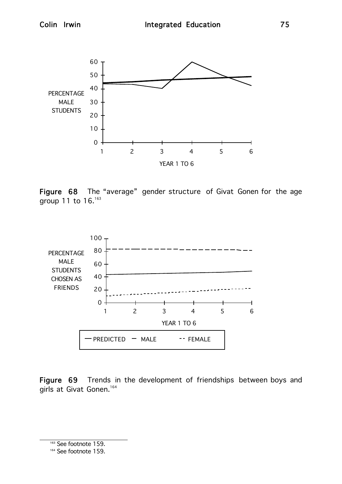50

60





Figure 68 The "average" gender structure of Givat Gonen for the age group 11 to 16.<sup>163</sup>



Figure 69 Trends in the development of friendships between boys and girls at Givat Gonen.<sup>164</sup>

<sup>163</sup> See footnote 159.

<sup>164</sup> See footnote 159.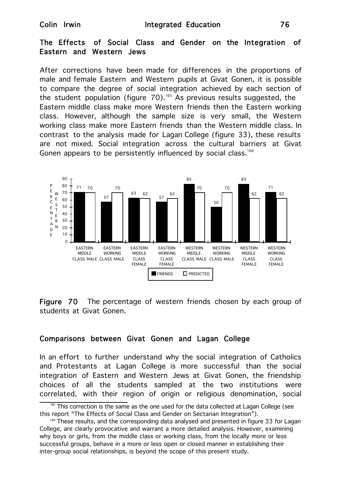#### The Effects of Social Class and Gender on the Integration of Eastern and Western Jews

After corrections have been made for differences in the proportions of male and female Eastern and Western pupils at Givat Gonen, it is possible to compare the degree of social integration achieved by each section of the student population (figure  $70$ ).<sup>165</sup> As previous results suggested, the Eastern middle class make more Western friends then the Eastern working class. However, although the sample size is very small, the Western working class make more Eastern friends than the Western middle class. In contrast to the analysis made for Lagan College (figure 33), these results are not mixed. Social integration across the cultural barriers at Givat Gonen appears to be persistently influenced by social class.<sup>166</sup>



Figure 70 The percentage of western friends chosen by each group of students at Givat Gonen.

#### Comparisons between Givat Gonen and Lagan College

In an effort to further understand why the social integration of Catholics and Protestants at Lagan College is more successful than the social integration of Eastern and Western Jews at Givat Gonen, the friendship choices of all the students sampled at the two institutions were correlated, with their region of origin or religious denomination, social

 $165$  This correction is the same as the one used for the data collected at Lagan College (see this report "The Effects of Social Class and Gender on Sectarian Integration").

<sup>&</sup>lt;sup>166</sup> These results, and the corresponding data analysed and presented in figure 33 for Lagan College, are clearly provocative and warrant a more detailed analysis. However, examining why boys or girls, from the middle class or working class, from the locally more or less successful groups, behave in a more or less open or closed manner in establishing their inter-group social relationships, is beyond the scope of this present study.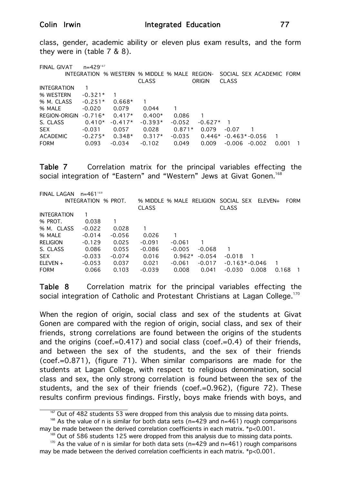class, gender, academic ability or eleven plus exam results, and the form they were in (table 7 & 8).

FINAL GIVAT n=429<sup>167</sup> INTEGRATION % WESTERN % MIDDLE % MALE REGION- SOCIAL SEX ACADEMIC FORM CLASS ORIGIN CLASS INTEGRATION 1 % WESTERN -0.321\* 1 % M. CLASS -0.251\* 0.668\* 1 % MALE -0.020 0.079 0.044 1 REGION-ORIGIN -0.716\* 0.417\* 0.400\* 0.086 1 S. CLASS 0.410\* -0.417\* -0.393\* -0.052 -0.627\* 1 SEX -0.031 0.057 0.028 0.871\* 0.079 -0.07 1 ACADEMIC -0.275\* 0.348\* 0.317\* -0.035 0.446\* -0.463\* -0.056 1 FORM 0.093 -0.034 -0.102 0.049 0.009 -0.006 -0.002 0.001 1

Table 7 Correlation matrix for the principal variables effecting the social integration of "Eastern" and "Western" Jews at Givat Gonen.<sup>168</sup>

| <b>FINAL LAGAN</b> | $n = 461^{169}$     |          |              |          |          |                                     |               |       |                |
|--------------------|---------------------|----------|--------------|----------|----------|-------------------------------------|---------------|-------|----------------|
|                    | INTEGRATION % PROT. |          |              |          |          | % MIDDLE % MALE RELIGION SOCIAL SEX | $FI$ FVFN $+$ |       | <b>FORM</b>    |
|                    |                     |          | <b>CLASS</b> |          |          | <b>CLASS</b>                        |               |       |                |
| <b>INTEGRATION</b> |                     |          |              |          |          |                                     |               |       |                |
| % PROT.            | 0.038               |          |              |          |          |                                     |               |       |                |
| % M. CLASS         | $-0.022$            | 0.028    |              |          |          |                                     |               |       |                |
| % MALE             | $-0.014$            | $-0.056$ | 0.026        |          |          |                                     |               |       |                |
| <b>RELIGION</b>    | $-0.129$            | 0.025    | $-0.091$     | $-0.061$ | 1        |                                     |               |       |                |
| S. CLASS           | 0.086               | 0.055    | $-0.086$     | $-0.005$ | $-0.068$ | 1                                   |               |       |                |
| <b>SEX</b>         | $-0.033$            | $-0.074$ | 0.016        | $0.962*$ | $-0.054$ | $-0.018$                            |               |       |                |
| $ELEVEN +$         | $-0.053$            | 0.037    | 0.021        | $-0.061$ | $-0.017$ | $-0.163$ * $-0.046$                 |               |       |                |
| <b>FORM</b>        | 0.066               | 0.103    | $-0.039$     | 0.008    | 0.041    | $-0.030$                            | 0.008         | 0.168 | $\overline{1}$ |

Table 8 Correlation matrix for the principal variables effecting the social integration of Catholic and Protestant Christians at Lagan College.<sup>170</sup>

When the region of origin, social class and sex of the students at Givat Gonen are compared with the region of origin, social class, and sex of their friends, strong correlations are found between the origins of the students and the origins (coef.=0.417) and social class (coef.=0.4) of their friends, and between the sex of the students, and the sex of their friends (coef.=0.871), (figure 71). When similar comparisons are made for the students at Lagan College, with respect to religious denomination, social class and sex, the only strong correlation is found between the sex of the students, and the sex of their friends (coef.=0.962), (figure 72). These results confirm previous findings. Firstly, boys make friends with boys, and

 $167$  Out of 482 students 53 were dropped from this analysis due to missing data points.

 $168$  As the value of n is similar for both data sets (n=429 and n=461) rough comparisons may be made between the derived correlation coefficients in each matrix.  $*p < 0.001$ .

 $169$  Out of 586 students 125 were dropped from this analysis due to missing data points.

 $170$  As the value of n is similar for both data sets (n=429 and n=461) rough comparisons may be made between the derived correlation coefficients in each matrix. \*p<0.001.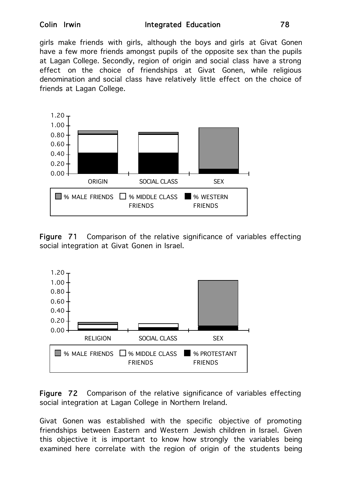#### Colin Irwin **Integrated Education** 78

girls make friends with girls, although the boys and girls at Givat Gonen have a few more friends amongst pupils of the opposite sex than the pupils at Lagan College. Secondly, region of origin and social class have a strong effect on the choice of friendships at Givat Gonen, while religious denomination and social class have relatively little effect on the choice of friends at Lagan College.



Figure 71 Comparison of the relative significance of variables effecting social integration at Givat Gonen in Israel.



Figure 72 Comparison of the relative significance of variables effecting social integration at Lagan College in Northern Ireland.

Givat Gonen was established with the specific objective of promoting friendships between Eastern and Western Jewish children in Israel. Given this objective it is important to know how strongly the variables being examined here correlate with the region of origin of the students being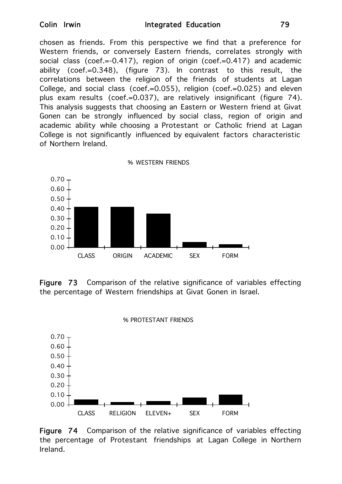chosen as friends. From this perspective we find that a preference for Western friends, or conversely Eastern friends, correlates strongly with social class (coef.=-0.417), region of origin (coef.=0.417) and academic ability (coef.=0.348), (figure 73). In contrast to this result, the correlations between the religion of the friends of students at Lagan College, and social class (coef.=0.055), religion (coef.=0.025) and eleven plus exam results (coef.=0.037), are relatively insignificant (figure 74). This analysis suggests that choosing an Eastern or Western friend at Givat Gonen can be strongly influenced by social class, region of origin and academic ability while choosing a Protestant or Catholic friend at Lagan College is not significantly influenced by equivalent factors characteristic of Northern Ireland.



Figure 73 Comparison of the relative significance of variables effecting the percentage of Western friendships at Givat Gonen in Israel.



Figure 74 Comparison of the relative significance of variables effecting the percentage of Protestant friendships at Lagan College in Northern Ireland.

% PROTESTANT FRIENDS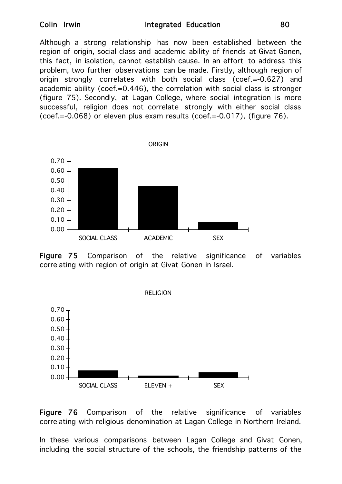#### Colin Irwin **Integrated Education** 80

Although a strong relationship has now been established between the region of origin, social class and academic ability of friends at Givat Gonen, this fact, in isolation, cannot establish cause. In an effort to address this problem, two further observations can be made. Firstly, although region of origin strongly correlates with both social class (coef.=-0.627) and academic ability (coef.=0.446), the correlation with social class is stronger (figure 75). Secondly, at Lagan College, where social integration is more successful, religion does not correlate strongly with either social class (coef.=-0.068) or eleven plus exam results (coef.=-0.017), (figure 76).



Figure 75 Comparison of the relative significance of variables correlating with region of origin at Givat Gonen in Israel.



Figure 76 Comparison of the relative significance of variables correlating with religious denomination at Lagan College in Northern Ireland.

In these various comparisons between Lagan College and Givat Gonen, including the social structure of the schools, the friendship patterns of the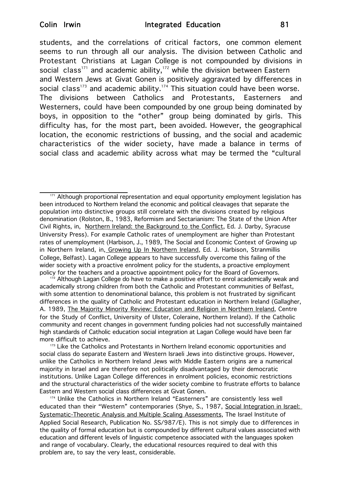students, and the correlations of critical factors, one common element seems to run through all our analysis. The division between Catholic and Protestant Christians at Lagan College is not compounded by divisions in social class<sup>171</sup> and academic ability,<sup>172</sup> while the division between Eastern and Western Jews at Givat Gonen is positively aggravated by differences in social class<sup>173</sup> and academic ability.<sup>174</sup> This situation could have been worse. The divisions between Catholics and Protestants, Easterners and Westerners, could have been compounded by one group being dominated by boys, in opposition to the "other" group being dominated by girls. This difficulty has, for the most part, been avoided. However, the geographical location, the economic restrictions of bussing, and the social and academic characteristics of the wider society, have made a balance in terms of social class and academic ability across what may be termed the "cultural

<sup>&</sup>lt;sup>171</sup> Although proportional representation and equal opportunity employment legislation has been introduced to Northern Ireland the economic and political cleavages that separate the population into distinctive groups still correlate with the divisions created by religious denomination (Rolston, B., 1983, Reformism and Sectarianism: The State of the Union After Civil Rights, in, Northern Ireland: the Background to the Conflict, Ed. J. Darby, Syracuse University Press). For example Catholic rates of unemployment are higher than Protestant rates of unemployment (Harbison, J., 1989, The Social and Economic Context of Growing up in Northern Ireland, in, Growing Up In Northern Ireland, Ed. J. Harbison, Stranmillis College, Belfast). Lagan College appears to have successfully overcome this failing of the wider society with a proactive enrolment policy for the students, a proactive employment policy for the teachers and a proactive appointment policy for the Board of Governors.

<sup>72</sup> Although Lagan College do have to make a positive effort to enrol academically weak and academically strong children from both the Catholic and Protestant communities of Belfast, with some attention to denominational balance, this problem is not frustrated by significant differences in the quality of Catholic and Protestant education in Northern Ireland (Gallagher, A. 1989, The Majority Minority Review: Education and Religion in Northern Ireland, Centre for the Study of Conflict, University of Ulster, Coleraine, Northern Ireland). If the Catholic community and recent changes in government funding policies had not successfully maintained high standards of Catholic education social integration at Lagan College would have been far more difficult to achieve.

<sup>&</sup>lt;sup>173</sup> Like the Catholics and Protestants in Northern Ireland economic opportunities and social class do separate Eastern and Western Israeli Jews into distinctive groups. However, unlike the Catholics in Northern Ireland Jews with Middle Eastern origins are a numerical majority in Israel and are therefore not politically disadvantaged by their democratic institutions. Unlike Lagan College differences in enrolment policies, economic restrictions and the structural characteristics of the wider society combine to frustrate efforts to balance Eastern and Western social class differences at Givat Gonen.

<sup>&</sup>lt;sup>174</sup> Unlike the Catholics in Northern Ireland "Easterners" are consistently less well educated than their "Western" contemporaries (Shye, S., 1987, Social Integration in Israel: Systematic-Theoretic Analysis and Multiple Scaling Assessments, The Israel Institute of Applied Social Research, Publication No. SS/987/E). This is not simply due to differences in the quality of formal education but is compounded by different cultural values associated with education and different levels of linguistic competence associated with the languages spoken and range of vocabulary. Clearly, the educational resources required to deal with this problem are, to say the very least, considerable.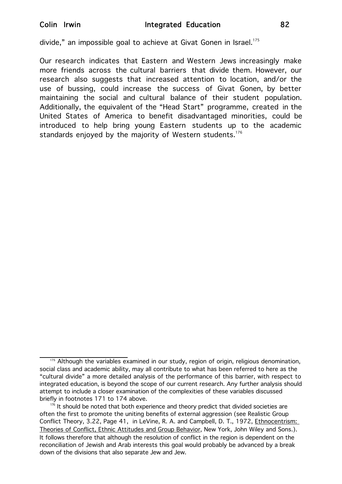divide," an impossible goal to achieve at Givat Gonen in Israel.<sup>175</sup>

Our research indicates that Eastern and Western Jews increasingly make more friends across the cultural barriers that divide them. However, our research also suggests that increased attention to location, and/or the use of bussing, could increase the success of Givat Gonen, by better maintaining the social and cultural balance of their student population. Additionally, the equivalent of the "Head Start" programme, created in the United States of America to benefit disadvantaged minorities, could be introduced to help bring young Eastern students up to the academic standards enjoyed by the majority of Western students.<sup>176</sup>

<sup>&</sup>lt;sup>175</sup> Although the variables examined in our study, region of origin, religious denomination, social class and academic ability, may all contribute to what has been referred to here as the "cultural divide" a more detailed analysis of the performance of this barrier, with respect to integrated education, is beyond the scope of our current research. Any further analysis should attempt to include a closer examination of the complexities of these variables discussed briefly in footnotes 171 to 174 above.

 $176$  It should be noted that both experience and theory predict that divided societies are often the first to promote the uniting benefits of external aggression (see Realistic Group Conflict Theory, 3.22, Page 41, in LeVine, R. A. and Campbell, D. T., 1972, *Ethnocentrism:* Theories of Conflict, Ethnic Attitudes and Group Behavior, New York, John Wiley and Sons.). It follows therefore that although the resolution of conflict in the region is dependent on the reconciliation of Jewish and Arab interests this goal would probably be advanced by a break down of the divisions that also separate Jew and Jew.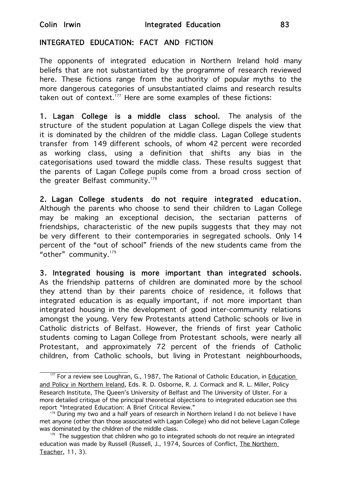### INTEGRATED EDUCATION: FACT AND FICTION

The opponents of integrated education in Northern Ireland hold many beliefs that are not substantiated by the programme of research reviewed here. These fictions range from the authority of popular myths to the more dangerous categories of unsubstantiated claims and research results taken out of context.<sup>177</sup> Here are some examples of these fictions:

1. Lagan College is a middle class school. The analysis of the structure of the student population at Lagan College dispels the view that it is dominated by the children of the middle class. Lagan College students transfer from 149 different schools, of whom 42 percent were recorded as working class, using a definition that shifts any bias in the categorisations used toward the middle class. These results suggest that the parents of Lagan College pupils come from a broad cross section of the greater Belfast community.<sup>178</sup>

2. Lagan College students do not require integrated education. Although the parents who choose to send their children to Lagan College may be making an exceptional decision, the sectarian patterns of friendships, characteristic of the new pupils suggests that they may not be very different to their contemporaries in segregated schools. Only 14 percent of the "out of school" friends of the new students came from the "other" community. $179$ 

3. Integrated housing is more important than integrated schools. As the friendship patterns of children are dominated more by the school they attend than by their parents choice of residence, it follows that integrated education is as equally important, if not more important than integrated housing in the development of good inter-community relations amongst the young. Very few Protestants attend Catholic schools or live in Catholic districts of Belfast. However, the friends of first year Catholic students coming to Lagan College from Protestant schools, were nearly all Protestant, and approximately 72 percent of the friends of Catholic children, from Catholic schools, but living in Protestant neighbourhoods,

<sup>&</sup>lt;sup>177</sup> For a review see Loughran, G., 1987, The Rational of Catholic Education, in Education and Policy in Northern Ireland, Eds. R. D. Osborne, R. J. Cormack and R. L. Miller, Policy Research Institute, The Queen's University of Belfast and The University of Ulster. For a more detailed critique of the principal theoretical objections to integrated education see this report "Integrated Education: A Brief Critical Review."

<sup>&</sup>lt;sup>178</sup> During my two and a half years of research in Northern Ireland I do not believe I have met anyone (other than those associated with Lagan College) who did not believe Lagan College was dominated by the children of the middle class.<br><sup>179</sup> The suggestion that children who go to integrated schools do not require an integrated

education was made by Russell (Russell, J., 1974, Sources of Conflict, The Northern Teacher, 11, 3).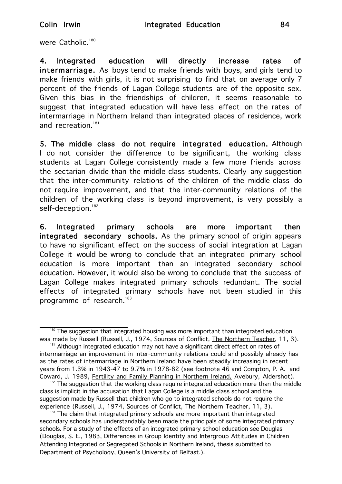were Catholic.<sup>180</sup>

4. Integrated education will directly increase rates of intermarriage. As boys tend to make friends with boys, and girls tend to make friends with girls, it is not surprising to find that on average only 7 percent of the friends of Lagan College students are of the opposite sex. Given this bias in the friendships of children, it seems reasonable to suggest that integrated education will have less effect on the rates of intermarriage in Northern Ireland than integrated places of residence, work and recreation.<sup>181</sup>

5. The middle class do not require integrated education. Although I do not consider the difference to be significant, the working class students at Lagan College consistently made a few more friends across the sectarian divide than the middle class students. Clearly any suggestion that the inter-community relations of the children of the middle class do not require improvement, and that the inter-community relations of the children of the working class is beyond improvement, is very possibly a self-deception.<sup>182</sup>

6. Integrated primary schools are more important then integrated secondary schools. As the primary school of origin appears to have no significant effect on the success of social integration at Lagan College it would be wrong to conclude that an integrated primary school education is more important than an integrated secondary school education. However, it would also be wrong to conclude that the success of Lagan College makes integrated primary schools redundant. The social effects of integrated primary schools have not been studied in this programme of research.<sup>183</sup>

<sup>183</sup> The claim that integrated primary schools are more important than integrated secondary schools has understandably been made the principals of some integrated primary schools. For a study of the effects of an integrated primary school education see Douglas (Douglas, S. E., 1983, Differences in Group Identity and Intergroup Attitudes in Children Attending Integrated or Segregated Schools in Northern Ireland, thesis submitted to Department of Psychology, Queen's University of Belfast.).

 $180$  The suggestion that integrated housing was more important than integrated education was made by Russell (Russell, J., 1974, Sources of Conflict, The Northern Teacher, 11, 3).

<sup>&</sup>lt;sup>181</sup> Although integrated education may not have a significant direct effect on rates of intermarriage an improvement in inter-community relations could and possibly already has as the rates of intermarriage in Northern Ireland have been steadily increasing in recent years from 1.3% in 1943-47 to 9.7% in 1978-82 (see footnote 46 and Compton, P. A. and Coward, J. 1989, Fertility and Family Planning in Northern Ireland, Avebury, Aldershot).

 $182$  The suggestion that the working class require integrated education more than the middle class is implicit in the accusation that Lagan College is a middle class school and the suggestion made by Russell that children who go to integrated schools do not require the experience (Russell, J., 1974, Sources of Conflict, The Northern Teacher, 11, 3).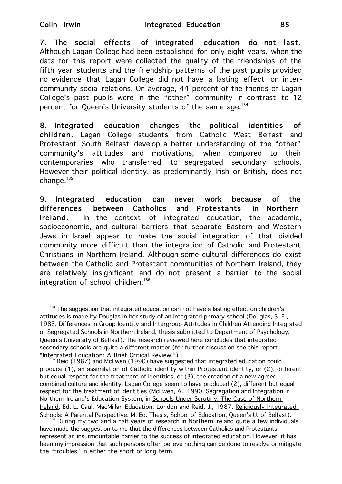7. The social effects of integrated education do not last. Although Lagan College had been established for only eight years, when the data for this report were collected the quality of the friendships of the fifth year students and the friendship patterns of the past pupils provided no evidence that Lagan College did not have a lasting effect on intercommunity social relations. On average, 44 percent of the friends of Lagan College's past pupils were in the "other" community in contrast to 12 percent for Queen's University students of the same age.<sup>184</sup>

8. Integrated education changes the political identities of children. Lagan College students from Catholic West Belfast and Protestant South Belfast develop a better understanding of the "other" community's attitudes and motivations, when compared to their contemporaries who transferred to segregated secondary schools. However their political identity, as predominantly Irish or British, does not change. $185$ 

9. Integrated education can never work because of the differences between Catholics and Protestants in Northern Ireland. In the context of integrated education, the academic, socioeconomic, and cultural barriers that separate Eastern and Western Jews in Israel appear to make the social integration of that divided community more difficult than the integration of Catholic and Protestant Christians in Northern Ireland. Although some cultural differences do exist between the Catholic and Protestant communities of Northern Ireland, they are relatively insignificant and do not present a barrier to the social integration of school children.<sup>186</sup>

The suggestion that integrated education can not have a lasting effect on children's attitudes is made by Douglas in her study of an integrated primary school (Douglas, S. E., 1983, Differences in Group Identity and Intergroup Attitudes in Children Attending Integrated or Segregated Schools in Northern Ireland, thesis submitted to Department of Psychology, Queen's University of Belfast). The research reviewed here concludes that integrated secondary schools are quite a different matter (for further discussion see this report "Intearated Education: A Brief Critical Review.")

Reid (1987) and McEwen (1990) have suggested that integrated education could produce (1), an assimilation of Catholic identity within Protestant identity, or (2), different but equal respect for the treatment of identities, or (3), the creation of a new agreed combined culture and identity. Lagan College seem to have produced (2), different but equal respect for the treatment of identities (McEwen, A., 1990, Segregation and Integration in Northern Ireland's Education System, in Schools Under Scrutiny: The Case of Northern Ireland, Ed. L. Caul, MacMillan Education, London and Reid, J., 1987, Religiously Integrated

Schools: A Parental Perspective, M. Ed. Thesis, School of Education, Queen's U. of Belfast).<br><sup>186</sup> During my two and a half years of research in Northern Ireland quite a few individuals have made the suggestion to me that the differences between Catholics and Protestants represent an insurmountable barrier to the success of integrated education. However, it has been my impression that such persons often believe nothing can be done to resolve or mitigate the "troubles" in either the short or long term.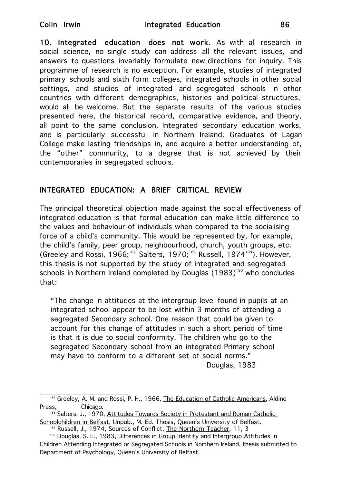10. Integrated education does not work. As with all research in social science, no single study can address all the relevant issues, and answers to questions invariably formulate new directions for inquiry. This programme of research is no exception. For example, studies of integrated primary schools and sixth form colleges, integrated schools in other social settings, and studies of integrated and segregated schools in other countries with different demographics, histories and political structures, would all be welcome. But the separate results of the various studies presented here, the historical record, comparative evidence, and theory, all point to the same conclusion. Integrated secondary education works, and is particularly successful in Northern Ireland. Graduates of Lagan College make lasting friendships in, and acquire a better understanding of, the "other" community, to a degree that is not achieved by their contemporaries in segregated schools.

## INTEGRATED EDUCATION: A BRIEF CRITICAL REVIEW

The principal theoretical objection made against the social effectiveness of integrated education is that formal education can make little difference to the values and behaviour of individuals when compared to the socialising force of a child's community. This would be represented by, for example, the child's family, peer group, neighbourhood, church, youth groups, etc. (Greeley and Rossi, 1966;<sup>187</sup> Salters, 1970;<sup>188</sup> Russell, 1974<sup>189</sup>). However, this thesis is not supported by the study of integrated and segregated schools in Northern Ireland completed by Douglas  $(1983)^{190}$  who concludes that:

"The change in attitudes at the intergroup level found in pupils at an integrated school appear to be lost within 3 months of attending a segregated Secondary school. One reason that could be given to account for this change of attitudes in such a short period of time is that it is due to social conformity. The children who go to the segregated Secondary school from an integrated Primary school may have to conform to a different set of social norms." Douglas, 1983

<sup>&</sup>lt;sup>187</sup> Greeley, A. M. and Rossi, P. H., 1966, The Education of Catholic Americans, Aldine Press, Chicago.

<sup>188</sup> Salters, J., 1970, Attitudes Towards Society in Protestant and Roman Catholic Schoolchildren in Belfast, Unpub., M. Ed. Thesis, Queen's University of Belfast.

<sup>189</sup> Russell, J., 1974, Sources of Conflict, The Northern Teacher, 11, 3

<sup>190</sup> Douglas, S. E., 1983, Differences in Group Identity and Intergroup Attitudes in Children Attending Integrated or Segregated Schools in Northern Ireland, thesis submitted to Department of Psychology, Queen's University of Belfast.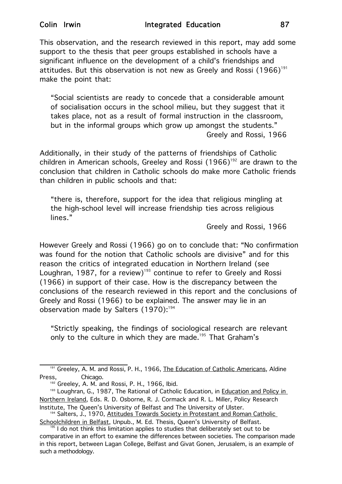This observation, and the research reviewed in this report, may add some support to the thesis that peer groups established in schools have a significant influence on the development of a child's friendships and attitudes. But this observation is not new as Greely and Rossi  $(1966)^{191}$ make the point that:

"Social scientists are ready to concede that a considerable amount of socialisation occurs in the school milieu, but they suggest that it takes place, not as a result of formal instruction in the classroom, but in the informal groups which grow up amongst the students." Greely and Rossi, 1966

Additionally, in their study of the patterns of friendships of Catholic children in American schools, Greeley and Rossi  $(1966)^{192}$  are drawn to the conclusion that children in Catholic schools do make more Catholic friends than children in public schools and that:

"there is, therefore, support for the idea that religious mingling at the high-school level will increase friendship ties across religious lines."

Greely and Rossi, 1966

However Greely and Rossi (1966) go on to conclude that: "No confirmation was found for the notion that Catholic schools are divisive" and for this reason the critics of integrated education in Northern Ireland (see Loughran, 1987, for a review)<sup>193</sup> continue to refer to Greely and Rossi (1966) in support of their case. How is the discrepancy between the conclusions of the research reviewed in this report and the conclusions of Greely and Rossi (1966) to be explained. The answer may lie in an observation made by Salters (1970):<sup>194</sup>

"Strictly speaking, the findings of sociological research are relevant only to the culture in which they are made.<sup>195</sup> That Graham's

<sup>191</sup> Greeley, A. M. and Rossi, P. H., 1966, The Education of Catholic Americans, Aldine Press, Chicago.

<sup>192</sup> Greeley, A. M. and Rossi, P. H., 1966, Ibid.

<sup>193</sup> Loughran, G., 1987, The Rational of Catholic Education, in Education and Policy in Northern Ireland, Eds. R. D. Osborne, R. J. Cormack and R. L. Miller, Policy Research Institute, The Queen's University of Belfast and The University of Ulster.

<sup>&</sup>lt;sup>194</sup> Salters, J., 1970, Attitudes Towards Society in Protestant and Roman Catholic Schoolchildren in Belfast, Unpub., M. Ed. Thesis, Queen's University of Belfast.

 $195$  I do not think this limitation applies to studies that deliberately set out to be comparative in an effort to examine the differences between societies. The comparison made in this report, between Lagan College, Belfast and Givat Gonen, Jerusalem, is an example of such a methodology.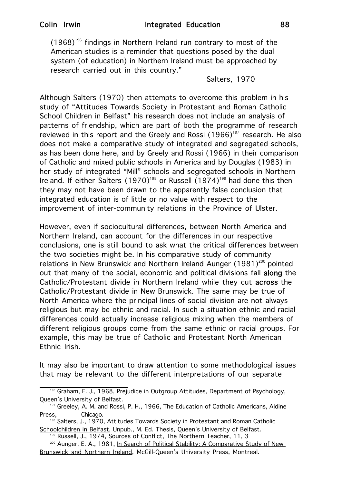$(1968)^{196}$  findings in Northern Ireland run contrary to most of the American studies is a reminder that questions posed by the dual system (of education) in Northern Ireland must be approached by research carried out in this country."

Salters, 1970

Although Salters (1970) then attempts to overcome this problem in his study of "Attitudes Towards Society in Protestant and Roman Catholic School Children in Belfast" his research does not include an analysis of patterns of friendship, which are part of both the programme of research reviewed in this report and the Greely and Rossi  $(1966)^{197}$  research. He also does not make a comparative study of integrated and segregated schools, as has been done here, and by Greely and Rossi (1966) in their comparison of Catholic and mixed public schools in America and by Douglas (1983) in her study of integrated "Mill" schools and segregated schools in Northern Ireland. If either Salters  $(1970)^{198}$  or Russell  $(1974)^{199}$  had done this then they may not have been drawn to the apparently false conclusion that integrated education is of little or no value with respect to the improvement of inter-community relations in the Province of Ulster.

However, even if sociocultural differences, between North America and Northern Ireland, can account for the differences in our respective conclusions, one is still bound to ask what the critical differences between the two societies might be. In his comparative study of community relations in New Brunswick and Northern Ireland Aunger  $(1981)^{200}$  pointed out that many of the social, economic and political divisions fall along the Catholic/Protestant divide in Northern Ireland while they cut across the Catholic/Protestant divide in New Brunswick. The same may be true of North America where the principal lines of social division are not always religious but may be ethnic and racial. In such a situation ethnic and racial differences could actually increase religious mixing when the members of different religious groups come from the same ethnic or racial groups. For example, this may be true of Catholic and Protestant North American Ethnic Irish.

It may also be important to draw attention to some methodological issues that may be relevant to the different interpretations of our separate

<sup>196</sup> Graham, E. J., 1968, Prejudice in Outgroup Attitudes, Department of Psychology, Queen's University of Belfast.

<sup>&</sup>lt;sup>197</sup> Greeley, A. M. and Rossi, P. H., 1966, The Education of Catholic Americans, Aldine Press, Chicago.

<sup>198</sup> Salters, J., 1970, Attitudes Towards Society in Protestant and Roman Catholic Schoolchildren in Belfast, Unpub., M. Ed. Thesis, Queen's University of Belfast.

<sup>199</sup> Russell, J., 1974, Sources of Conflict, The Northern Teacher, 11, 3

<sup>&</sup>lt;sup>200</sup> Aunger, E. A., 1981, In Search of Political Stability: A Comparative Study of New Brunswick and Northern Ireland, McGill-Queen's University Press, Montreal.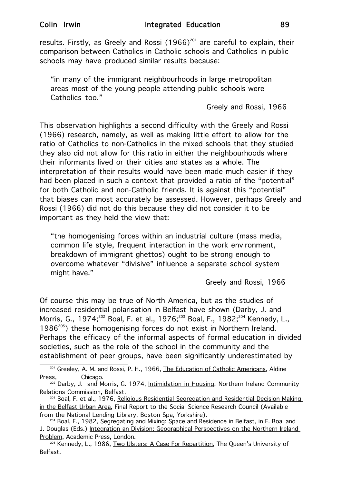results. Firstly, as Greely and Rossi  $(1966)^{201}$  are careful to explain, their comparison between Catholics in Catholic schools and Catholics in public schools may have produced similar results because:

"in many of the immigrant neighbourhoods in large metropolitan areas most of the young people attending public schools were Catholics too."

Greely and Rossi, 1966

This observation highlights a second difficulty with the Greely and Rossi (1966) research, namely, as well as making little effort to allow for the ratio of Catholics to non-Catholics in the mixed schools that they studied they also did not allow for this ratio in either the neighbourhoods where their informants lived or their cities and states as a whole. The interpretation of their results would have been made much easier if they had been placed in such a context that provided a ratio of the "potential" for both Catholic and non-Catholic friends. It is against this "potential" that biases can most accurately be assessed. However, perhaps Greely and Rossi (1966) did not do this because they did not consider it to be important as they held the view that:

"the homogenising forces within an industrial culture (mass media, common life style, frequent interaction in the work environment, breakdown of immigrant ghettos) ought to be strong enough to overcome whatever "divisive" influence a separate school system might have."

Greely and Rossi, 1966

Of course this may be true of North America, but as the studies of increased residential polarisation in Belfast have shown (Darby, J. and Morris, G., 1974;<sup>202</sup> Boal, F. et al., 1976;<sup>203</sup> Boal, F., 1982;<sup>204</sup> Kennedy, L., 1986<sup>205</sup>) these homogenising forces do not exist in Northern Ireland. Perhaps the efficacy of the informal aspects of formal education in divided societies, such as the role of the school in the community and the establishment of peer groups, have been significantly underestimated by

<sup>201</sup> Greeley, A. M. and Rossi, P. H., 1966, The Education of Catholic Americans, Aldine Press, Chicago.

<sup>&</sup>lt;sup>202</sup> Darby, J. and Morris, G. 1974, Intimidation in Housing, Northern Ireland Community Relations Commission, Belfast.

<sup>&</sup>lt;sup>203</sup> Boal, F. et al., 1976, Religious Residential Segregation and Residential Decision Making in the Belfast Urban Area, Final Report to the Social Science Research Council (Available from the National Lending Library, Boston Spa, Yorkshire).

<sup>204</sup> Boal, F., 1982, Segregating and Mixing: Space and Residence in Belfast, in F. Boal and J. Douglas (Eds.) Integration an Division: Geographical Perspectives on the Northern Ireland Problem, Academic Press, London.

<sup>&</sup>lt;sup>205</sup> Kennedy, L., 1986, Two Ulsters: A Case For Repartition, The Queen's University of Belfast.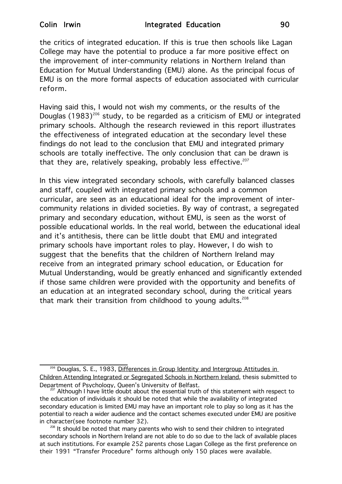the critics of integrated education. If this is true then schools like Lagan College may have the potential to produce a far more positive effect on the improvement of inter-community relations in Northern Ireland than Education for Mutual Understanding (EMU) alone. As the principal focus of EMU is on the more formal aspects of education associated with curricular reform.

Having said this, I would not wish my comments, or the results of the Douglas  $(1983)^{206}$  study, to be regarded as a criticism of EMU or integrated primary schools. Although the research reviewed in this report illustrates the effectiveness of integrated education at the secondary level these findings do not lead to the conclusion that EMU and integrated primary schools are totally ineffective. The only conclusion that can be drawn is that they are, relatively speaking, probably less effective. $207$ 

In this view integrated secondary schools, with carefully balanced classes and staff, coupled with integrated primary schools and a common curricular, are seen as an educational ideal for the improvement of intercommunity relations in divided societies. By way of contrast, a segregated primary and secondary education, without EMU, is seen as the worst of possible educational worlds. In the real world, between the educational ideal and it's antithesis, there can be little doubt that EMU and integrated primary schools have important roles to play. However, I do wish to suggest that the benefits that the children of Northern Ireland may receive from an integrated primary school education, or Education for Mutual Understanding, would be greatly enhanced and significantly extended if those same children were provided with the opportunity and benefits of an education at an integrated secondary school, during the critical years that mark their transition from childhood to young adults.<sup>208</sup>

<sup>206</sup> Douglas, S. E., 1983, Differences in Group Identity and Intergroup Attitudes in Children Attending Integrated or Segregated Schools in Northern Ireland, thesis submitted to Department of Psychology, Queen's University of Belfast.<br><sup>207</sup> Although I have little doubt about the essential truth of this statement with respect to

the education of individuals it should be noted that while the availability of integrated secondary education is limited EMU may have an important role to play so long as it has the potential to reach a wider audience and the contact schemes executed under EMU are positive in character(see footnote number 32).

<sup>&</sup>lt;sup>208</sup> It should be noted that many parents who wish to send their children to integrated secondary schools in Northern Ireland are not able to do so due to the lack of available places at such institutions. For example 252 parents chose Lagan College as the first preference on their 1991 "Transfer Procedure" forms although only 150 places were available.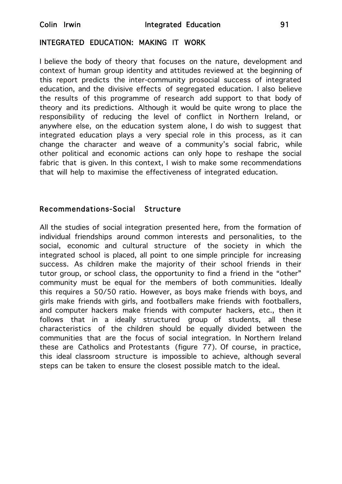#### INTEGRATED EDUCATION: MAKING IT WORK

I believe the body of theory that focuses on the nature, development and context of human group identity and attitudes reviewed at the beginning of this report predicts the inter-community prosocial success of integrated education, and the divisive effects of segregated education. I also believe the results of this programme of research add support to that body of theory and its predictions. Although it would be quite wrong to place the responsibility of reducing the level of conflict in Northern Ireland, or anywhere else, on the education system alone, I do wish to suggest that integrated education plays a very special role in this process, as it can change the character and weave of a community's social fabric, while other political and economic actions can only hope to reshape the social fabric that is given. In this context, I wish to make some recommendations that will help to maximise the effectiveness of integrated education.

#### Recommendations-Social Structure

All the studies of social integration presented here, from the formation of individual friendships around common interests and personalities, to the social, economic and cultural structure of the society in which the integrated school is placed, all point to one simple principle for increasing success. As children make the majority of their school friends in their tutor group, or school class, the opportunity to find a friend in the "other" community must be equal for the members of both communities. Ideally this requires a 50/50 ratio. However, as boys make friends with boys, and girls make friends with girls, and footballers make friends with footballers, and computer hackers make friends with computer hackers, etc., then it follows that in a ideally structured group of students, all these characteristics of the children should be equally divided between the communities that are the focus of social integration. In Northern Ireland these are Catholics and Protestants (figure 77). Of course, in practice, this ideal classroom structure is impossible to achieve, although several steps can be taken to ensure the closest possible match to the ideal.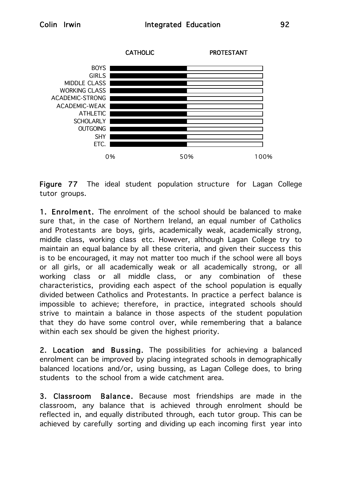

Figure 77 The ideal student population structure for Lagan College tutor groups.

1. Enrolment. The enrolment of the school should be balanced to make sure that, in the case of Northern Ireland, an equal number of Catholics and Protestants are boys, girls, academically weak, academically strong, middle class, working class etc. However, although Lagan College try to maintain an equal balance by all these criteria, and given their success this is to be encouraged, it may not matter too much if the school were all boys or all girls, or all academically weak or all academically strong, or all working class or all middle class, or any combination of these characteristics, providing each aspect of the school population is equally divided between Catholics and Protestants. In practice a perfect balance is impossible to achieve; therefore, in practice, integrated schools should strive to maintain a balance in those aspects of the student population that they do have some control over, while remembering that a balance within each sex should be given the highest priority.

2. Location and Bussing. The possibilities for achieving a balanced enrolment can be improved by placing integrated schools in demographically balanced locations and/or, using bussing, as Lagan College does, to bring students to the school from a wide catchment area.

3. Classroom Balance. Because most friendships are made in the classroom, any balance that is achieved through enrolment should be reflected in, and equally distributed through, each tutor group. This can be achieved by carefully sorting and dividing up each incoming first year into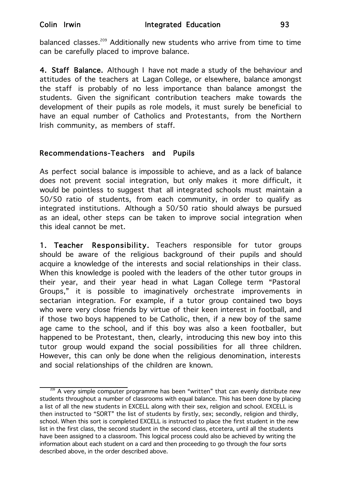balanced classes.<sup>209</sup> Additionally new students who arrive from time to time can be carefully placed to improve balance.

4. Staff Balance. Although I have not made a study of the behaviour and attitudes of the teachers at Lagan College, or elsewhere, balance amongst the staff is probably of no less importance than balance amongst the students. Given the significant contribution teachers make towards the development of their pupils as role models, it must surely be beneficial to have an equal number of Catholics and Protestants, from the Northern Irish community, as members of staff.

### Recommendations-Teachers and Pupils

As perfect social balance is impossible to achieve, and as a lack of balance does not prevent social integration, but only makes it more difficult, it would be pointless to suggest that all integrated schools must maintain a 50/50 ratio of students, from each community, in order to qualify as integrated institutions. Although a 50/50 ratio should always be pursued as an ideal, other steps can be taken to improve social integration when this ideal cannot be met.

1. Teacher Responsibility. Teachers responsible for tutor groups should be aware of the religious background of their pupils and should acquire a knowledge of the interests and social relationships in their class. When this knowledge is pooled with the leaders of the other tutor groups in their year, and their year head in what Lagan College term "Pastoral Groups," it is possible to imaginatively orchestrate improvements in sectarian integration. For example, if a tutor group contained two boys who were very close friends by virtue of their keen interest in football, and if those two boys happened to be Catholic, then, if a new boy of the same age came to the school, and if this boy was also a keen footballer, but happened to be Protestant, then, clearly, introducing this new boy into this tutor group would expand the social possibilities for all three children. However, this can only be done when the religious denomination, interests and social relationships of the children are known.

<sup>&</sup>lt;sup>209</sup> A very simple computer programme has been "written" that can evenly distribute new students throughout a number of classrooms with equal balance. This has been done by placing a list of all the new students in EXCELL along with their sex, religion and school. EXCELL is then instructed to "SORT" the list of students by firstly, sex; secondly, religion and thirdly, school. When this sort is completed EXCELL is instructed to place the first student in the new list in the first class, the second student in the second class, etcetera, until all the students have been assigned to a classroom. This logical process could also be achieved by writing the information about each student on a card and then proceeding to go through the four sorts described above, in the order described above.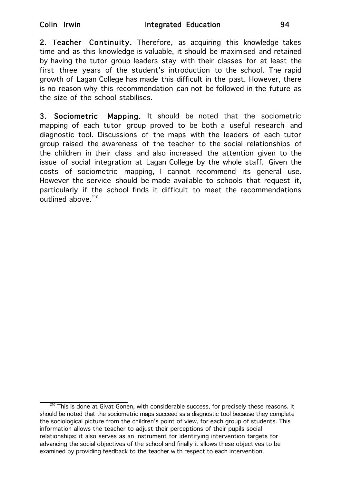2. Teacher Continuity. Therefore, as acquiring this knowledge takes time and as this knowledge is valuable, it should be maximised and retained by having the tutor group leaders stay with their classes for at least the first three years of the student's introduction to the school. The rapid growth of Lagan College has made this difficult in the past. However, there is no reason why this recommendation can not be followed in the future as the size of the school stabilises.

3. Sociometric Mapping. It should be noted that the sociometric mapping of each tutor group proved to be both a useful research and diagnostic tool. Discussions of the maps with the leaders of each tutor group raised the awareness of the teacher to the social relationships of the children in their class and also increased the attention given to the issue of social integration at Lagan College by the whole staff. Given the costs of sociometric mapping, I cannot recommend its general use. However the service should be made available to schools that request it, particularly if the school finds it difficult to meet the recommendations outlined above.<sup>210</sup>

 $210$  This is done at Givat Gonen, with considerable success, for precisely these reasons. It should be noted that the sociometric maps succeed as a diagnostic tool because they complete the sociological picture from the children's point of view, for each group of students. This information allows the teacher to adjust their perceptions of their pupils social relationships; it also serves as an instrument for identifying intervention targets for advancing the social objectives of the school and finally it allows these objectives to be examined by providing feedback to the teacher with respect to each intervention.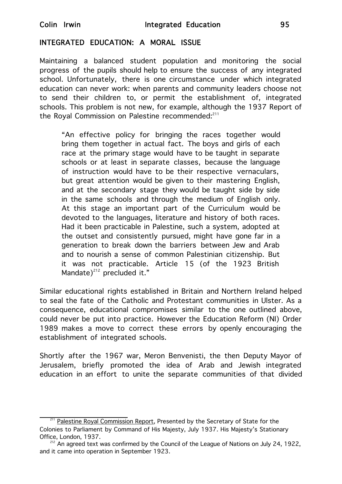#### INTEGRATED EDUCATION: A MORAL ISSUE

Maintaining a balanced student population and monitoring the social progress of the pupils should help to ensure the success of any integrated school. Unfortunately, there is one circumstance under which integrated education can never work: when parents and community leaders choose not to send their children to, or permit the establishment of, integrated schools. This problem is not new, for example, although the 1937 Report of the Royal Commission on Palestine recommended: $211$ 

"An effective policy for bringing the races together would bring them together in actual fact. The boys and girls of each race at the primary stage would have to be taught in separate schools or at least in separate classes, because the language of instruction would have to be their respective vernaculars, but great attention would be given to their mastering English, and at the secondary stage they would be taught side by side in the same schools and through the medium of English only. At this stage an important part of the Curriculum would be devoted to the languages, literature and history of both races. Had it been practicable in Palestine, such a system, adopted at the outset and consistently pursued, might have gone far in a generation to break down the barriers between Jew and Arab and to nourish a sense of common Palestinian citizenship. But it was not practicable. Article 15 (of the 1923 British Mandate) $^{212}$  precluded it."

Similar educational rights established in Britain and Northern Ireland helped to seal the fate of the Catholic and Protestant communities in Ulster. As a consequence, educational compromises similar to the one outlined above, could never be put into practice. However the Education Reform (NI) Order 1989 makes a move to correct these errors by openly encouraging the establishment of integrated schools.

Shortly after the 1967 war, Meron Benvenisti, the then Deputy Mayor of Jerusalem, briefly promoted the idea of Arab and Jewish integrated education in an effort to unite the separate communities of that divided

<sup>&</sup>lt;sup>211</sup> Palestine Royal Commission Report, Presented by the Secretary of State for the Colonies to Parliament by Command of His Majesty, July 1937. His Majesty's Stationary Office, London, 1937.

 $212^{212}$  An agreed text was confirmed by the Council of the League of Nations on July 24, 1922, and it came into operation in September 1923.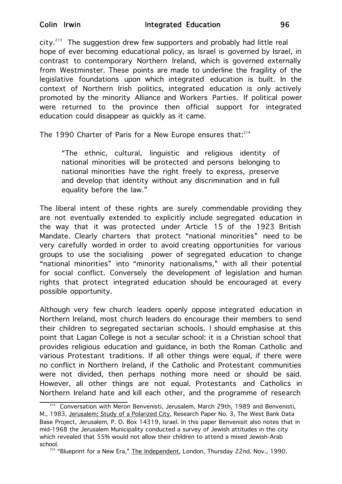city. $^{213}$  The suggestion drew few supporters and probably had little real hope of ever becoming educational policy, as Israel is governed by Israel, in contrast to contemporary Northern Ireland, which is governed externally from Westminster. These points are made to underline the fragility of the legislative foundations upon which integrated education is built. In the context of Northern Irish politics, integrated education is only actively promoted by the minority Alliance and Workers Parties. If political power were returned to the province then official support for integrated education could disappear as quickly as it came.

The 1990 Charter of Paris for a New Europe ensures that:<sup>214</sup>

"The ethnic, cultural, linguistic and religious identity of national minorities will be protected and persons belonging to national minorities have the right freely to express, preserve and develop that identity without any discrimination and in full equality before the law."

The liberal intent of these rights are surely commendable providing they are not eventually extended to explicitly include segregated education in the way that it was protected under Article 15 of the 1923 British Mandate. Clearly charters that protect "national minorities" need to be very carefully worded in order to avoid creating opportunities for various groups to use the socialising power of segregated education to change "national minorities" into "minority nationalisms," with all their potential for social conflict. Conversely the development of legislation and human rights that protect integrated education should be encouraged at every possible opportunity.

Although very few church leaders openly oppose integrated education in Northern Ireland, most church leaders do encourage their members to send their children to segregated sectarian schools. I should emphasise at this point that Lagan College is not a secular school: it is a Christian school that provides religious education and guidance, in both the Roman Catholic and various Protestant traditions. If all other things were equal, if there were no conflict in Northern Ireland, if the Catholic and Protestant communities were not divided, then perhaps nothing more need or should be said. However, all other things are not equal. Protestants and Catholics in Northern Ireland hate and kill each other, and the programme of research

<sup>213</sup> Conversation with Meron Benvenisti, Jerusalem, March 29th, 1989 and Benvenisti, M., 1983, Jerusalem: Study of a Polarized City, Research Paper No. 3, The West Bank Data Base Project, Jerusalem, P. O. Box 14319, Israel. In this paper Benvenisit also notes that in mid-1968 the Jerusalem Municipality conducted a survey of Jewish attitudes in the city which revealed that 55% would not allow their children to attend a mixed Jewish-Arab school.<br><sup>214</sup> "Blueprint for a New Era," The Independent, London, Thursday 22nd. Nov., 1990.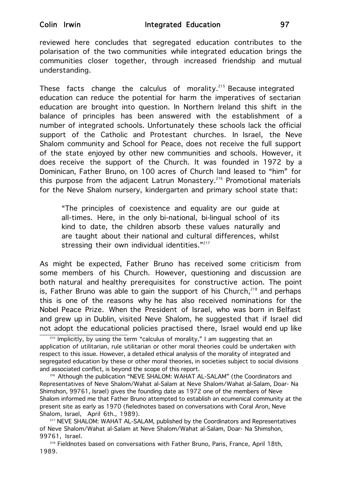reviewed here concludes that segregated education contributes to the polarisation of the two communities while integrated education brings the communities closer together, through increased friendship and mutual understanding.

These facts change the calculus of morality.<sup>215</sup> Because integrated education can reduce the potential for harm the imperatives of sectarian education are brought into question. In Northern Ireland this shift in the balance of principles has been answered with the establishment of a number of integrated schools. Unfortunately these schools lack the official support of the Catholic and Protestant churches. In Israel, the Neve Shalom community and School for Peace, does not receive the full support of the state enjoyed by other new communities and schools. However, it does receive the support of the Church. It was founded in 1972 by a Dominican, Father Bruno, on 100 acres of Church land leased to "him" for this purpose from the adjacent Latrun Monastery.<sup>216</sup> Promotional materials for the Neve Shalom nursery, kindergarten and primary school state that:

"The principles of coexistence and equality are our guide at all-times. Here, in the only bi-national, bi-lingual school of its kind to date, the children absorb these values naturally and are taught about their national and cultural differences, whilst stressing their own individual identities."<sup>217</sup>

As might be expected, Father Bruno has received some criticism from some members of his Church. However, questioning and discussion are both natural and healthy prerequisites for constructive action. The point is, Father Bruno was able to gain the support of his Church,  $218$  and perhaps this is one of the reasons why he has also received nominations for the Nobel Peace Prize. When the President of Israel, who was born in Belfast and grew up in Dublin, visited Neve Shalom, he suggested that if Israel did not adopt the educational policies practised there, Israel would end up like

<sup>218</sup> Fieldnotes based on conversations with Father Bruno, Paris, France, April 18th, 1989.

<sup>&</sup>lt;sup>215</sup> Implicitly, by using the term "calculus of morality," I am suggesting that an application of utilitarian, rule utilitarian or other moral theories could be undertaken with respect to this issue. However, a detailed ethical analysis of the morality of integrated and segregated education by these or other moral theories, in societies subject to social divisions and associated conflict, is beyond the scope of this report.

<sup>&</sup>lt;sup>216</sup> Although the publication "NEVE SHALOM: WAHAT AL-SALAM" (the Coordinators and Representatives of Neve Shalom/Wahat al-Salam at Neve Shalom/Wahat al-Salam, Doar- Na Shimshon, 99761, Israel) gives the founding date as 1972 one of the members of Neve Shalom informed me that Father Bruno attempted to establish an ecumenical community at the present site as early as 1970 (fielednotes based on conversations with Coral Aron, Neve Shalom, Israel, April 6th., 1989).

<sup>&</sup>lt;sup>217</sup> NEVE SHALOM: WAHAT AL-SALAM, published by the Coordinators and Representatives of Neve Shalom/Wahat al-Salam at Neve Shalom/Wahat al-Salam, Doar- Na Shimshon, 99761, Israel.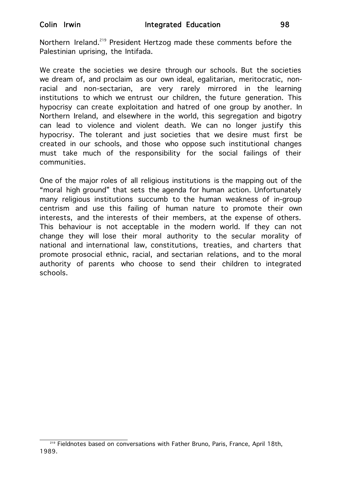Northern Ireland.<sup>219</sup> President Hertzog made these comments before the Palestinian uprising, the Intifada.

We create the societies we desire through our schools. But the societies we dream of, and proclaim as our own ideal, egalitarian, meritocratic, nonracial and non-sectarian, are very rarely mirrored in the learning institutions to which we entrust our children, the future generation. This hypocrisy can create exploitation and hatred of one group by another. In Northern Ireland, and elsewhere in the world, this segregation and bigotry can lead to violence and violent death. We can no longer justify this hypocrisy. The tolerant and just societies that we desire must first be created in our schools, and those who oppose such institutional changes must take much of the responsibility for the social failings of their communities.

One of the major roles of all religious institutions is the mapping out of the "moral high ground" that sets the agenda for human action. Unfortunately many religious institutions succumb to the human weakness of in-group centrism and use this failing of human nature to promote their own interests, and the interests of their members, at the expense of others. This behaviour is not acceptable in the modern world. If they can not change they will lose their moral authority to the secular morality of national and international law, constitutions, treaties, and charters that promote prosocial ethnic, racial, and sectarian relations, and to the moral authority of parents who choose to send their children to integrated schools.

<sup>219</sup> Fieldnotes based on conversations with Father Bruno, Paris, France, April 18th, 1989.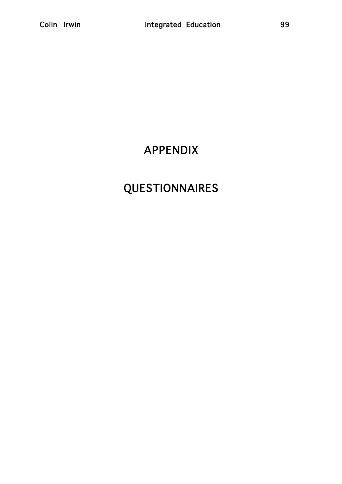# APPENDIX

# QUESTIONNAIRES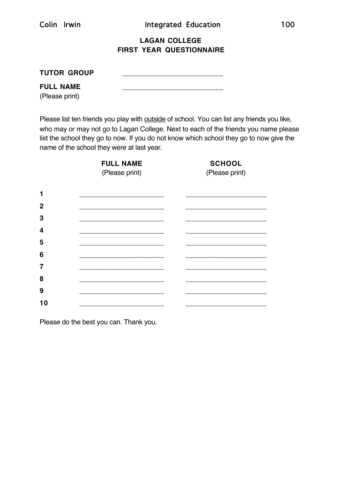#### **LAGAN COLLEGE FIRST YEAR QUESTIONNAIRE**

| <b>TUTOR GROUP</b> |  |
|--------------------|--|
| <b>FULL NAME</b>   |  |

(Please print)

Please list ten friends you play with outside of school. You can list any friends you like, who may or may not go to Lagan College. Next to each of the friends you name please list the school they go to now. If you do not know which school they go to now give the name of the school they were at last year.

**FULL NAME SCHOOL** (Please print) (Please print) \_\_\_\_\_\_\_\_\_\_\_\_\_\_\_\_\_\_\_\_\_ \_\_\_\_\_\_\_\_\_\_\_\_\_\_\_\_\_\_\_\_ \_\_\_\_\_\_\_\_\_\_\_\_\_\_\_\_\_\_\_\_\_ \_\_\_\_\_\_\_\_\_\_\_\_\_\_\_\_\_\_\_\_ \_\_\_\_\_\_\_\_\_\_\_\_\_\_\_\_\_\_\_\_\_ \_\_\_\_\_\_\_\_\_\_\_\_\_\_\_\_\_\_\_\_ \_\_\_\_\_\_\_\_\_\_\_\_\_\_\_\_\_\_\_\_\_ \_\_\_\_\_\_\_\_\_\_\_\_\_\_\_\_\_\_\_\_ \_\_\_\_\_\_\_\_\_\_\_\_\_\_\_\_\_\_\_\_\_ \_\_\_\_\_\_\_\_\_\_\_\_\_\_\_\_\_\_\_\_ \_\_\_\_\_\_\_\_\_\_\_\_\_\_\_\_\_\_\_\_\_ \_\_\_\_\_\_\_\_\_\_\_\_\_\_\_\_\_\_\_\_ \_\_\_\_\_\_\_\_\_\_\_\_\_\_\_\_\_\_\_\_\_ \_\_\_\_\_\_\_\_\_\_\_\_\_\_\_\_\_\_\_\_ \_\_\_\_\_\_\_\_\_\_\_\_\_\_\_\_\_\_\_\_\_ \_\_\_\_\_\_\_\_\_\_\_\_\_\_\_\_\_\_\_\_ \_\_\_\_\_\_\_\_\_\_\_\_\_\_\_\_\_\_\_\_\_ \_\_\_\_\_\_\_\_\_\_\_\_\_\_\_\_\_\_\_\_ \_\_\_\_\_\_\_\_\_\_\_\_\_\_\_\_\_\_\_\_\_ \_\_\_\_\_\_\_\_\_\_\_\_\_\_\_\_\_\_\_\_

Please do the best you can. Thank you.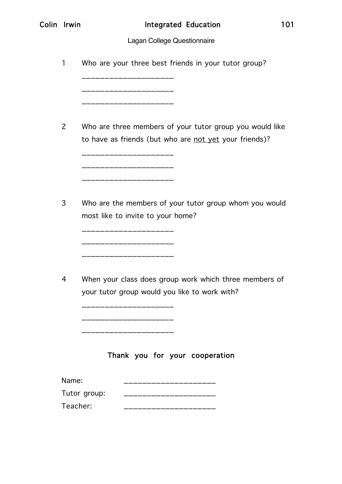|  | Colin |  | Irwin |
|--|-------|--|-------|
|--|-------|--|-------|

# Lagan College Questionnaire

| Who are your three best friends in your tutor group?<br>1                                                                                     |
|-----------------------------------------------------------------------------------------------------------------------------------------------|
|                                                                                                                                               |
| 2<br>Who are three members of your tutor group you would like<br>to have as friends (but who are not yet your friends)?<br>------------------ |
| Who are the members of your tutor group whom you would<br>3<br>most like to invite to your home?<br>_________________                         |
| When your class does group work which three members of<br>4<br>your tutor group would you like to work with?                                  |
| Thank you for your cooperation<br>Name:                                                                                                       |
| Tutor group:                                                                                                                                  |
| Teacher:                                                                                                                                      |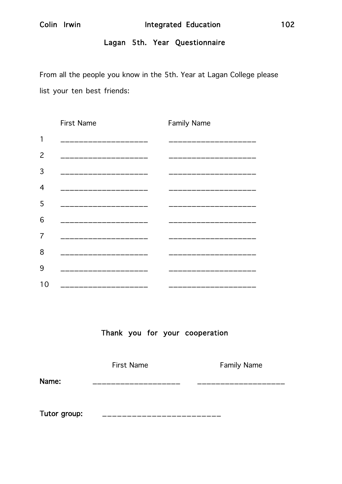# Lagan 5th. Year Questionnaire

From all the people you know in the 5th. Year at Lagan College please list your ten best friends:

|    | <b>First Name</b>   | <b>Family Name</b> |
|----|---------------------|--------------------|
| 1  |                     |                    |
| 2  |                     |                    |
| 3  | ______________      |                    |
| 4  | ------------------- | ____________       |
| 5  |                     |                    |
| 6  | ________________    |                    |
| 7  | _________________   | __________         |
| 8  |                     |                    |
| 9  |                     |                    |
| 10 |                     |                    |

Thank you for your cooperation

|              | <b>First Name</b> | <b>Family Name</b> |
|--------------|-------------------|--------------------|
| Name:        |                   |                    |
|              |                   |                    |
| Tutor group: |                   |                    |